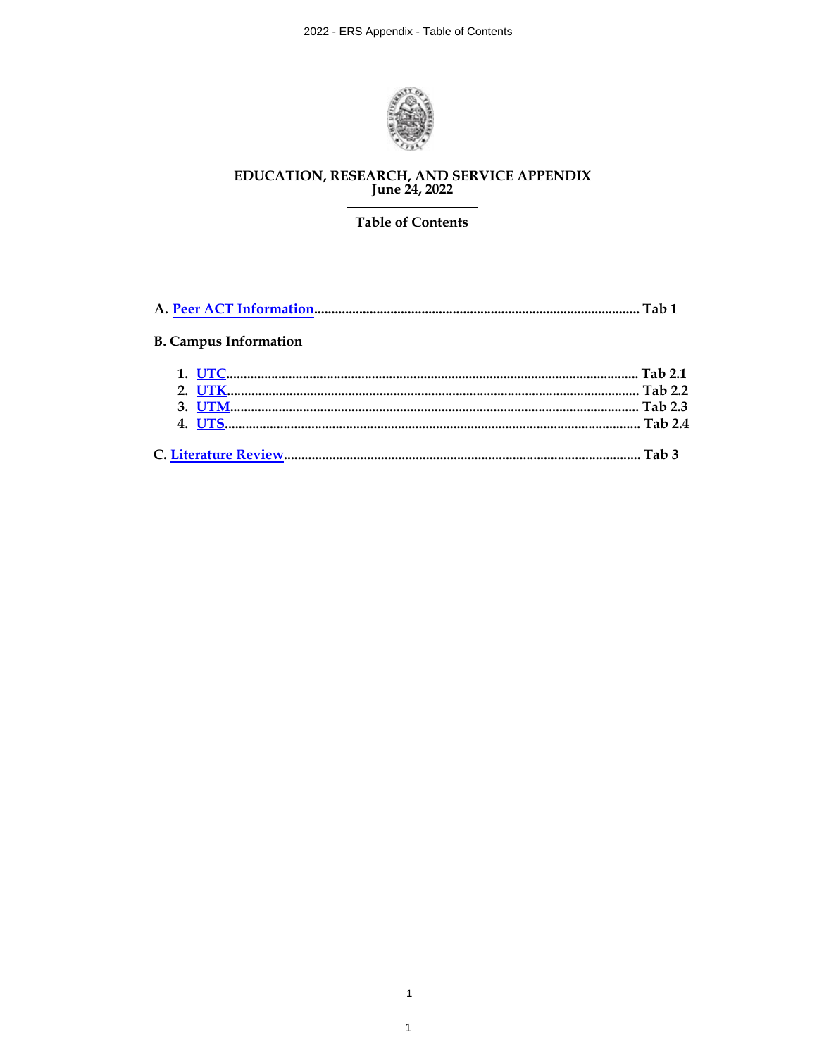

# EDUCATION, RESEARCH, AND SERVICE APPENDIX<br>June 24, 2022

**Table of Contents** 

|--|--|--|--|

## **B.** Campus Information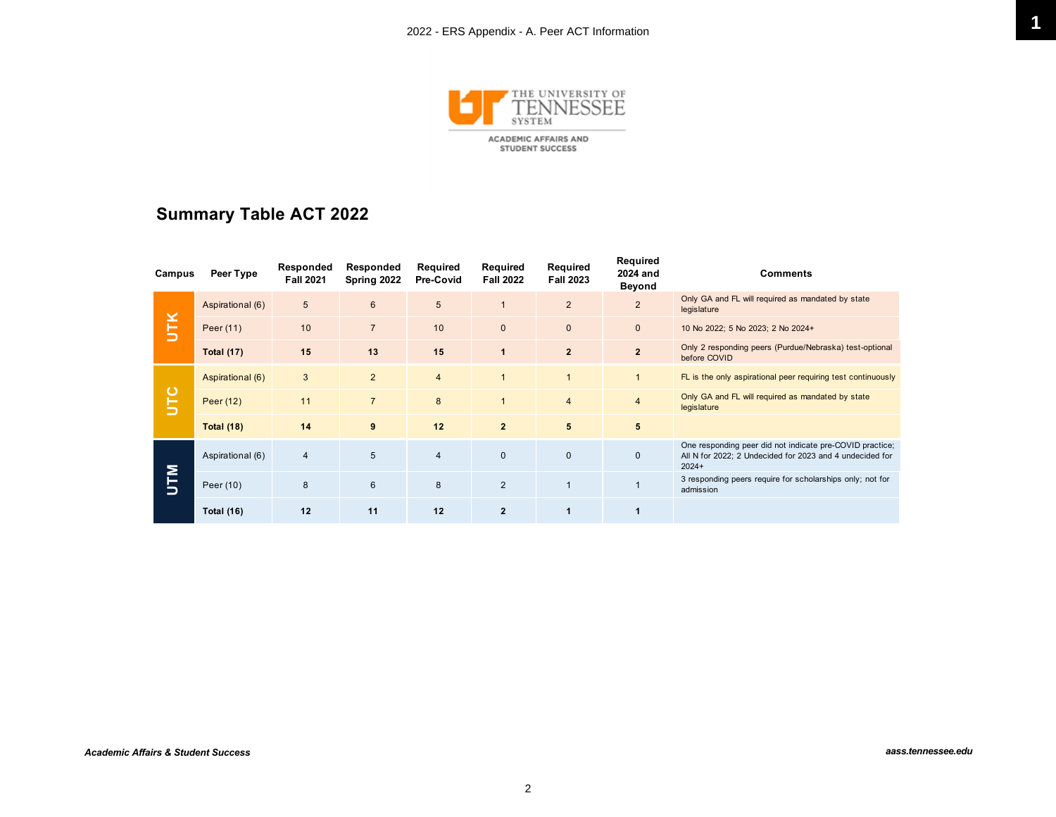

# <span id="page-1-0"></span>**Summary Table ACT 2022**

| Campus           | Peer Type         | Responded<br><b>Fall 2021</b> | Responded<br>Spring 2022 | Required<br>Pre-Covid | Required<br><b>Fall 2022</b> | Required<br><b>Fall 2023</b> | Required<br>2024 and<br><b>Beyond</b> | <b>Comments</b>                                                                                                                 |
|------------------|-------------------|-------------------------------|--------------------------|-----------------------|------------------------------|------------------------------|---------------------------------------|---------------------------------------------------------------------------------------------------------------------------------|
|                  | Aspirational (6)  | $5\phantom{.0}$               | 6                        | 5                     |                              | $\overline{2}$               | $\overline{2}$                        | Only GA and FL will required as mandated by state<br>legislature                                                                |
| <b>UTK</b>       | Peer (11)         | 10                            | $\overline{7}$           | 10                    | $\mathbf 0$                  | $\mathbf{0}$                 | $\mathbf{0}$                          | 10 No 2022; 5 No 2023; 2 No 2024+                                                                                               |
|                  | <b>Total (17)</b> | 15                            | 13                       | 15                    | $\mathbf{1}$                 | $\overline{2}$               | $\overline{2}$                        | Only 2 responding peers (Purdue/Nebraska) test-optional<br>before COVID                                                         |
|                  | Aspirational (6)  | $\mathbf{3}$                  | $\overline{2}$           | $\overline{4}$        | $\overline{1}$               | $\overline{1}$               | $\mathbf{1}$                          | FL is the only aspirational peer requiring test continuously                                                                    |
| $\mathbf C$<br>5 | Peer (12)         | 11                            | $\overline{7}$           | 8                     | $\overline{1}$               | $\overline{4}$               | $\overline{4}$                        | Only GA and FL will required as mandated by state<br>legislature                                                                |
|                  | <b>Total (18)</b> | 14                            | 9                        | 12                    | $\overline{2}$               | 5 <sup>5</sup>               | $5\phantom{.0}$                       |                                                                                                                                 |
| <b>MIC</b>       | Aspirational (6)  | $\overline{4}$                | 5                        | $\overline{4}$        | $\mathbf{0}$                 | $\mathbf{0}$                 | $\mathbf{0}$                          | One responding peer did not indicate pre-COVID practice;<br>All N for 2022; 2 Undecided for 2023 and 4 undecided for<br>$2024+$ |
|                  | Peer (10)         | 8                             | 6                        | 8                     | 2                            | и                            |                                       | 3 responding peers require for scholarships only; not for<br>admission                                                          |
|                  | <b>Total (16)</b> | 12                            | 11                       | 12                    | $\mathbf{2}$                 | $\mathbf 1$                  | $\mathbf 1$                           |                                                                                                                                 |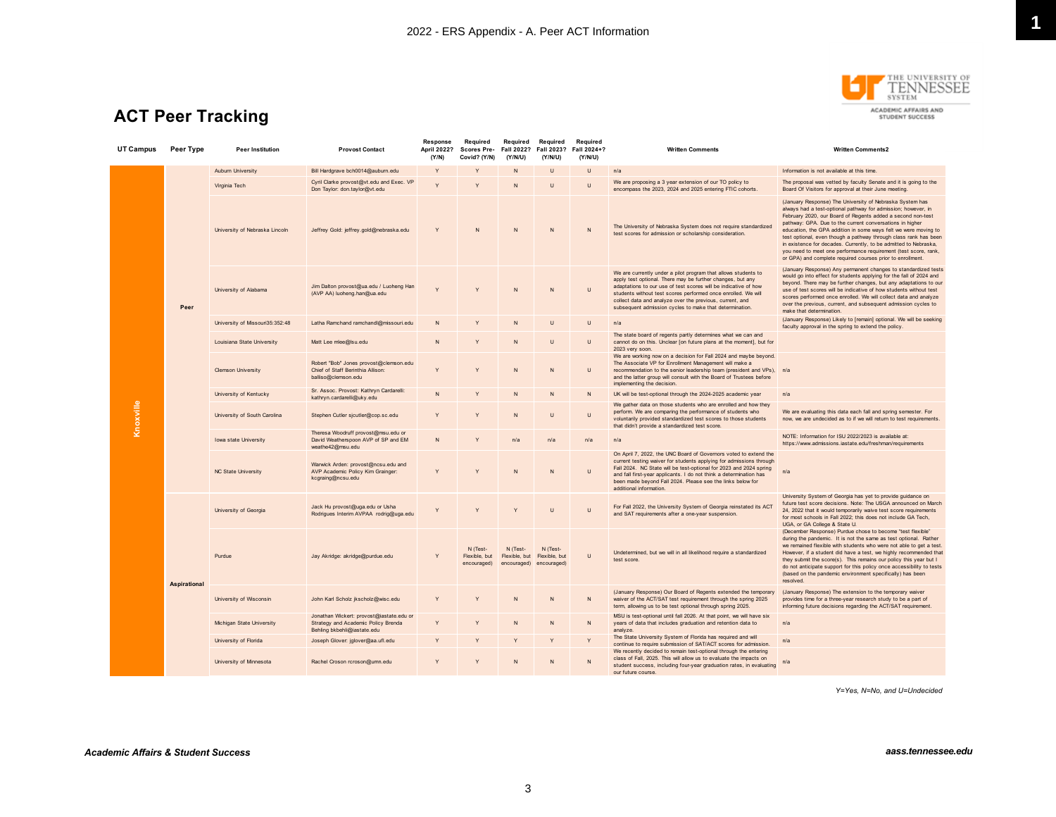

ACADEMIC AFFAIRS AND<br>STUDENT SUCCESS

# **ACT Peer Tracking**

| <b>UT Campus</b> | Peer Type    | <b>Peer Institution</b>         | <b>Provost Contact</b>                                                                                         | Response<br><b>April 2022?</b><br>(Y/N) | Required<br><b>Scores Pre-</b><br>Covid? (Y/N) | Required<br><b>Fall 2022?</b><br>(Y/N/U) | Required<br>Fall 2023?<br>(Y/N/U)        | Required<br>Fall 2024+?<br>(Y/N/U) | <b>Written Comments</b>                                                                                                                                                                                                                                                                                                                                                                 | <b>Written Comments2</b>                                                                                                                                                                                                                                                                                                                                                                                                                                                                                                                                                                         |
|------------------|--------------|---------------------------------|----------------------------------------------------------------------------------------------------------------|-----------------------------------------|------------------------------------------------|------------------------------------------|------------------------------------------|------------------------------------|-----------------------------------------------------------------------------------------------------------------------------------------------------------------------------------------------------------------------------------------------------------------------------------------------------------------------------------------------------------------------------------------|--------------------------------------------------------------------------------------------------------------------------------------------------------------------------------------------------------------------------------------------------------------------------------------------------------------------------------------------------------------------------------------------------------------------------------------------------------------------------------------------------------------------------------------------------------------------------------------------------|
|                  |              | Auburn University               | Bill Hardgrave bch0014@auburn.edu                                                                              |                                         | Y                                              | N                                        | $\cup$                                   | $\cup$                             | n/a                                                                                                                                                                                                                                                                                                                                                                                     | Information is not available at this time.                                                                                                                                                                                                                                                                                                                                                                                                                                                                                                                                                       |
|                  |              | Virginia Tech                   | Cyril Clarke provost@vt.edu and Exec. VP<br>Don Taylor: don.taylor@vt.edu                                      |                                         |                                                | $\mathbf N$                              | $\mathbf{U}$                             | $\mathbf{U}$                       | We are proposing a 3 year extension of our TO policy to<br>encompass the 2023, 2024 and 2025 entering FTIC cohorts.                                                                                                                                                                                                                                                                     | The proposal was vetted by faculty Senate and it is going to the<br>Board Of Visitors for approval at their June meeting.                                                                                                                                                                                                                                                                                                                                                                                                                                                                        |
|                  |              | University of Nebraska Lincoln  | Jeffrey Gold: jeffrey.gold@nebraska.edu                                                                        | Y                                       | $\mathsf N$                                    | $\mathbf N$                              | N                                        | $\mathbf N$                        | The University of Nebraska System does not require standardized<br>test scores for admission or scholarship consideration.                                                                                                                                                                                                                                                              | (January Response) The University of Nebraska System has<br>always had a test-optional pathway for admission; however, in<br>February 2020, our Board of Regents added a second non-test<br>pathway: GPA. Due to the current conversations in higher<br>education, the GPA addition in some ways felt we were moving to<br>test optional, even though a pathway through class rank has been<br>in existence for decades. Currently, to be admitted to Nebraska,<br>you need to meet one performance requirement (test score, rank,<br>or GPA) and complete required courses prior to enrollment. |
|                  | Peer         | University of Alabama           | Jim Dalton provost@ua.edu / Luoheng Han<br>(AVP AA) luoheng.han@ua.edu                                         | $\checkmark$                            | Y                                              | $\mathbf N$                              | N                                        | $\mathbf{U}$                       | We are currently under a pilot program that allows students to<br>apply test optional. There may be further changes, but any<br>adaptations to our use of test scores will be indicative of how<br>students without test scores performed once enrolled. We will<br>collect data and analyze over the previous, current, and<br>subsequent admission cycles to make that determination. | (January Response) Any permanent changes to standardized tests<br>would go into effect for students applying for the fall of 2024 and<br>beyond. There may be further changes, but any adaptations to our<br>use of test scores will be indicative of how students without test<br>scores performed once enrolled. We will collect data and analyze<br>over the previous, current, and subsequent admission cycles to<br>make that determination.                                                                                                                                                |
|                  |              | University of Missouri35:352:48 | Latha Ramchand ramchandl@missouri.edu                                                                          | $\mathsf{N}$                            | Y                                              | N                                        | $\mathbf{U}$                             | $\cup$                             | n/a                                                                                                                                                                                                                                                                                                                                                                                     | (January Response) Likely to [remain] optional. We will be seeking<br>faculty approval in the spring to extend the policy.                                                                                                                                                                                                                                                                                                                                                                                                                                                                       |
|                  |              | Louisiana State University      | Matt Lee mlee@lsu.edu                                                                                          | $\mathsf{N}$                            | Y                                              | N                                        | $\cup$                                   | U                                  | The state board of regents partly determines what we can and<br>cannot do on this. Unclear [on future plans at the moment], but for<br>2023 very soon.                                                                                                                                                                                                                                  |                                                                                                                                                                                                                                                                                                                                                                                                                                                                                                                                                                                                  |
|                  |              | <b>Clemson University</b>       | Robert "Bob" Jones provost@clemson.edu<br>Chief of Staff Berinthia Allison:<br>balliso@clemson.edu             | Y                                       | $\vee$                                         | N                                        | N                                        | U                                  | We are working now on a decision for Fall 2024 and maybe beyond.<br>The Associate VP for Enrollment Management will make a<br>recommendation to the senior leadership team (president and VPs), n/a<br>and the latter group will consult with the Board of Trustees before<br>implementing the decision.                                                                                |                                                                                                                                                                                                                                                                                                                                                                                                                                                                                                                                                                                                  |
|                  |              | University of Kentucky          | Sr. Assoc. Provost: Kathryn Cardarelli:<br>kathryn.cardarelli@uky.edu                                          | N                                       | Y                                              | N                                        | N                                        | $\,$ N                             | UK will be test-optional through the 2024-2025 academic year                                                                                                                                                                                                                                                                                                                            | n/a                                                                                                                                                                                                                                                                                                                                                                                                                                                                                                                                                                                              |
| Knoxville        |              | University of South Carolina    | Stephen Cutler sjcutler@cop.sc.edu                                                                             |                                         | $\vee$                                         | N                                        | U                                        | U                                  | We gather data on those students who are enrolled and how they<br>perform. We are comparing the performance of students who<br>voluntarily provided standardized test scores to those students<br>that didn't provide a standardized test score.                                                                                                                                        | We are evaluating this data each fall and spring semester. For<br>now, we are undecided as to if we will return to test requirements.                                                                                                                                                                                                                                                                                                                                                                                                                                                            |
|                  |              | Iowa state University           | Theresa Woodruff provost@msu.edu or<br>David Weatherspoon AVP of SP and EM<br>weathe42@msu.edu                 | $\mathsf{N}$                            | $\vee$                                         | n/a                                      | n/a                                      | n/a                                | n/a                                                                                                                                                                                                                                                                                                                                                                                     | NOTE: Information for ISU 2022/2023 is available at:<br>https://www.admissions.iastate.edu/freshman/requirements                                                                                                                                                                                                                                                                                                                                                                                                                                                                                 |
|                  |              | <b>NC State University</b>      | Warwick Arden: provost@ncsu.edu and<br>AVP Academic Policy Kim Grainger:<br>kcgraing@ncsu.edu                  | Y                                       | Y                                              | N                                        | N                                        | $\cup$                             | On April 7, 2022, the UNC Board of Governors voted to extend the<br>current testing waiver for students applying for admissions through<br>Fall 2024. NC State will be test-optional for 2023 and 2024 spring<br>and fall first-year applicants. I do not think a determination has<br>been made beyond Fall 2024. Please see the links below for<br>additional information.            | n/a                                                                                                                                                                                                                                                                                                                                                                                                                                                                                                                                                                                              |
|                  |              | University of Georgia           | Jack Hu provost@uga.edu or Usha<br>Rodrigues Interim AVPAA rodrig@uga.edu                                      | Y                                       | Y                                              | Y                                        | $\mathbf{u}$                             | $\cup$                             | For Fall 2022, the University System of Georgia reinstated its ACT<br>and SAT requirements after a one-year suspension.                                                                                                                                                                                                                                                                 | University System of Georgia has yet to provide guidance on<br>future test score decisions. Note: The USGA announced on March<br>24, 2022 that it would temporarily waive test score requirements<br>for most schools in Fall 2022; this does not include GA Tech,<br>UGA, or GA College & State U.                                                                                                                                                                                                                                                                                              |
|                  |              | Purdue                          | Jay Akridge: akridge@purdue.edu                                                                                |                                         | N (Test-<br>Flexible, but<br>encouraged)       | N (Test-<br>Flexible, but<br>encouraged) | N (Test-<br>Flexible, but<br>encouraged) | $\cup$                             | Undetermined, but we will in all likelihood require a standardized<br>test score                                                                                                                                                                                                                                                                                                        | (December Response) Purdue chose to become "test flexible"<br>during the pandemic. It is not the same as test optional. Rather<br>we remained flexible with students who were not able to get a test.<br>However, if a student did have a test, we highly recommended that<br>they submit the score(s). This remains our policy this year but I<br>do not anticipate support for this policy once accessibility to tests<br>(based on the pandemic environment specifically) has been<br>resolved.                                                                                               |
|                  | Aspirational | University of Wisconsin         | John Karl Scholz jkscholz@wisc.edu                                                                             | $\vee$                                  | Y                                              | $\overline{N}$                           | N                                        | $\mathsf{N}$                       | (January Response) Our Board of Regents extended the temporary<br>waiver of the ACT/SAT test requirement through the spring 2025<br>term, allowing us to be test optional through spring 2025.                                                                                                                                                                                          | (January Response) The extension to the temporary waiver<br>provides time for a three-year research study to be a part of<br>informing future decisions regarding the ACT/SAT requirement.                                                                                                                                                                                                                                                                                                                                                                                                       |
|                  |              | Michigan State University       | Jonathan Wickert: provost@iastate.edu or<br>Strategy and Academic Policy Brenda<br>Behling bkbehli@iastate.edu | Y                                       | Y                                              | $\mathbf N$                              | N                                        | N                                  | MSU is test-optional until fall 2026. At that point, we will have six<br>years of data that includes graduation and retention data to<br>analyze.                                                                                                                                                                                                                                       | n/a                                                                                                                                                                                                                                                                                                                                                                                                                                                                                                                                                                                              |
|                  |              | University of Florida           | Joseph Glover: jglover@aa.ufl.edu                                                                              |                                         | Y                                              |                                          | Y                                        | Y                                  | The State University System of Florida has required and will<br>continue to require submission of SAT/ACT scores for admission.                                                                                                                                                                                                                                                         | n/a                                                                                                                                                                                                                                                                                                                                                                                                                                                                                                                                                                                              |
|                  |              | University of Minnesota         | Rachel Croson rcroson@umn.edu                                                                                  | $\vee$                                  | $\vee$                                         | $\mathbf N$                              | N                                        | ${\sf N}$                          | We recently decided to remain test-optional through the entering<br>class of Fall, 2025. This will allow us to evaluate the impacts on<br>student success, including four-year graduation rates, in evaluating<br>our future course.                                                                                                                                                    | n/a                                                                                                                                                                                                                                                                                                                                                                                                                                                                                                                                                                                              |

*Y=Yes, N=No, and U=Undecided*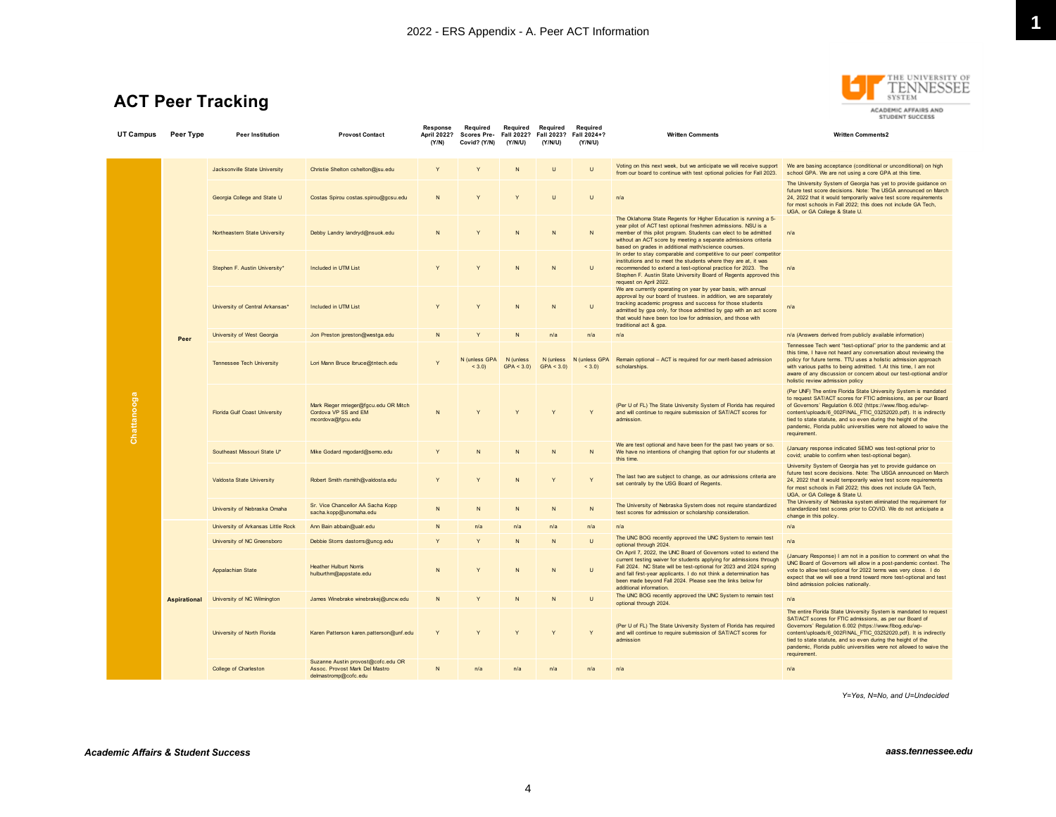# **ACT Peer Tracking**

| <b>UT Campus</b> | Peer Type    | <b>Peer Institution</b>            | <b>Provost Contact</b>                                                                       | Response<br>April 2022?<br>(Y/N) | Required<br>Scores Pre-<br>Covid? (Y/N) | Required<br><b>Fall 2022?</b><br>(Y/N/U) | Required<br>Fall 2023?<br>(Y/N/U) | Reauired<br>Fall 2024+?<br>(Y/N/U) | <b>Written Comments</b>                                                                                                                                                                                                                                                                                                                                                     | <b>Written Comments2</b>                                                                                                                                                                                                                                                                                                                                                                                                  |
|------------------|--------------|------------------------------------|----------------------------------------------------------------------------------------------|----------------------------------|-----------------------------------------|------------------------------------------|-----------------------------------|------------------------------------|-----------------------------------------------------------------------------------------------------------------------------------------------------------------------------------------------------------------------------------------------------------------------------------------------------------------------------------------------------------------------------|---------------------------------------------------------------------------------------------------------------------------------------------------------------------------------------------------------------------------------------------------------------------------------------------------------------------------------------------------------------------------------------------------------------------------|
|                  |              | Jacksonville State University      | Christie Shelton cshelton@jsu.edu                                                            | $\vee$                           |                                         | $\mathsf{N}$                             | $\mathbf{U}$                      | $\mathbf{U}$                       | Voting on this next week, but we anticipate we will receive support<br>from our board to continue with test optional policies for Fall 2023.                                                                                                                                                                                                                                | We are basing acceptance (conditional or unconditional) on high<br>school GPA. We are not using a core GPA at this time.                                                                                                                                                                                                                                                                                                  |
|                  |              | Georgia College and State U        | Costas Spirou costas.spirou@gcsu.edu                                                         | N                                |                                         |                                          | $\mathbf{U}$                      | $\cup$                             | n/a                                                                                                                                                                                                                                                                                                                                                                         | The University System of Georgia has yet to provide guidance on<br>future test score decisions. Note: The USGA announced on March<br>24, 2022 that it would temporarily waive test score requirements<br>for most schools in Fall 2022; this does not include GA Tech,<br>UGA, or GA College & State U.                                                                                                                   |
|                  |              | Northeastern State University      | Debby Landry landryd@nsuok.edu                                                               | N                                |                                         | N                                        | N                                 | $\overline{N}$                     | The Oklahoma State Regents for Higher Education is running a 5-<br>vear pilot of ACT test optional freshmen admissions. NSU is a<br>member of this pilot program. Students can elect to be admitted<br>without an ACT score by meeting a separate admissions criteria<br>based on grades in additional math/science courses.                                                | n/a                                                                                                                                                                                                                                                                                                                                                                                                                       |
|                  |              | Stephen F. Austin University*      | Included in UTM List                                                                         | Y                                |                                         | N                                        | N                                 | $\mathbf{U}$                       | In order to stay comparable and competitive to our peer/ competitor<br>institutions and to meet the students where they are at, it was<br>recommended to extend a test-optional practice for 2023. The<br>Stephen F. Austin State University Board of Regents approved this<br>request on April 2022.                                                                       | n/a                                                                                                                                                                                                                                                                                                                                                                                                                       |
|                  |              | University of Central Arkansas*    | Included in UTM List                                                                         |                                  |                                         | $\mathsf{N}$                             | N                                 | $\mathbf{U}$                       | We are currently operating on year by year basis, with annual<br>approval by our board of trustees. in addition, we are separately<br>tracking academic progress and success for those students<br>admitted by gpa only, for those admitted by gap with an act score<br>that would have been too low for admission, and those with<br>traditional act & gpa.                | n/a                                                                                                                                                                                                                                                                                                                                                                                                                       |
|                  | Peer         | University of West Georgia         | Jon Preston jpreston@westga.edu                                                              | $\mathsf{N}$                     |                                         | $\mathbf N$                              | n/a                               | n/a                                | n/a                                                                                                                                                                                                                                                                                                                                                                         | n/a (Answers derived from publicly available information)                                                                                                                                                                                                                                                                                                                                                                 |
|                  |              | <b>Tennessee Tech University</b>   | Lori Mann Bruce Ibruce@tntech.edu                                                            |                                  | N (unless GPA<br>< 3.01                 | N (unless<br>GPA < 3.0                   | N (unless<br>GPA < 3.0            | N (unless GPA<br>< 3.01            | Remain optional - ACT is required for our merit-based admission<br>scholarships.                                                                                                                                                                                                                                                                                            | Tennessee Tech went "test-optional" prior to the pandemic and at<br>this time, I have not heard any conversation about reviewing the<br>policy for future terms. TTU uses a holistic admission approach<br>with various paths to being admitted. 1.At this time, I am not<br>aware of any discussion or concern about our test-optional and/or<br>holistic review admission policy                                        |
| Chattanooga      |              | Florida Gulf Coast University      | Mark Rieger mrieger@fgcu.edu OR Mitch<br>Cordova VP SS and EM<br>mcordova@fgcu.edu           | N                                |                                         | Y                                        |                                   | Y                                  | (Per U of FL) The State University System of Florida has required<br>and will continue to require submission of SAT/ACT scores for<br>admission                                                                                                                                                                                                                             | (Per UNF) The entire Florida State University System is mandated<br>to request SAT/ACT scores for FTIC admissions, as per our Board<br>of Governors' Regulation 6.002 (https://www.flbog.edu/wp-<br>content/uploads/6_002FINAL_FTIC_03252020.pdf). It is indirectly<br>tied to state statute, and so even during the height of the<br>pandemic, Florida public universities were not allowed to waive the<br>requirement. |
|                  |              | Southeast Missouri State U*        | Mike Godard mgodard@semo.edu                                                                 | $\checkmark$                     | N                                       | N                                        | N                                 | $\mathsf{N}$                       | We are test optional and have been for the past two years or so.<br>We have no intentions of changing that option for our students at<br>this time.                                                                                                                                                                                                                         | (January response indicated SEMO was test-optional prior to<br>covid: unable to confirm when test-optional began).                                                                                                                                                                                                                                                                                                        |
|                  |              | Valdosta State University          | Robert Smith rtsmith@valdosta.edu                                                            | $\checkmark$                     |                                         | $\mathsf{N}$                             | Y                                 | Y                                  | The last two are subject to change, as our admissions criteria are<br>set centrally by the USG Board of Regents.                                                                                                                                                                                                                                                            | University System of Georgia has yet to provide guidance on<br>future test score decisions. Note: The USGA announced on March<br>24, 2022 that it would temporarily waive test score requirements<br>for most schools in Fall 2022; this does not include GA Tech.<br>UGA, or GA College & State U.                                                                                                                       |
|                  |              | University of Nebraska Omaha       | Sr. Vice Chancellor AA Sacha Kopp<br>sacha.kopp@unomaha.edu                                  | $\mathsf{N}$                     | $\mathsf N$                             | $\mathsf{N}$                             | N                                 | N                                  | The University of Nebraska System does not require standardized<br>test scores for admission or scholarship consideration.                                                                                                                                                                                                                                                  | The University of Nebraska system eliminated the requirement for<br>standardized test scores prior to COVID. We do not anticipate a<br>change in this policy.                                                                                                                                                                                                                                                             |
|                  |              | University of Arkansas Little Rock | Ann Bain abbain@ualr.edu                                                                     | N                                | n/a                                     | n/a                                      | n/a                               | n/a                                | n/a                                                                                                                                                                                                                                                                                                                                                                         | n/a                                                                                                                                                                                                                                                                                                                                                                                                                       |
|                  |              | University of NC Greensboro        | Debbie Storrs dastorrs@uncg.edu                                                              | $\checkmark$                     | $\vee$                                  | N                                        | N                                 | $\mathbf{U}$                       | The UNC BOG recently approved the UNC System to remain test<br>optional through 2024.                                                                                                                                                                                                                                                                                       | n/a                                                                                                                                                                                                                                                                                                                                                                                                                       |
|                  |              | Appalachian State                  | <b>Heather Hulburt Norris</b><br>hulburthm@appstate.edu                                      | N                                |                                         | $\mathsf{N}$                             | N                                 | $\cup$                             | On April 7, 2022, the UNC Board of Governors voted to extend the<br>current testing waiver for students applying for admissions through<br>Fall 2024. NC State will be test-optional for 2023 and 2024 spring<br>and fall first-year applicants. I do not think a determination has<br>been made beyond Fall 2024. Please see the links below for<br>additional information | (January Response) I am not in a position to comment on what the<br>UNC Board of Governors will allow in a post-pandemic context. The<br>vote to allow test-optional for 2022 terms was very close. I do<br>expect that we will see a trend toward more test-optional and test<br>blind admission policies nationally.                                                                                                    |
|                  | Aspirational | University of NC Wilmington        | James Winebrake winebrakej@uncw.edu                                                          | N                                |                                         | N                                        | N                                 | $\cup$                             | The UNC BOG recently approved the UNC System to remain test<br>optional through 2024.                                                                                                                                                                                                                                                                                       | n/a                                                                                                                                                                                                                                                                                                                                                                                                                       |
|                  |              | University of North Florida        | Karen Patterson karen.patterson@unf.edu                                                      |                                  |                                         | Y                                        | Y                                 |                                    | (Per U of FL) The State University System of Florida has required<br>and will continue to require submission of SAT/ACT scores for<br>admission                                                                                                                                                                                                                             | The entire Florida State University System is mandated to request<br>SAT/ACT scores for FTIC admissions, as per our Board of<br>Governors' Regulation 6.002 (https://www.flbog.edu/wp-<br>content/uploads/6_002FINAL_FTIC_03252020.pdf). It is indirectly<br>tied to state statute, and so even during the height of the<br>pandemic, Florida public universities were not allowed to waive the<br>requirement            |
|                  |              | College of Charleston              | Suzanne Austin provost@cofc.edu OR<br>Assoc. Provost Mark Del Mastro<br>delmastromp@cofc.edu | N                                | n/a                                     | n/a                                      | n/a                               | n/a                                | n/a                                                                                                                                                                                                                                                                                                                                                                         | n/a                                                                                                                                                                                                                                                                                                                                                                                                                       |

*Y=Yes, N=No, and U=Undecided*

THE UNIVERSITY OF TENNESSEE

SYSTEM ACADEMIC AFFAIRS AND<br>STUDENT SUCCESS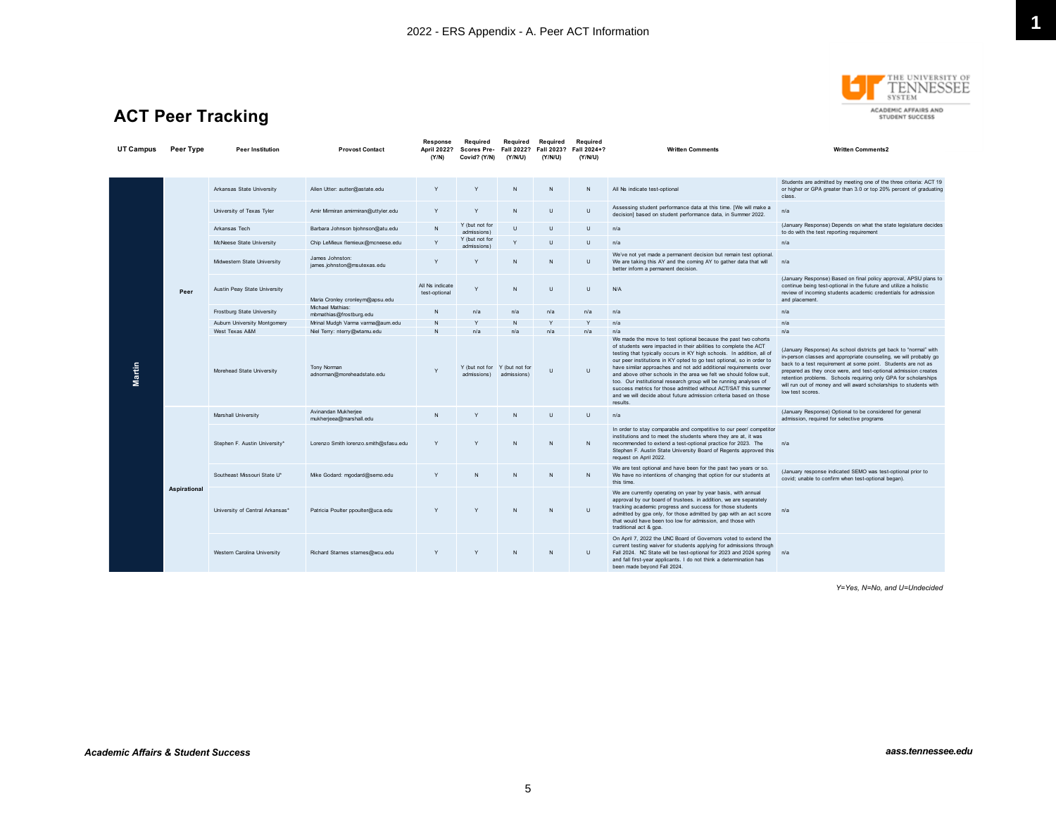

ACADEMIC AFFAIRS AND<br>STUDENT SUCCESS

# **ACT Peer Tracking**

| UT Campus | Peer Type    | <b>Peer Institution</b>         | <b>Provost Contact</b>                         | Response<br><b>April 2022?</b><br>(Y/N) | Required<br>Scores Pre-<br>Covid? (Y/N)      | Required<br><b>Fall 2022?</b><br>(Y/N/U) | Required<br><b>Fall 2023?</b><br>(Y/N/U) | Required<br>Fall 2024+?<br>(Y/N/U) | <b>Written Comments</b>                                                                                                                                                                                                                                                                                                                                                                                                                                                                                                                                                                                                                                | <b>Written Comments2</b>                                                                                                                                                                                                                                                                                                                                                                                                               |
|-----------|--------------|---------------------------------|------------------------------------------------|-----------------------------------------|----------------------------------------------|------------------------------------------|------------------------------------------|------------------------------------|--------------------------------------------------------------------------------------------------------------------------------------------------------------------------------------------------------------------------------------------------------------------------------------------------------------------------------------------------------------------------------------------------------------------------------------------------------------------------------------------------------------------------------------------------------------------------------------------------------------------------------------------------------|----------------------------------------------------------------------------------------------------------------------------------------------------------------------------------------------------------------------------------------------------------------------------------------------------------------------------------------------------------------------------------------------------------------------------------------|
|           |              |                                 |                                                |                                         |                                              |                                          |                                          |                                    |                                                                                                                                                                                                                                                                                                                                                                                                                                                                                                                                                                                                                                                        |                                                                                                                                                                                                                                                                                                                                                                                                                                        |
|           |              | Arkansas State University       | Allen Utter: autter@astate.edu                 | Y                                       | Y                                            | N                                        | $\mathsf{N}$                             | $\mathsf{N}$                       | All Ns indicate test-optional                                                                                                                                                                                                                                                                                                                                                                                                                                                                                                                                                                                                                          | Students are admitted by meeting one of the three criteria: ACT 19<br>or higher or GPA greater than 3.0 or top 20% percent of graduating<br>class.                                                                                                                                                                                                                                                                                     |
|           |              | University of Texas Tyler       | Amir Mirmiran amirmiran@uttyler.edu            | Y                                       | Y                                            | $\mathsf{N}$                             | $\cup$                                   | $\cup$                             | Assessing student performance data at this time. [We will make a<br>decision] based on student performance data, in Summer 2022.                                                                                                                                                                                                                                                                                                                                                                                                                                                                                                                       | n/a                                                                                                                                                                                                                                                                                                                                                                                                                                    |
|           |              | Arkansas Tech                   | Barbara Johnson bjohnson@atu.edu               | $\mathsf{N}$                            | Y (but not for<br>admissions)                | $\mathbf{U}$                             | $\cup$                                   | $\cup$                             | n/a                                                                                                                                                                                                                                                                                                                                                                                                                                                                                                                                                                                                                                                    | (January Response) Depends on what the state legislature decides<br>to do with the test reporting requirement                                                                                                                                                                                                                                                                                                                          |
|           |              | McNeese State University        | Chip LeMieux flemieux@mcneese.edu              | Y                                       | Y (but not for<br>admissions)                | Y                                        | $\cup$                                   | $\cup$                             | n/a                                                                                                                                                                                                                                                                                                                                                                                                                                                                                                                                                                                                                                                    | n/a                                                                                                                                                                                                                                                                                                                                                                                                                                    |
|           |              | Midwestern State University     | James Johnston:<br>james.johnston@msutexas.edu | Y                                       | $\checkmark$                                 | $\mathsf{N}$                             | N                                        | $\mathbf{U}$                       | We've not yet made a permanent decision but remain test optional.<br>We are taking this AY and the coming AY to gather data that will<br>better inform a permanent decision.                                                                                                                                                                                                                                                                                                                                                                                                                                                                           | n/a                                                                                                                                                                                                                                                                                                                                                                                                                                    |
|           | Peer         | Austin Peay State University    | Maria Cronley cronleym@apsu.edu                | All Ns indicate<br>test-optional        | Y                                            | N                                        | $\cup$                                   | $\cup$                             | N/A                                                                                                                                                                                                                                                                                                                                                                                                                                                                                                                                                                                                                                                    | (January Response) Based on final policy approval, APSU plans to<br>continue being test-optional in the future and utilize a holistic<br>review of incoming students academic credentials for admission<br>and placement.                                                                                                                                                                                                              |
|           |              | Frostburg State University      | Michael Mathias:<br>mbmathias@frostburg.edu    | N                                       | n/a                                          | n/a                                      | n/a                                      | n/a                                | n/a                                                                                                                                                                                                                                                                                                                                                                                                                                                                                                                                                                                                                                                    | n/a                                                                                                                                                                                                                                                                                                                                                                                                                                    |
|           |              | Auburn University Montgomery    | Mrinal Mudgh Varma varma@aum.edu               | N                                       | Y                                            | N                                        | Y                                        | Y                                  | n/a                                                                                                                                                                                                                                                                                                                                                                                                                                                                                                                                                                                                                                                    | n/a                                                                                                                                                                                                                                                                                                                                                                                                                                    |
|           |              | West Texas A&M                  | Niel Terry: nterry@wtamu.edu                   | N                                       | n/a                                          | n/a                                      | n/a                                      | n/a                                | n/a                                                                                                                                                                                                                                                                                                                                                                                                                                                                                                                                                                                                                                                    | n/a                                                                                                                                                                                                                                                                                                                                                                                                                                    |
| Martin    |              | Morehead State University       | Tony Norman<br>adnorman@moreheadstate.edu      | v                                       | Y (but not for Y (but not for<br>admissions) | admissions)                              | $\cup$                                   | $\mathbf{U}$                       | We made the move to test optional because the past two cohorts<br>of students were impacted in their abilities to complete the ACT<br>testing that typically occurs in KY high schools. In addition, all of<br>our peer institutions in KY opted to go test optional, so in order to<br>have similar approaches and not add additional requirements over<br>and above other schools in the area we felt we should follow suit,<br>too. Our institutional research group will be running analyses of<br>success metrics for those admitted without ACT/SAT this summer<br>and we will decide about future admission criteria based on those<br>results. | (January Response) As school districts get back to "normal" with<br>in-person classes and appropriate counseling, we will probably go<br>back to a test requirement at some point. Students are not as<br>prepared as they once were, and test-optional admission creates<br>retention problems. Schools requiring only GPA for scholarships<br>will run out of money and will award scholarships to students with<br>low test scores. |
|           |              | Marshall University             | Avinandan Mukherjee<br>mukherjeea@marshall.edu | N                                       | Y                                            | N                                        | U                                        | $\mathbf{U}$                       | n/a                                                                                                                                                                                                                                                                                                                                                                                                                                                                                                                                                                                                                                                    | (January Response) Optional to be considered for general<br>admission, required for selective programs                                                                                                                                                                                                                                                                                                                                 |
|           |              | Stephen F. Austin University*   | Lorenzo Smith lorenzo.smith@sfasu.edu          | Y                                       | Y                                            | N                                        | $\mathsf{N}$                             | $\mathbf N$                        | In order to stay comparable and competitive to our peer/ competitor<br>institutions and to meet the students where they are at, it was<br>recommended to extend a test-optional practice for 2023. The<br>Stephen F. Austin State University Board of Regents approved this<br>request on April 2022.                                                                                                                                                                                                                                                                                                                                                  | n/a                                                                                                                                                                                                                                                                                                                                                                                                                                    |
|           |              | Southeast Missouri State U*     | Mike Godard: mgodard@semo.edu                  | Y                                       | N                                            | N                                        | $\mathsf{N}$                             | $\mathbf N$                        | We are test optional and have been for the past two years or so.<br>We have no intentions of changing that option for our students at<br>this time.                                                                                                                                                                                                                                                                                                                                                                                                                                                                                                    | (January response indicated SEMO was test-optional prior to<br>covid; unable to confirm when test-optional began).                                                                                                                                                                                                                                                                                                                     |
|           | Aspirational | University of Central Arkansas* | Patricia Poulter ppoulter@uca.edu              | Y                                       | Y                                            | N                                        | $\mathsf{N}$                             | $\mathbf{U}$                       | We are currently operating on year by year basis, with annual<br>approval by our board of trustees. in addition, we are separately<br>tracking academic progress and success for those students<br>admitted by gpa only, for those admitted by gap with an act score<br>that would have been too low for admission, and those with<br>traditional act & gpa.                                                                                                                                                                                                                                                                                           | n/a                                                                                                                                                                                                                                                                                                                                                                                                                                    |
|           |              | Western Carolina University     | Richard Starnes starnes@wcu.edu                | Y                                       | Y                                            | N                                        | $\mathsf{N}$                             | $\mathbf{U}$                       | On April 7, 2022 the UNC Board of Governors voted to extend the<br>current testing waiver for students applying for admissions through<br>Fall 2024. NC State will be test-optional for 2023 and 2024 spring n/a<br>and fall first-year applicants. I do not think a determination has<br>been made beyond Fall 2024.                                                                                                                                                                                                                                                                                                                                  |                                                                                                                                                                                                                                                                                                                                                                                                                                        |

*Y=Yes, N=No, and U=Undecided*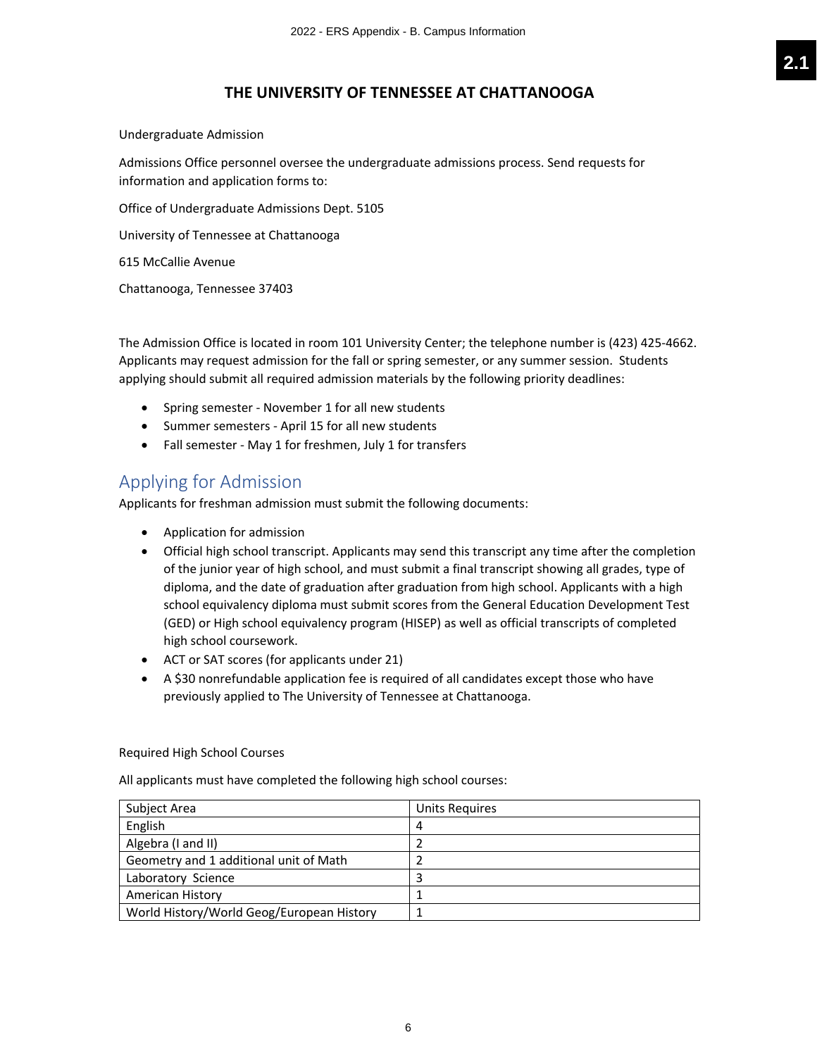<span id="page-5-0"></span>Undergraduate Admission

Admissions Office personnel oversee the undergraduate admissions process. Send requests for information and application forms to:

Office of Undergraduate Admissions Dept. 5105

University of Tennessee at Chattanooga

615 McCallie Avenue

Chattanooga, Tennessee 37403

The Admission Office is located in room 101 University Center; the telephone number is (423) 425-4662. Applicants may request admission for the fall or spring semester, or any summer session. Students applying should submit all required admission materials by the following priority deadlines:

- Spring semester November 1 for all new students
- Summer semesters April 15 for all new students
- Fall semester May 1 for freshmen, July 1 for transfers

# Applying for Admission

Applicants for freshman admission must submit the following documents:

- Application for admission
- Official high school transcript. Applicants may send this transcript any time after the completion of the junior year of high school, and must submit a final transcript showing all grades, type of diploma, and the date of graduation after graduation from high school. Applicants with a high school equivalency diploma must submit scores from the General Education Development Test (GED) or High school equivalency program (HISEP) as well as official transcripts of completed high school coursework.
- ACT or SAT scores (for applicants under 21)
- A \$30 nonrefundable application fee is required of all candidates except those who have previously applied to The University of Tennessee at Chattanooga.

#### Required High School Courses

All applicants must have completed the following high school courses:

| Subject Area                              | <b>Units Requires</b> |
|-------------------------------------------|-----------------------|
| English                                   | 4                     |
| Algebra (I and II)                        |                       |
| Geometry and 1 additional unit of Math    |                       |
| Laboratory Science                        |                       |
| American History                          |                       |
| World History/World Geog/European History |                       |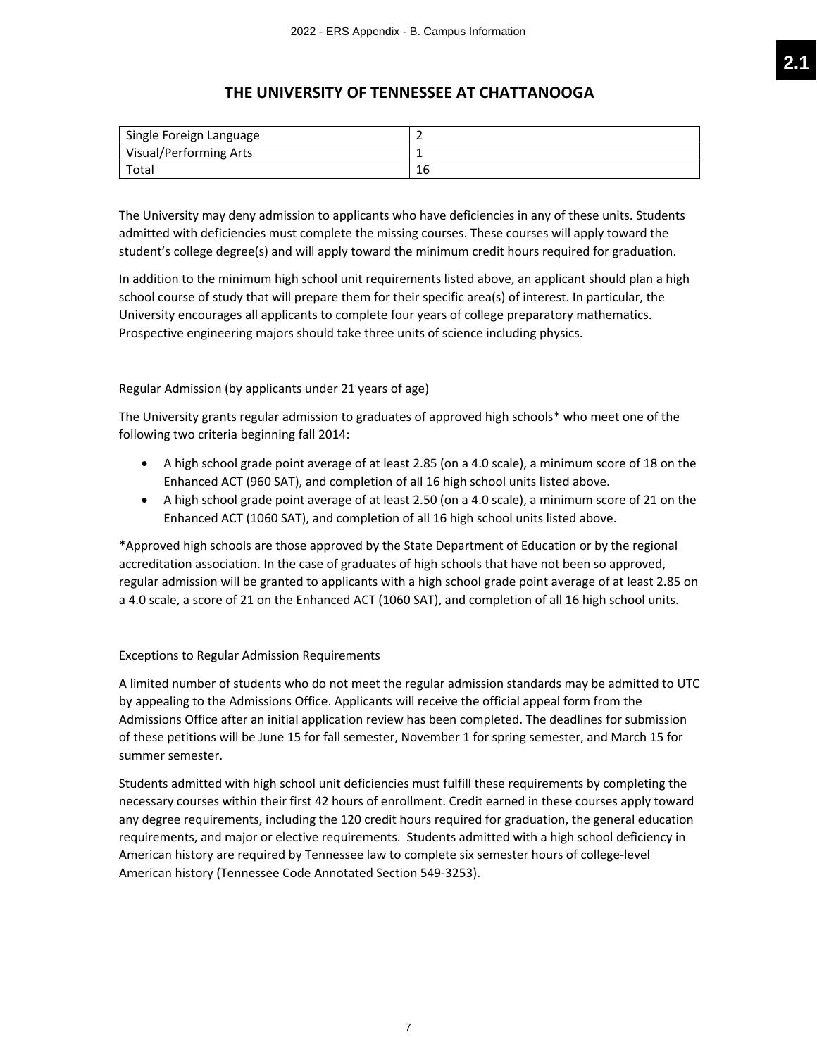| Single Foreign Language       |    |
|-------------------------------|----|
| <b>Visual/Performing Arts</b> |    |
| Total                         | 16 |

The University may deny admission to applicants who have deficiencies in any of these units. Students admitted with deficiencies must complete the missing courses. These courses will apply toward the student's college degree(s) and will apply toward the minimum credit hours required for graduation.

In addition to the minimum high school unit requirements listed above, an applicant should plan a high school course of study that will prepare them for their specific area(s) of interest. In particular, the University encourages all applicants to complete four years of college preparatory mathematics. Prospective engineering majors should take three units of science including physics.

#### Regular Admission (by applicants under 21 years of age)

The University grants regular admission to graduates of approved high schools\* who meet one of the following two criteria beginning fall 2014:

- A high school grade point average of at least 2.85 (on a 4.0 scale), a minimum score of 18 on the Enhanced ACT (960 SAT), and completion of all 16 high school units listed above.
- A high school grade point average of at least 2.50 (on a 4.0 scale), a minimum score of 21 on the Enhanced ACT (1060 SAT), and completion of all 16 high school units listed above.

\*Approved high schools are those approved by the State Department of Education or by the regional accreditation association. In the case of graduates of high schools that have not been so approved, regular admission will be granted to applicants with a high school grade point average of at least 2.85 on a 4.0 scale, a score of 21 on the Enhanced ACT (1060 SAT), and completion of all 16 high school units.

#### Exceptions to Regular Admission Requirements

A limited number of students who do not meet the regular admission standards may be admitted to UTC by appealing to the Admissions Office. Applicants will receive the official appeal form from the Admissions Office after an initial application review has been completed. The deadlines for submission of these petitions will be June 15 for fall semester, November 1 for spring semester, and March 15 for summer semester.

Students admitted with high school unit deficiencies must fulfill these requirements by completing the necessary courses within their first 42 hours of enrollment. Credit earned in these courses apply toward any degree requirements, including the 120 credit hours required for graduation, the general education requirements, and major or elective requirements. Students admitted with a high school deficiency in American history are required by Tennessee law to complete six semester hours of college-level American history (Tennessee Code Annotated Section 549-3253).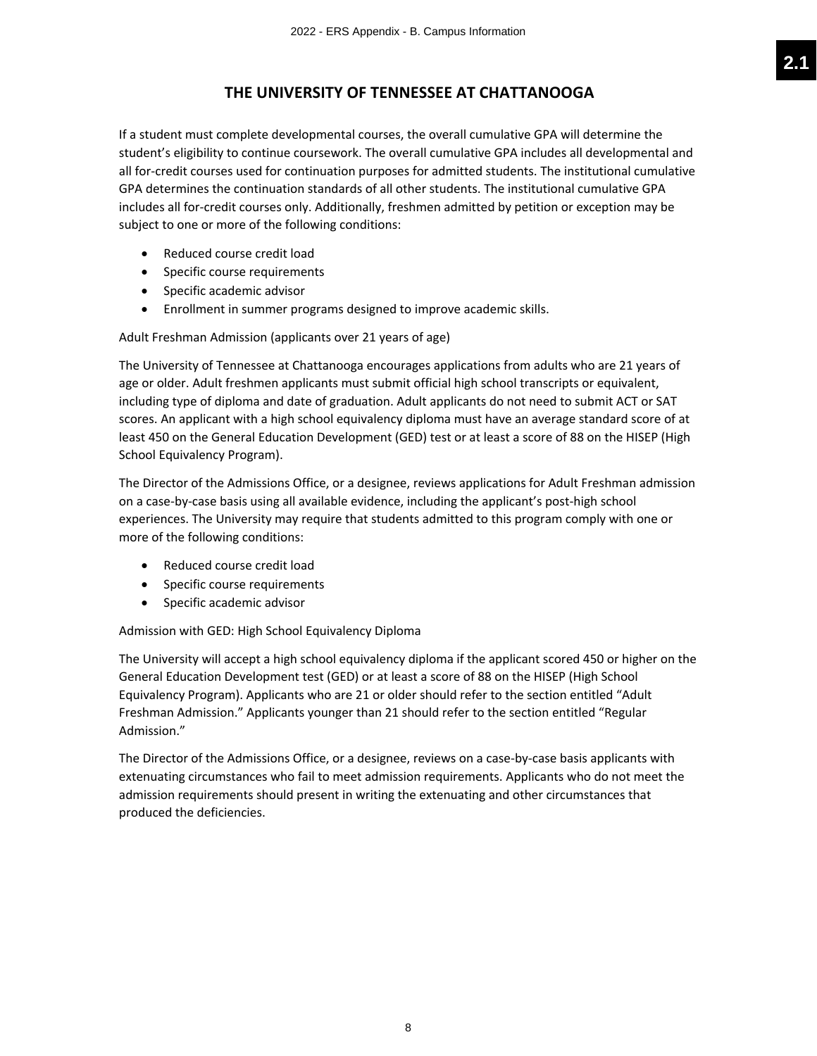If a student must complete developmental courses, the overall cumulative GPA will determine the student's eligibility to continue coursework. The overall cumulative GPA includes all developmental and all for-credit courses used for continuation purposes for admitted students. The institutional cumulative GPA determines the continuation standards of all other students. The institutional cumulative GPA includes all for-credit courses only. Additionally, freshmen admitted by petition or exception may be subject to one or more of the following conditions:

- Reduced course credit load
- Specific course requirements
- Specific academic advisor
- Enrollment in summer programs designed to improve academic skills.

Adult Freshman Admission (applicants over 21 years of age)

The University of Tennessee at Chattanooga encourages applications from adults who are 21 years of age or older. Adult freshmen applicants must submit official high school transcripts or equivalent, including type of diploma and date of graduation. Adult applicants do not need to submit ACT or SAT scores. An applicant with a high school equivalency diploma must have an average standard score of at least 450 on the General Education Development (GED) test or at least a score of 88 on the HISEP (High School Equivalency Program).

The Director of the Admissions Office, or a designee, reviews applications for Adult Freshman admission on a case-by-case basis using all available evidence, including the applicant's post-high school experiences. The University may require that students admitted to this program comply with one or more of the following conditions:

- Reduced course credit load
- Specific course requirements
- Specific academic advisor

Admission with GED: High School Equivalency Diploma

The University will accept a high school equivalency diploma if the applicant scored 450 or higher on the General Education Development test (GED) or at least a score of 88 on the HISEP (High School Equivalency Program). Applicants who are 21 or older should refer to the section entitled "Adult Freshman Admission." Applicants younger than 21 should refer to the section entitled "Regular Admission."

The Director of the Admissions Office, or a designee, reviews on a case-by-case basis applicants with extenuating circumstances who fail to meet admission requirements. Applicants who do not meet the admission requirements should present in writing the extenuating and other circumstances that produced the deficiencies.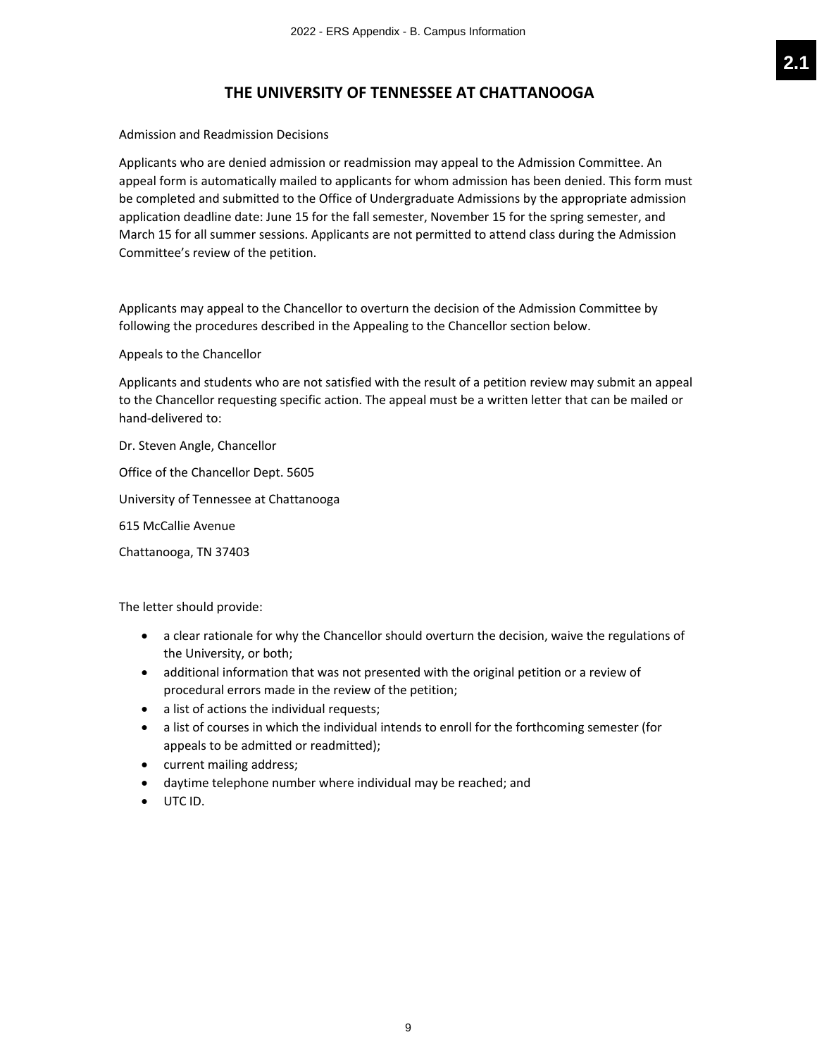Admission and Readmission Decisions

Applicants who are denied admission or readmission may appeal to the Admission Committee. An appeal form is automatically mailed to applicants for whom admission has been denied. This form must be completed and submitted to the Office of Undergraduate Admissions by the appropriate admission application deadline date: June 15 for the fall semester, November 15 for the spring semester, and March 15 for all summer sessions. Applicants are not permitted to attend class during the Admission Committee's review of the petition.

Applicants may appeal to the Chancellor to overturn the decision of the Admission Committee by following the procedures described in the Appealing to the Chancellor section below.

Appeals to the Chancellor

Applicants and students who are not satisfied with the result of a petition review may submit an appeal to the Chancellor requesting specific action. The appeal must be a written letter that can be mailed or hand-delivered to:

Dr. Steven Angle, Chancellor

Office of the Chancellor Dept. 5605

University of Tennessee at Chattanooga

615 McCallie Avenue

Chattanooga, TN 37403

The letter should provide:

- a clear rationale for why the Chancellor should overturn the decision, waive the regulations of the University, or both;
- additional information that was not presented with the original petition or a review of procedural errors made in the review of the petition;
- a list of actions the individual requests;
- a list of courses in which the individual intends to enroll for the forthcoming semester (for appeals to be admitted or readmitted);
- current mailing address;
- daytime telephone number where individual may be reached; and
- UTC ID.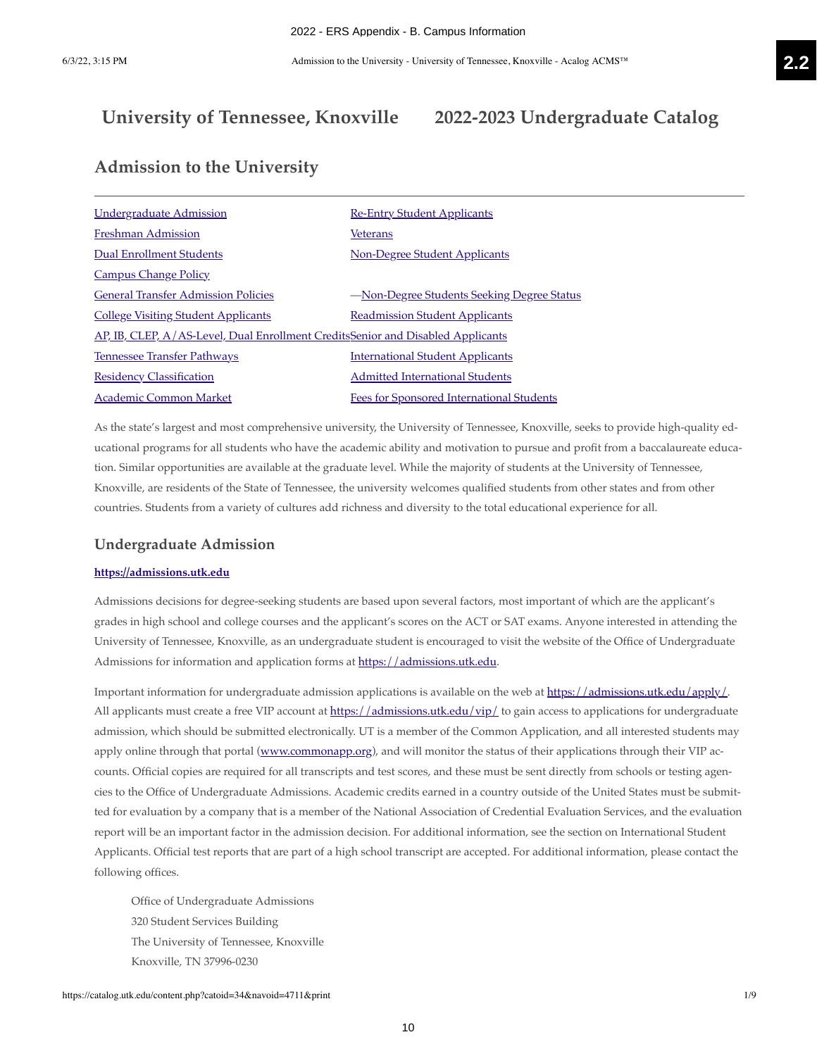# <span id="page-9-0"></span>**University of Tennessee, Knoxville 2022-2023 Undergraduate Catalog**

## **Admission to the University**

| <b>Undergraduate Admission</b>                                                  | <b>Re-Entry Student Applicants</b>         |
|---------------------------------------------------------------------------------|--------------------------------------------|
| <b>Freshman Admission</b>                                                       | <b>Veterans</b>                            |
| <b>Dual Enrollment Students</b>                                                 | <b>Non-Degree Student Applicants</b>       |
| <b>Campus Change Policy</b>                                                     |                                            |
| <b>General Transfer Admission Policies</b>                                      | -Non-Degree Students Seeking Degree Status |
| <b>College Visiting Student Applicants</b>                                      | <b>Readmission Student Applicants</b>      |
| AP, IB, CLEP, A/AS-Level, Dual Enrollment CreditsSenior and Disabled Applicants |                                            |
| <b>Tennessee Transfer Pathways</b>                                              | <b>International Student Applicants</b>    |
| <b>Residency Classification</b>                                                 | <b>Admitted International Students</b>     |
| Academic Common Market                                                          | Fees for Sponsored International Students  |

As the state's largest and most comprehensive university, the University of Tennessee, Knoxville, seeks to provide high-quality educational programs for all students who have the academic ability and motivation to pursue and profit from a baccalaureate education. Similar opportunities are available at the graduate level. While the majority of students at the University of Tennessee, Knoxville, are residents of the State of Tennessee, the university welcomes qualified students from other states and from other countries. Students from a variety of cultures add richness and diversity to the total educational experience for all.

#### **Undergraduate Admission**

#### **[https://admissions.utk.edu](https://admissions.utk.edu/)**

Admissions decisions for degree-seeking students are based upon several factors, most important of which are the applicant's grades in high school and college courses and the applicant's scores on the ACT or SAT exams. Anyone interested in attending the University of Tennessee, Knoxville, as an undergraduate student is encouraged to visit the website of the Office of Undergraduate Admissions for information and application forms at [https://admissions.utk.edu](https://admissions.utk.edu/).

Important information for undergraduate admission applications is available on the web at [https://admissions.utk.edu/apply/.](https://admissions.utk.edu/apply/) All applicants must create a free VIP account at<https://admissions.utk.edu/vip/>to gain access to applications for undergraduate admission, which should be submitted electronically. UT is a member of the Common Application, and all interested students may apply online through that portal [\(www.commonapp.org\)](https://www.commonapp.org/), and will monitor the status of their applications through their VIP accounts. Official copies are required for all transcripts and test scores, and these must be sent directly from schools or testing agencies to the Office of Undergraduate Admissions. Academic credits earned in a country out cies to the Office of Undergraduate Admissions. Academic credits earned in a country outside of the United States must be submit-<br>ted for evaluation by a company that is a member of the National Association of Credential E report will be an important factor in the admission decision. For additional information, see the section on International Student Applicants. Official test reports that are part of a high school transcript are accepted. For additional information, please contact the following offices.

Office of Undergraduate Admissions 320 Student Services Building The University of Tennessee, Knoxville Knoxville, TN 37996-0230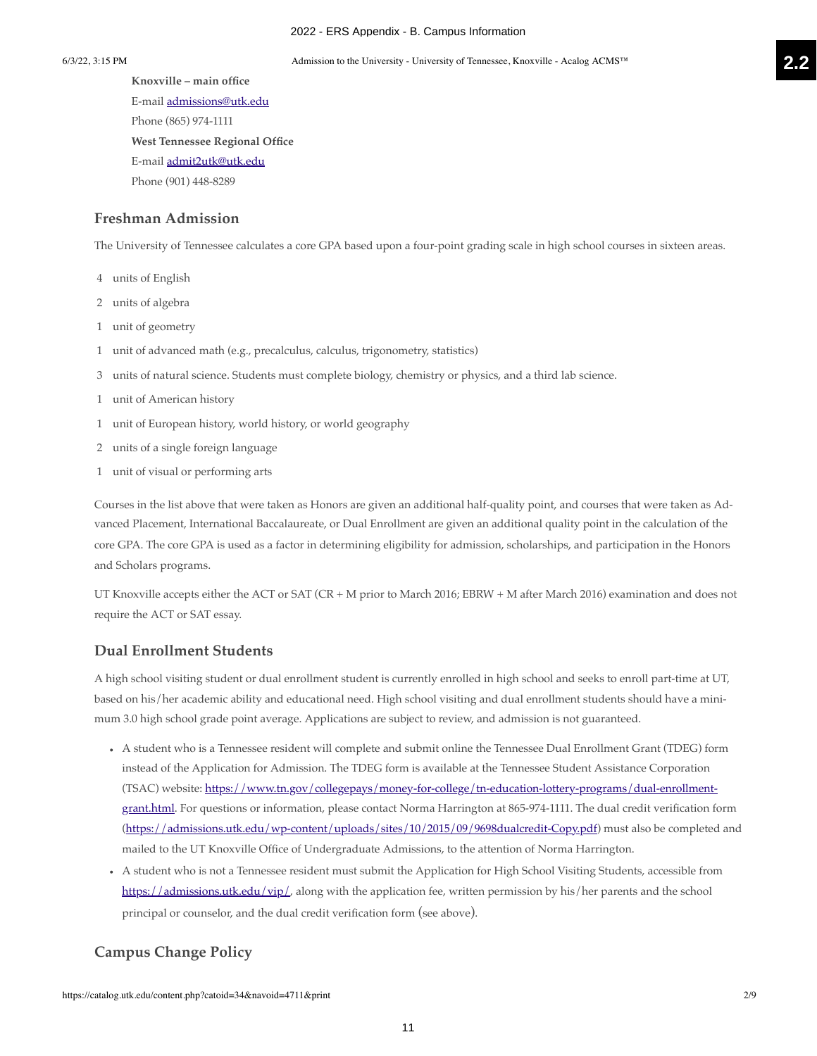<span id="page-10-0"></span>**Knoxville – main office** E-mail [admissions@utk.edu](mailto:admissions@utk.edu) Phone (865) 974-1111 **West Tennessee Regional Office** E-mail [admit2utk@utk.edu](mailto:admit2utk@utk.edu)

Phone (901) 448-8289

#### **Freshman Admission**

The University of Tennessee calculates a core GPA based upon a four-point grading scale in high school courses in sixteen areas.

- 4 units of English
- 2 units of algebra
- 1 unit of geometry
- 1 unit of advanced math (e.g., precalculus, calculus, trigonometry, statistics)
- 3 units of natural science. Students must complete biology, chemistry or physics, and a third lab science.
- 1 unit of American history
- 1 unit of European history, world history, or world geography
- 2 units of a single foreign language
- 1 unit of visual or performing arts

Courses in the list above that were taken as Honors are given an additional half-quality point, and courses that were taken as Advanced Placement, International Baccalaureate, or Dual Enrollment are given an additional quality point in the calculation of the core GPA. The core GPA is used as a factor in determining eligibility for admission, scholarships, and participation in the Honors and Scholars programs.

UT Knoxville accepts either the ACT or SAT (CR + M prior to March 2016; EBRW + M after March 2016) examination and does not require the ACT or SAT essay.

#### **Dual Enrollment Students**

A high school visiting student or dual enrollment student is currently enrolled in high school and seeks to enroll part-time at UT, based on his/her academic ability and educational need. High school visiting and dual enrollment students should have a minimum 3.0 high school grade point average. Applications are subject to review, and admission is not guaranteed.

- A student who is a Tennessee resident will complete and submit online the Tennessee Dual Enrollment Grant (TDEG) form instead of the Application for Admission. The TDEG form is available at the Tennessee Student Assistance Corporation [\(TSAC\) website: https://www.tn.gov/collegepays/money-for-college/tn-education-lottery-programs/dual-enrollment-](https://www.tn.gov/collegepays/money-for-college/tn-education-lottery-programs/dual-enrollment-grant.html)<u>grant.html</u>. For questions or information, please contact Norma Harrington at 865-974-1111. The dual credit verification form<br>(<u>https://admissions.utk.edu/wp-content/uploads/sites/10/2015/09/9698dualcredit-Co<u>py.pdf</u>) mus</u>
- mailed to the UT Knoxville Office of Undergraduate Admissions, to the attention of Norma Harrington. A student who is not a Tennessee resident must submit the Application for High School Visiting Students, accessible from [https://admissions.utk.edu/vip/,](https://admissions.utk.edu/vip/) along with the application fee, written permission by his/her parents and the school principal or counselor, and the dual credit verification form (see above).

#### **Campus Change Policy**

**2.2**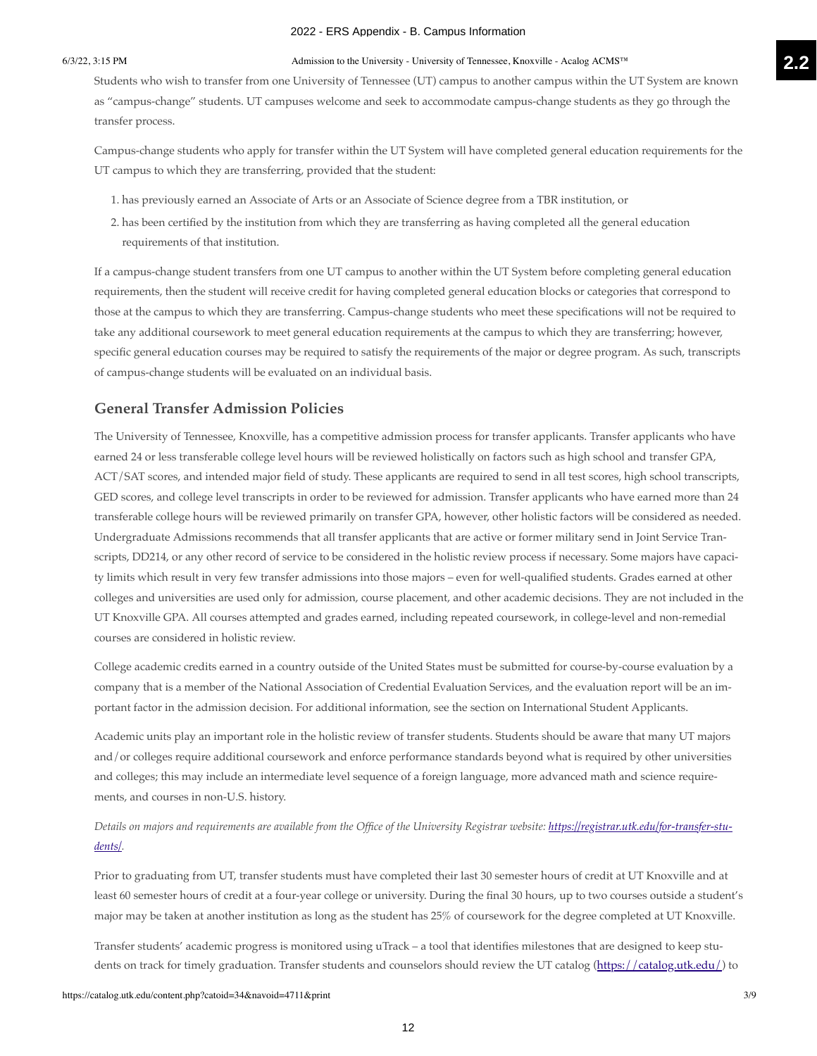<span id="page-11-0"></span>6/3/22, 3:15 PM Admission to the University - University of Tennessee, Knoxville - Acalog ACMS™

Students who wish to transfer from one University of Tennessee (UT) campus to another campus within the UT System are known as "campus-change" students. UT campuses welcome and seek to accommodate campus-change students as they go through the transfer process.

Campus-change students who apply for transfer within the UT System will have completed general education requirements for the UT campus to which they are transferring, provided that the student:

- 1. has previously earned an Associate of Arts or an Associate of Science degree from a TBR institution, or
- 2. has been certified by the institution from which they are transferring as having completed all the general education requirements of that institution.

If a campus-change student transfers from one UT campus to another within the UT System before completing general education requirements, then the student will receive credit for having completed general education blocks or categories that correspond to those at the campus to which they are transferring. Campus-change students who meet these specifications will not be required to take any additional coursework to meet general education requirements at the campus to which they are transferring; however, specific general education courses may be required to satisfy the requirements of the major or degree program. As such, transcripts of campus-change students will be evaluated on an individual basis.

#### **General Transfer Admission Policies**

The University of Tennessee, Knoxville, has a competitive admission process for transfer applicants. Transfer applicants who have earned 24 or less transferable college level hours will be reviewed holistically on factors such as high school and transfer GPA, ACT/SAT scores, and intended major field of study. These applicants are required to send in all test scores, high school transcripts, GED scores, and college level transcripts in order to be reviewed for admission. Transfer applicants who have earned more than 24 transferable college hours will be reviewed primarily on transfer GPA, however, other holistic factors will be considered as needed. Undergraduate Admissions recommends that all transfer applicants that are active or former military send in Joint Service Transcripts, DD214, or any other record of service to be considered in the holistic review process if necessary. Some majors have capacity limits which result in very few transfer admissions into those majors – even for well-qualified students. Grades earned at other colleges and universities are used only for admission, course placement, and other academic decisions. They are not included in the UT Knoxville GPA. All courses attempted and grades earned, including repeated coursework, in college-level and non-remedial courses are considered in holistic review.

College academic credits earned in a country outside of the United States must be submitted for course-by-course evaluation by a company that is a member of the National Association of Credential Evaluation Services, and the evaluation report will be an important factor in the admission decision. For additional information, see the section on International Student Applicants.

Academic units play an important role in the holistic review of transfer students. Students should be aware that many UT majors and/or colleges require additional coursework and enforce performance standards beyond what is required by other universities and colleges; this may include an intermediate level sequence of a foreign language, more advanced math and science requirements, and courses in non-U.S. history.

#### *[Details on majors and requirements are available from the Of](https://registrar.utk.edu/for-transfer-students/)fi[ce of the University Registrar website: https://registrar.utk.edu/for-transfer-stu](https://registrar.utk.edu/for-transfer-students/)dents/.*

Prior to graduating from UT, transfer students must have completed their last 30 semester hours of credit at UT Knoxville and at least 60 semester hours of credit at a four-year college or university. During the final 30 hours, up to two courses outside a student's<br>major may be taken at another institution as long as the student has 25% of coursewor

Transfer students' academic progress is monitored using uTrack – a tool that identifies milestones that are designed to keep students on track for timely graduation. Transfer students and counselors should review the UT ca dents on track for timely graduation. Transfer students and counselors should review the UT catalog (https://catalog.utk.edu/) to **2.2**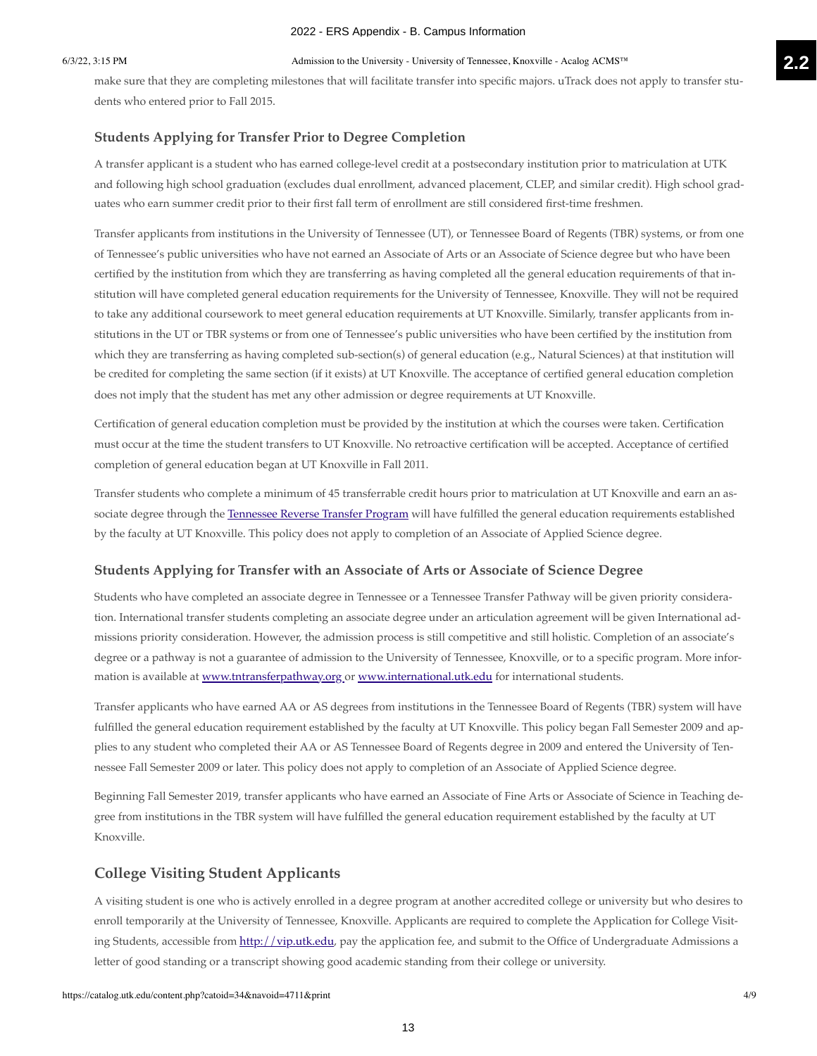<span id="page-12-0"></span>make sure that they are completing milestones that will facilitate transfer into specific majors. uTrack does not apply to transfer students who entered prior to Fall 2015.

#### **Students Applying for Transfer Prior to Degree Completion**

A transfer applicant is a student who has earned college-level credit at a postsecondary institution prior to matriculation at UTK and following high school graduation (excludes dual enrollment, advanced placement, CLEP, and similar credit). High school grad-<br>uates who earn summer credit prior to their first fall term of enrollment are still considere

Transfer applicants from institutions in the University of Tennessee (UT), or Tennessee Board of Regents (TBR) systems, or from one of Tennessee's public universities who have not earned an Associate of Arts or an Associate of Science degree but who have been certified by the institution from which they are transferring as having completed all the general education requirements of that institution will have completed general education requirements for the University of Tennessee, Knoxville. They will not be required to take any additional coursework to meet general education requirements at UT Knoxville. Similarly, transfer applicants from institutions in the UT or TBR systems or from one of Tennessee's public universities who have been certified by the institution from which they are transferring as having completed sub-section(s) of general education (e.g., Natural Sciences) at that institution will be credited for completing the same section (if it exists) at UT Knoxville. The acceptance of certified general education completion does not imply that the student has met any other admission or degree requirements at UT Knoxville.

Certification of general education completion must be provided by the institution at which the courses were taken. Certification must occur at the time the student transfers to UT Knoxville. No retroactive certification will be accepted. Acceptance of certified completion of general education began at UT Knoxville in Fall 2011.

Transfer students who complete a minimum of 45 transferrable credit hours prior to matriculation at UT Knoxville and earn an as-sociate degree through the [Tennessee Reverse Transfer Program](https://tnreversetransfer.org/) will have fulfilled the general education requirements established by the faculty at UT Knoxville. This policy does not apply to completion of an Associate of Applied Science degree.

#### **Students Applying for Transfer with an Associate of Arts or Associate of Science Degree**

Students who have completed an associate degree in Tennessee or a Tennessee Transfer Pathway will be given priority consideration. International transfer students completing an associate degree under an articulation agreement will be given International admissions priority consideration. However, the admission process is still competitive and still holistic. Completion of an associate's degree or a pathway is not a guarantee of admission to the University of Tennessee, Knoxville, or to a specific program. More information is available at [www.tntransferpathway.org o](http://www.tntransferpathway.org/)r [www.international.utk.edu](https://international.utk.edu/) for international students.

Transfer applicants who have earned AA or AS degrees from institutions in the Tennessee Board of Regents (TBR) system will have fulfilled the general education requirement established by the faculty at UT Knoxville. This policy began Fall Semester 2009 and applies to any student who completed their AA or AS Tennessee Board of Regents degree in 2009 and entered the University of Tennessee Fall Semester 2009 or later. This policy does not apply to completion of an Associate of Applied Science degree.

Beginning Fall Semester 2019, transfer applicants who have earned an Associate of Fine Arts or Associate of Science in Teaching degree from institutions in the TBR system will have fulfilled the general education requirement established by the faculty at UT Knoxville.

#### **College Visiting Student Applicants**

A visiting student is one who is actively enrolled in a degree program at another accredited college or university but who desires to enroll temporarily at the University of Tennessee, Knoxville. Applicants are required to complete the Application for College Visiting Students, accessible from <u>[http://vip.utk.edu](http://vip.utk.edu/)</u>, pay the application fee, and submit to the Office of Undergraduate Admissions a<br>letter of good standing or a transcript showing good academic standing from their college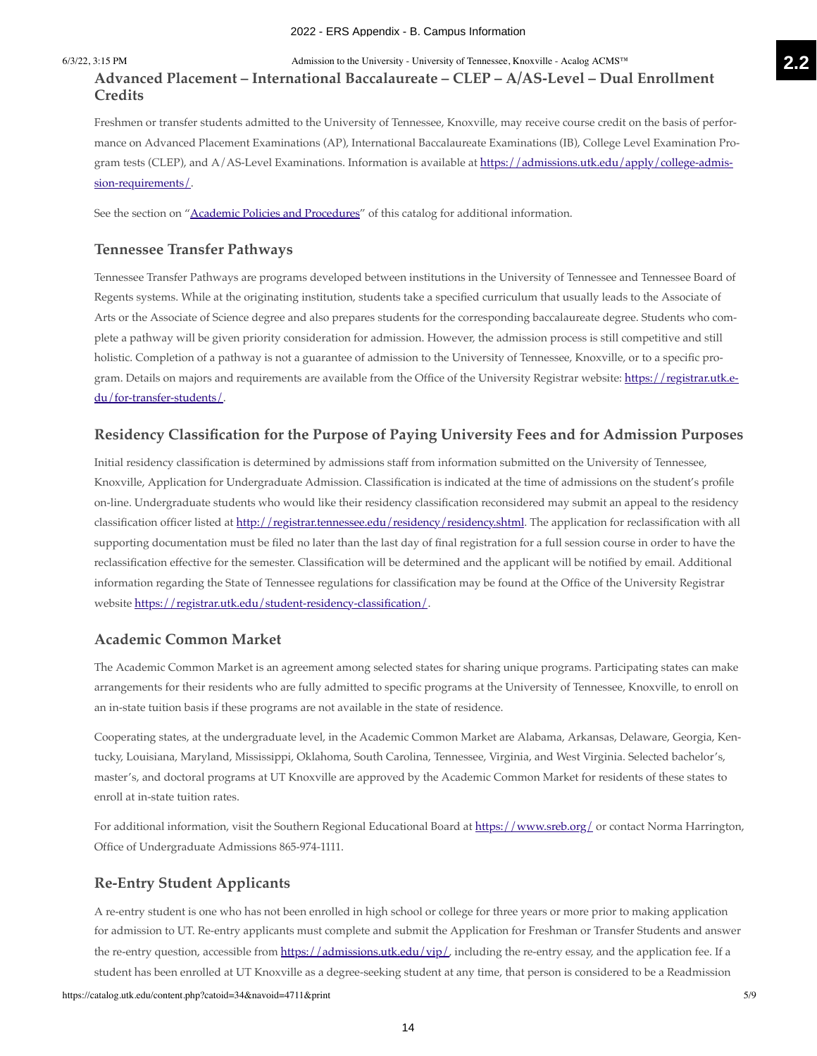#### <span id="page-13-0"></span>6/3/22, 3:15 PM Admission to the University - University of Tennessee, Knoxville - Acalog ACMS™ **Advanced Placement – International Baccalaureate – CLEP – A/AS-Level – Dual Enrollment Credits**

Freshmen or transfer students admitted to the University of Tennessee, Knoxville, may receive course credit on the basis of performance on Advanced Placement Examinations (AP), International Baccalaureate Examinations (IB), College Level Examination Pro[gram tests \(CLEP\), and A/AS-Level Examinations. Information is available at https://admissions.utk.edu/apply/college-admis](https://admissions.utk.edu/apply/college-admission-requirements/)sion-requirements/.

See the section on "[Academic Policies and Procedures"](https://catalog.utk.edu/content.php?catoid=34&navoid=4710) of this catalog for additional information.

#### **Tennessee Transfer Pathways**

Tennessee Transfer Pathways are programs developed between institutions in the University of Tennessee and Tennessee Board of Regents systems. While at the originating institution, students take a specified curriculum that usually leads to the Associate of Arts or the Associate of Science degree and also prepares students for the corresponding baccalaureate degree. Students who complete a pathway will be given priority consideration for admission. However, the admission process is still competitive and still holistic. Completion of a pathway is not a guarantee of admission to the University of Tennessee, Knoxville, or to a specific pro[gram. Details on majors and requirements are available from the Of](https://registrar.utk.edu/for-transfer-students/)fice of the University Registrar website: https://registrar.utk.edu/for-transfer-students/.

#### **Residency Classification for the Purpose of Paying University Fees and for Admission Purposes**

Initial residency classification is determined by admissions staff from information submitted on the University of Tennessee, Knoxville, Application for Undergraduate Admission. Classification is indicated at the time of admissions on the student's profile on-line. Undergraduate students who would like their residency classification reconsidered may submit an appeal to the residency classification officer listed at<http://registrar.tennessee.edu/residency/residency.shtml>. The application for reclassification with all supporting documentation must be filed no later than the last day of final registration for a full session course in order to have the reclassification effective for the semester. Classification will be determined and the applicant will be notified by email. Additional information regarding the State of Tennessee regulations for classification may be found at the Office of the University Registrar website [https://registrar.utk.edu/student-residency-classification/.](https://registrar.utk.edu/student-residency-classification/)

#### **Academic Common Market**

The Academic Common Market is an agreement among selected states for sharing unique programs. Participating states can make arrangements for their residents who are fully admitted to specific programs at the University of Tennessee, Knoxville, to enroll on an in-state tuition basis if these programs are not available in the state of residence.

Cooperating states, at the undergraduate level, in the Academic Common Market are Alabama, Arkansas, Delaware, Georgia, Kentucky, Louisiana, Maryland, Mississippi, Oklahoma, South Carolina, Tennessee, Virginia, and West Virginia. Selected bachelor's, master's, and doctoral programs at UT Knoxville are approved by the Academic Common Market for residents of these states to enroll at in-state tuition rates.

For additional information, visit the Southern Regional Educational Board at<https://www.sreb.org/>or contact Norma Harrington, Office of Undergraduate Admissions 865-974-1111.

#### **Re-Entry Student Applicants**

A re-entry student is one who has not been enrolled in high school or college for three years or more prior to making application for admission to UT. Re-entry applicants must complete and submit the Application for Freshman or Transfer Students and answer the re-entry question, accessible from [https://admissions.utk.edu/vip/,](https://admissions.utk.edu/vip/) including the re-entry essay, and the application fee. If a student has been enrolled at UT Knoxville as a degree-seeking student at any time, that person is considered to be a Readmission

https://catalog.utk.edu/content.php?catoid=34&navoid=4711&print 5/9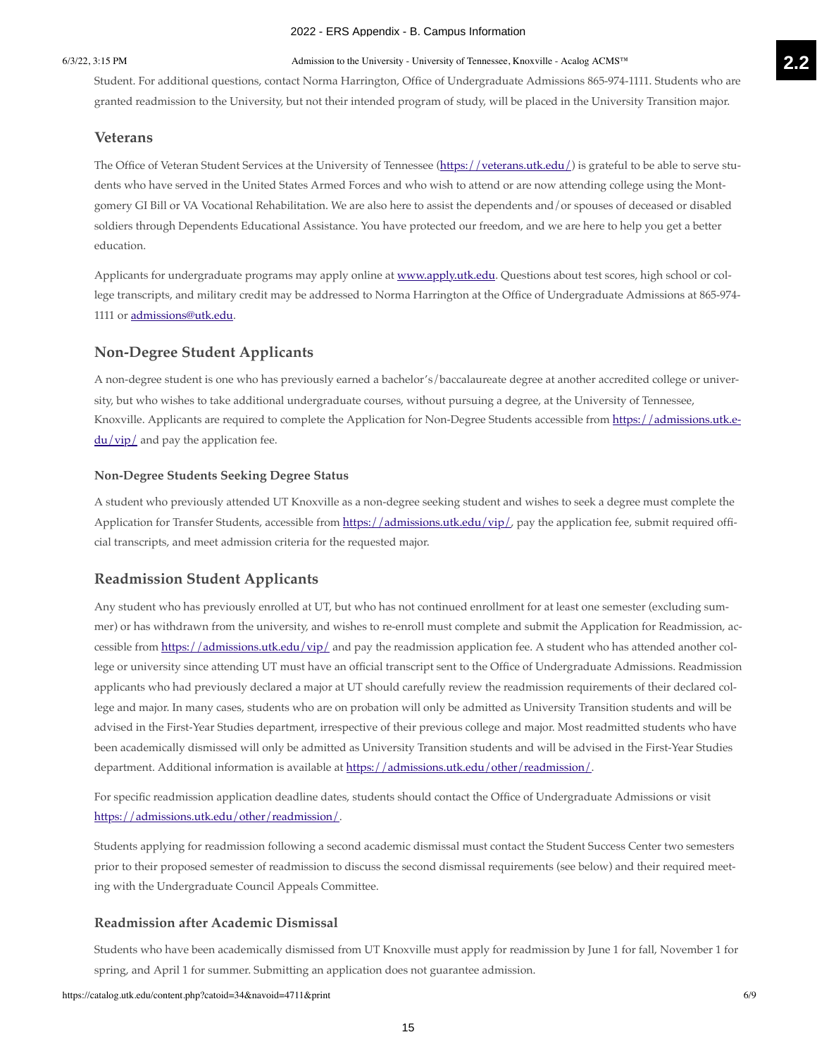#### <span id="page-14-0"></span>6/3/22, 3:15 PM Admission to the University - University of Tennessee, Knoxville - Acalog ACMS™

Student. For additional questions, contact Norma Harrington, Office of Undergraduate Admissions 865-974-1111. Students who are granted readmission to the University, but not their intended program of study, will be placed in the University Transition major.

#### **Veterans**

The Office of Veteran Student Services at the University of Tennessee (<https://veterans.utk.edu/>) is grateful to be able to serve students who have served in the United States Armed Forces and who wish to attend or are now attending college using the Montgomery GI Bill or VA Vocational Rehabilitation. We are also here to assist the dependents and/or spouses of deceased or disabled soldiers through Dependents Educational Assistance. You have protected our freedom, and we are here to help you get a better education.

Applicants for undergraduate programs may apply online at [www.apply.utk.edu.](https://admissions.utk.edu/apply/) Questions about test scores, high school or college transcripts, and military credit may be addressed to Norma Harrington at the Office of Undergraduate Admissions at 865-974 1111 or [admissions@utk.edu.](mailto:admissions@utk.edu)

#### **Non-Degree Student Applicants**

A non-degree student is one who has previously earned a bachelor's/baccalaureate degree at another accredited college or university, but who wishes to take additional undergraduate courses, without pursuing a degree, at the University of Tennessee, [Knoxville. Applicants are required to complete the Application for Non-Degree Students accessible from https://admissions.utk.e](https://admissions.utk.edu/vip/) $du/vip/$  and pay the application fee.

#### **Non-Degree Students Seeking Degree Status**

A student who previously attended UT Knoxville as a non-degree seeking student and wishes to seek a degree must complete the Application for Transfer Students, accessible from [https://admissions.utk.edu/vip/,](https://admissions.utk.edu/vip/) pay the application fee, submit required official transcripts, and meet admission criteria for the requested major.

#### **Readmission Student Applicants**

Any student who has previously enrolled at UT, but who has not continued enrollment for at least one semester (excluding summer) or has withdrawn from the university, and wishes to re-enroll must complete and submit the Application for Readmission, accessible from<https://admissions.utk.edu/vip/> and pay the readmission application fee. A student who has attended another college or university since attending UT must have an official transcript sent to the Office of Undergraduate Admissions. Readmission applicants who had previously declared a major at UT should carefully review the readmission requirements of their declared college and major. In many cases, students who are on probation will only be admitted as University Transition students and will be advised in the First-Year Studies department, irrespective of their previous college and major. Most readmitted students who have been academically dismissed will only be admitted as University Transition students and will be advised in the First-Year Studies department. Additional information is available at [https://admissions.utk.edu/other/readmission/.](https://admissions.utk.edu/other/readmission/)

For speci[fi](https://admissions.utk.edu/other/readmission/)c readmission application deadline dates, students should contact the Office of Undergraduate Admissions or visit https://admissions.utk.edu/other/readmission/.

Students applying for readmission following a second academic dismissal must contact the Student Success Center two semesters prior to their proposed semester of readmission to discuss the second dismissal requirements (see below) and their required meeting with the Undergraduate Council Appeals Committee.

#### **Readmission after Academic Dismissal**

Students who have been academically dismissed from UT Knoxville must apply for readmission by June 1 for fall, November 1 for spring, and April 1 for summer. Submitting an application does not guarantee admission.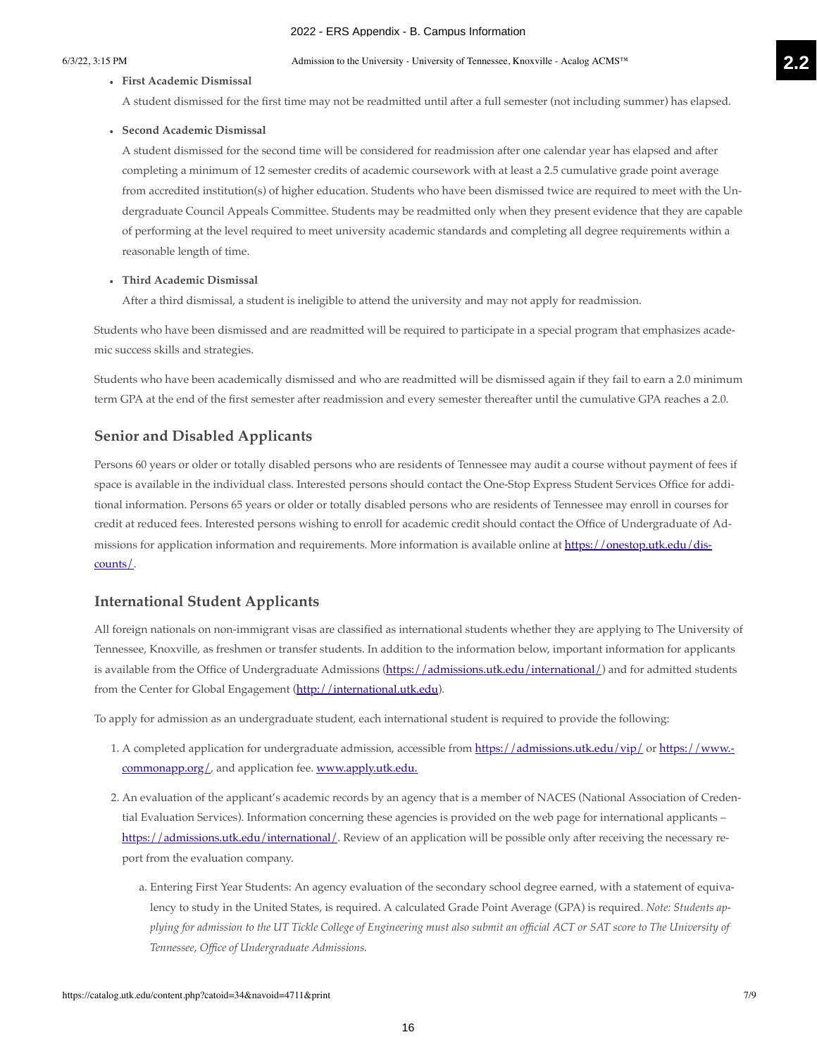#### <span id="page-15-0"></span>6/3/22, 3:15 PM Admission to the University - University of Tennessee, Knoxville - Acalog ACMS™

# **2.2**

#### **First Academic Dismissal**

A student dismissed for the first time may not be readmitted until after a full semester (not including summer) has elapsed.

#### **Second Academic Dismissal**

A student dismissed for the second time will be considered for readmission after one calendar year has elapsed and after completing a minimum of 12 semester credits of academic coursework with at least a 2.5 cumulative grade point average from accredited institution(s) of higher education. Students who have been dismissed twice are required to meet with the Undergraduate Council Appeals Committee. Students may be readmitted only when they present evidence that they are capable of performing at the level required to meet university academic standards and completing all degree requirements within a reasonable length of time.

#### **Third Academic Dismissal**

After a third dismissal, a student is ineligible to attend the university and may not apply for readmission.

Students who have been dismissed and are readmitted will be required to participate in a special program that emphasizes academic success skills and strategies.

Students who have been academically dismissed and who are readmitted will be dismissed again if they fail to earn a 2.0 minimum term GPA at the end of the first semester after readmission and every semester thereafter until the cumulative GPA reaches a 2.0.

#### **Senior and Disabled Applicants**

Persons 60 years or older or totally disabled persons who are residents of Tennessee may audit a course without payment of fees if space is available in the individual class. Interested persons should contact the One-Stop Express Student Services Office for additional information. Persons 65 years or older or totally disabled persons who are residents of Tennessee may enroll in courses for credit at reduced fees. Interested persons wishing to enroll for academic credit should contact the Office of Undergraduate of Ad[missions for application information and requirements. More information is available online at https://onestop.utk.edu/dis](https://onestop.utk.edu/discounts/)counts/.

#### **International Student Applicants**

All foreign nationals on non-immigrant visas are classified as international students whether they are applying to The University of Tennessee, Knoxville, as freshmen or transfer students. In addition to the information below, important information for applicants is available from the Office of Undergraduate Admissions [\(https://admissions.utk.edu/international/](https://admissions.utk.edu/international/)) and for admitted students from the Center for Global Engagement [\(http://international.utk.edu](https://admissions.utk.edu/international/)).

To apply for admission as an undergraduate student, each international student is required to provide the following:

- 1. A completed application for undergraduate admission, accessible from<https://admissions.utk.edu/vip/> or https://www. commonapp.org/, and application fee. [www.apply.utk.edu.](http://www.apply.utk.edu/)
- 2. An evaluation of the applicant's academic records by an agency that is a member of NACES (National Association of Credential Evaluation Services). Information concerning these agencies is provided on the web page for international applicants – <https://admissions.utk.edu/international/>. Review of an application will be possible only after receiving the necessary report from the evaluation company.
	- a. Entering First Year Students: An agency evaluation of the secondary school degree earned, with a statement of equivalency to study in the United States, is required. A calculated Grade Point Average (GPA) is required. *Note: Students applying for admission to the UT Tickle College of Engineering must also submit an official ACT or SAT score to The University of Tennessee, Office of Undergraduate Admissions.*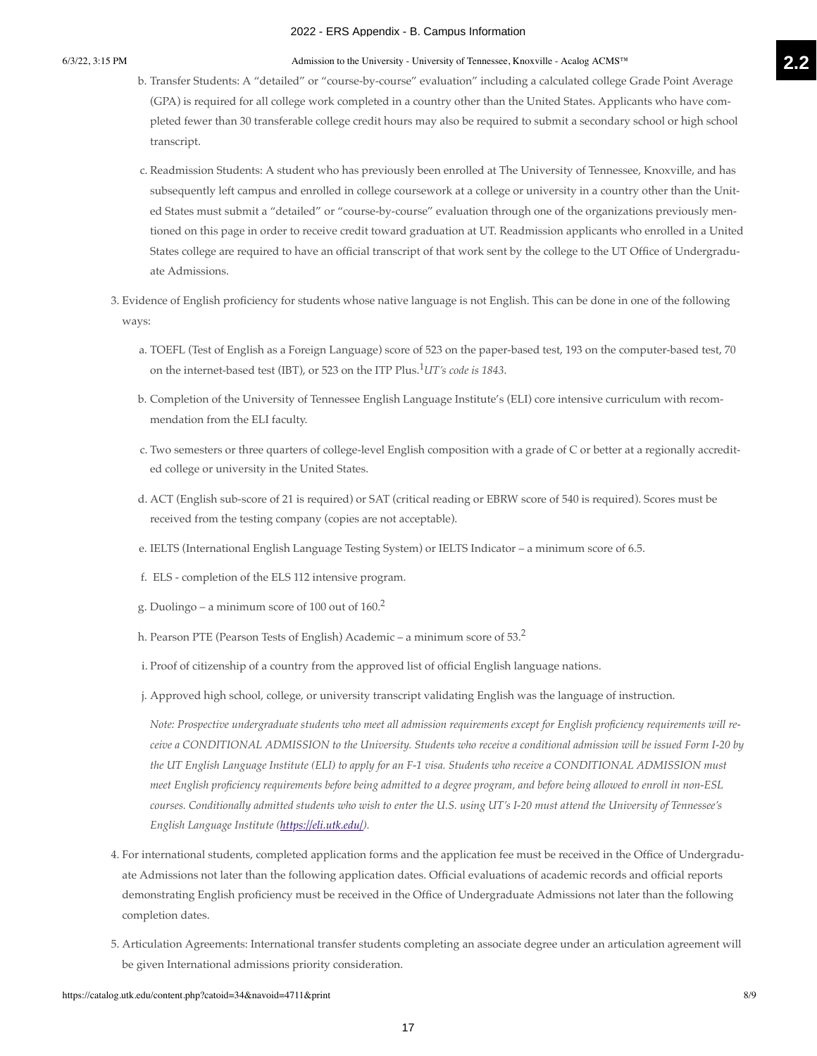- b. Transfer Students: A "detailed" or "course-by-course" evaluation" including a calculated college Grade Point Average (GPA) is required for all college work completed in a country other than the United States. Applicants who have completed fewer than 30 transferable college credit hours may also be required to submit a secondary school or high school transcript.
- c. Readmission Students: A student who has previously been enrolled at The University of Tennessee, Knoxville, and has subsequently left campus and enrolled in college coursework at a college or university in a country other than the United States must submit a "detailed" or "course-by-course" evaluation through one of the organizations previously mentioned on this page in order to receive credit toward graduation at UT. Readmission applicants who enrolled in a United States college are required to have an official transcript of that work sent by the college to the UT Office of Undergraduate Admissions.
- 3. Evidence of English proficiency for students whose native language is not English. This can be done in one of the following ways:
	- a. TOEFL (Test of English as a Foreign Language) score of 523 on the paper-based test, 193 on the computer-based test, 70 on the internet-based test (IBT), or 523 on the ITP Plus.1*UT's code is 1843*.
	- b. Completion of the University of Tennessee English Language Institute's (ELI) core intensive curriculum with recommendation from the ELI faculty.
	- c. Two semesters or three quarters of college-level English composition with a grade of C or better at a regionally accredited college or university in the United States.
	- d. ACT (English sub-score of 21 is required) or SAT (critical reading or EBRW score of 540 is required). Scores must be received from the testing company (copies are not acceptable).
	- e. IELTS (International English Language Testing System) or IELTS Indicator a minimum score of 6.5.
	- f. ELS completion of the ELS 112 intensive program.
	- g. Duolingo a minimum score of 100 out of 160.<sup>2</sup>
	- h. Pearson PTE (Pearson Tests of English) Academic a minimum score of 53.<sup>2</sup>
	- i. Proof of citizenship of a country from the approved list of official English language nations.
	- j. Approved high school, college, or university transcript validating English was the language of instruction.

*Note: Prospective undergraduate students who meet all admission requirements except for English proficiency requirements will receive a CONDITIONAL ADMISSION to the University. Students who receive a conditional admission will be issued Form I-20 by the UT English Language Institute (ELI) to apply for an F-1 visa. Students who receive a CONDITIONAL ADMISSION must* meet English proficiency requirements before being admitted to a degree program, and before being allowed to enroll in non-ESL<br>courses. Conditionally admitted students who wish to enter the U.S. using UT's I-20 must attend *English Language Institute [\(https://eli.utk.edu/](https://eli.utk.edu/)).*

- 4. For international students, completed application forms and the application fee must be received in the Office of Undergraduate Admissions not later than the following application dates. Official evaluations of academic records and official reports<br>demonstrating English proficiency must be received in the Office of Undergraduate Admissions not demonstrating English proficiency must be received in the Office of Undergraduate Admissions not later than the following<br>completion dates. completion dates.
- 5. Articulation Agreements: International transfer students completing an associate degree under an articulation agreement will be given International admissions priority consideration.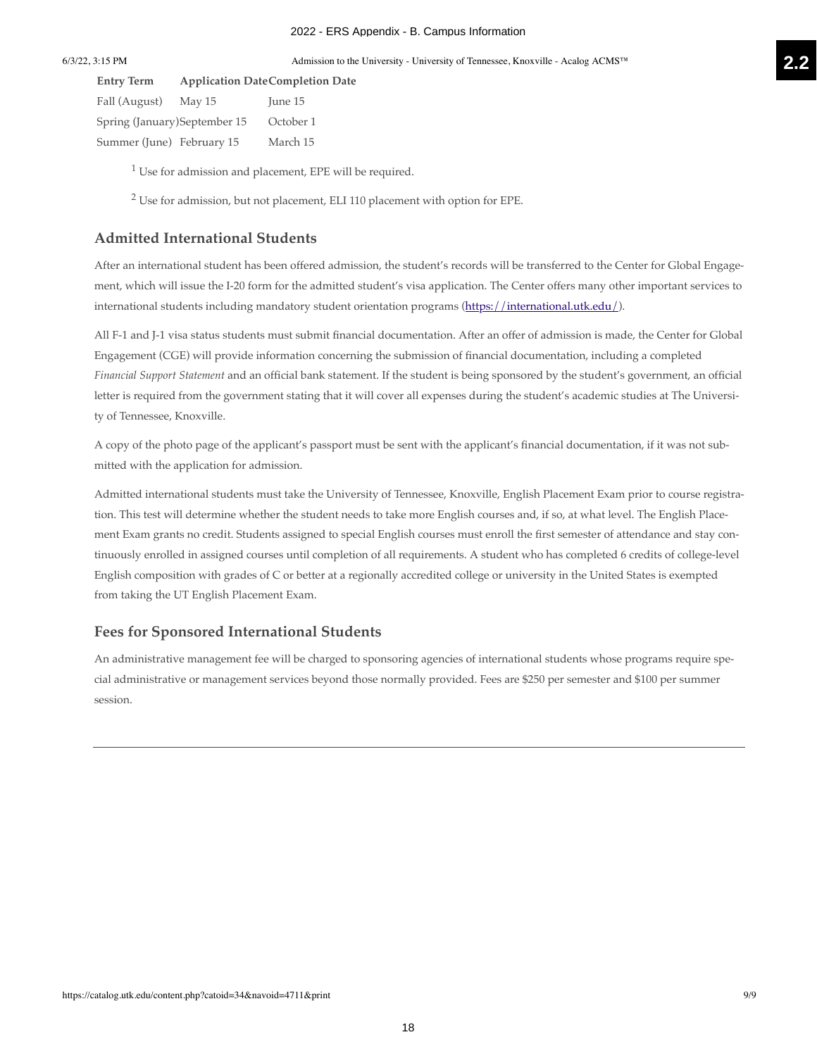#### <span id="page-17-0"></span>6/3/22, 3:15 PM Admission to the University - University of Tennessee, Knoxville - Acalog ACMS™

| <b>Entry Term</b>             | <b>Application Date Completion Date</b> |           |  |  |  |  |
|-------------------------------|-----------------------------------------|-----------|--|--|--|--|
| Fall (August)                 | May 15                                  | June 15   |  |  |  |  |
| Spring (January) September 15 |                                         | October 1 |  |  |  |  |

Summer (June) February 15 March 15

<sup>1</sup> Use for admission and placement, EPE will be required.

 $2$  Use for admission, but not placement, ELI 110 placement with option for EPE.

#### **Admitted International Students**

After an international student has been offered admission, the student's records will be transferred to the Center for Global Engagement, which will issue the I-20 form for the admitted student's visa application. The Center offers many other important services to international students including mandatory student orientation programs ([https://international.utk.edu/\)](https://international.utk.edu/).

All F-1 and J-1 visa status students must submit financial documentation. After an offer of admission is made, the Center for Global Engagement (CGE) will provide information concerning the submission of financial documentation, including a completed *Financial Support Statement* and an official bank statement. If the student is being sponsored by the student's government, an official letter is required from the government stating that it will cover all expenses during the student's academic studies at The University of Tennessee, Knoxville.

A copy of the photo page of the applicant's passport must be sent with the applicant's financial documentation, if it was not submitted with the application for admission.

Admitted international students must take the University of Tennessee, Knoxville, English Placement Exam prior to course registration. This test will determine whether the student needs to take more English courses and, if so, at what level. The English Placement Exam grants no credit. Students assigned to special English courses must enroll the first semester of attendance and stay continuously enrolled in assigned courses until completion of all requirements. A student who has completed 6 credits of college-level English composition with grades of C or better at a regionally accredited college or university in the United States is exempted from taking the UT English Placement Exam.

#### **Fees for Sponsored International Students**

An administrative management fee will be charged to sponsoring agencies of international students whose programs require special administrative or management services beyond those normally provided. Fees are \$250 per semester and \$100 per summer session.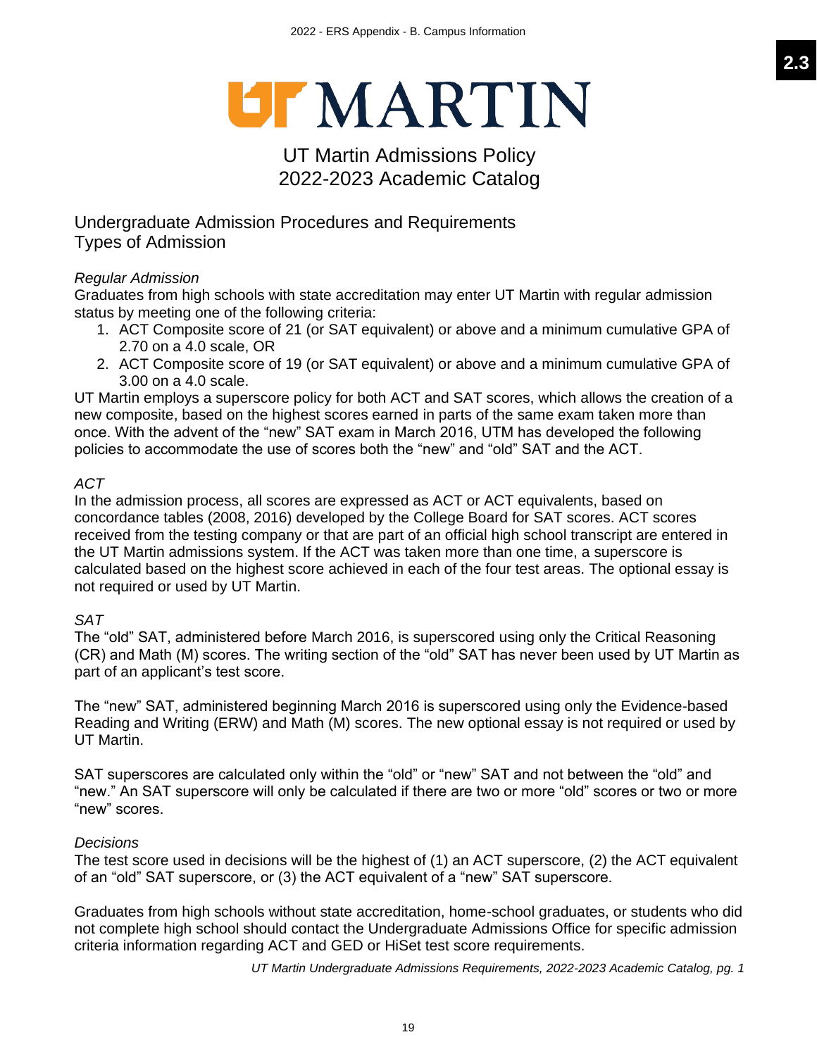# UT MARTIN

# UT Martin Admissions Policy 2022-2023 Academic Catalog

<span id="page-18-0"></span>Undergraduate Admission Procedures and Requirements Types of Admission

#### *Regular Admission*

Graduates from high schools with state accreditation may enter UT Martin with regular admission status by meeting one of the following criteria:

- 1. ACT Composite score of 21 (or SAT equivalent) or above and a minimum cumulative GPA of 2.70 on a 4.0 scale, OR
- 2. ACT Composite score of 19 (or SAT equivalent) or above and a minimum cumulative GPA of 3.00 on a 4.0 scale.

UT Martin employs a superscore policy for both ACT and SAT scores, which allows the creation of a new composite, based on the highest scores earned in parts of the same exam taken more than once. With the advent of the "new" SAT exam in March 2016, UTM has developed the following policies to accommodate the use of scores both the "new" and "old" SAT and the ACT.

#### *ACT*

In the admission process, all scores are expressed as ACT or ACT equivalents, based on concordance tables (2008, 2016) developed by the College Board for SAT scores. ACT scores received from the testing company or that are part of an official high school transcript are entered in the UT Martin admissions system. If the ACT was taken more than one time, a superscore is calculated based on the highest score achieved in each of the four test areas. The optional essay is not required or used by UT Martin.

#### *SAT*

The "old" SAT, administered before March 2016, is superscored using only the Critical Reasoning (CR) and Math (M) scores. The writing section of the "old" SAT has never been used by UT Martin as part of an applicant's test score.

The "new" SAT, administered beginning March 2016 is superscored using only the Evidence-based Reading and Writing (ERW) and Math (M) scores. The new optional essay is not required or used by UT Martin.

SAT superscores are calculated only within the "old" or "new" SAT and not between the "old" and "new." An SAT superscore will only be calculated if there are two or more "old" scores or two or more "new" scores.

#### *Decisions*

The test score used in decisions will be the highest of (1) an ACT superscore, (2) the ACT equivalent of an "old" SAT superscore, or (3) the ACT equivalent of a "new" SAT superscore.

Graduates from high schools without state accreditation, home-school graduates, or students who did not complete high school should contact the Undergraduate Admissions Office for specific admission criteria information regarding ACT and GED or HiSet test score requirements.

*UT Martin Undergraduate Admissions Requirements, 2022-2023 Academic Catalog, pg. 1*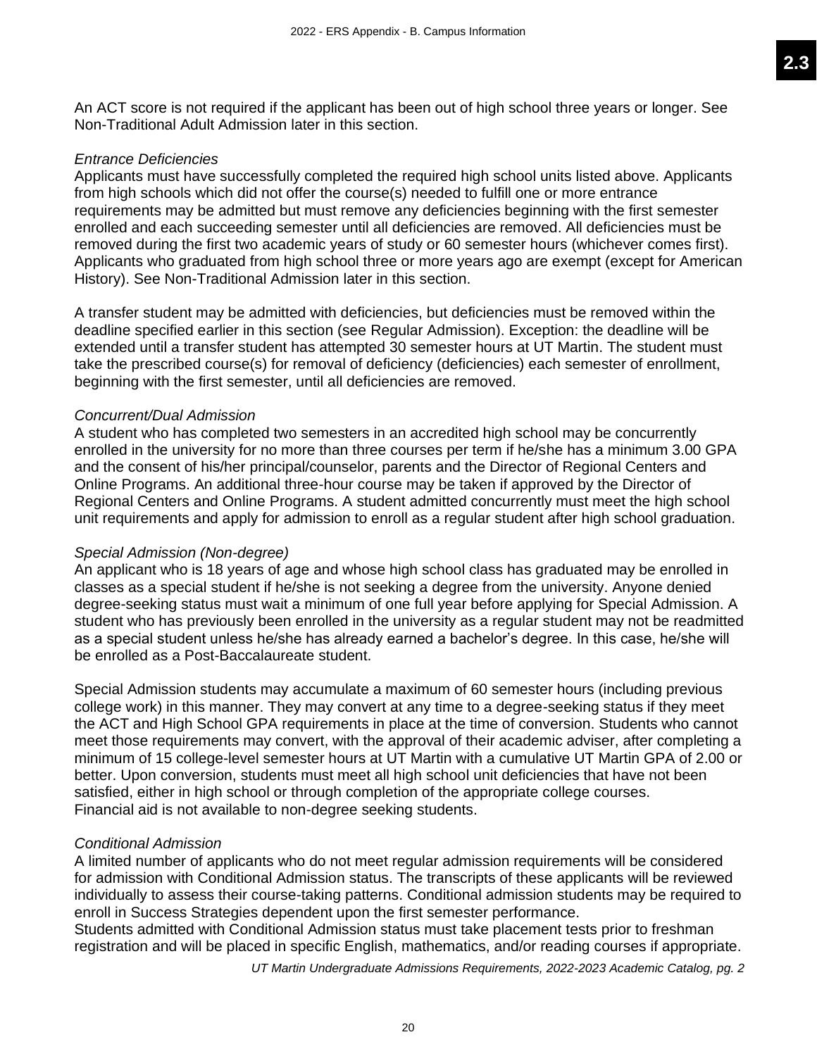An ACT score is not required if the applicant has been out of high school three years or longer. See Non-Traditional Adult Admission later in this section.

#### *Entrance Deficiencies*

Applicants must have successfully completed the required high school units listed above. Applicants from high schools which did not offer the course(s) needed to fulfill one or more entrance requirements may be admitted but must remove any deficiencies beginning with the first semester enrolled and each succeeding semester until all deficiencies are removed. All deficiencies must be removed during the first two academic years of study or 60 semester hours (whichever comes first). Applicants who graduated from high school three or more years ago are exempt (except for American History). See Non-Traditional Admission later in this section.

A transfer student may be admitted with deficiencies, but deficiencies must be removed within the deadline specified earlier in this section (see Regular Admission). Exception: the deadline will be extended until a transfer student has attempted 30 semester hours at UT Martin. The student must take the prescribed course(s) for removal of deficiency (deficiencies) each semester of enrollment, beginning with the first semester, until all deficiencies are removed.

#### *Concurrent/Dual Admission*

A student who has completed two semesters in an accredited high school may be concurrently enrolled in the university for no more than three courses per term if he/she has a minimum 3.00 GPA and the consent of his/her principal/counselor, parents and the Director of Regional Centers and Online Programs. An additional three-hour course may be taken if approved by the Director of Regional Centers and Online Programs. A student admitted concurrently must meet the high school unit requirements and apply for admission to enroll as a regular student after high school graduation.

#### *Special Admission (Non-degree)*

An applicant who is 18 years of age and whose high school class has graduated may be enrolled in classes as a special student if he/she is not seeking a degree from the university. Anyone denied degree-seeking status must wait a minimum of one full year before applying for Special Admission. A student who has previously been enrolled in the university as a regular student may not be readmitted as a special student unless he/she has already earned a bachelor's degree. In this case, he/she will be enrolled as a Post-Baccalaureate student.

Special Admission students may accumulate a maximum of 60 semester hours (including previous college work) in this manner. They may convert at any time to a degree-seeking status if they meet the ACT and High School GPA requirements in place at the time of conversion. Students who cannot meet those requirements may convert, with the approval of their academic adviser, after completing a minimum of 15 college-level semester hours at UT Martin with a cumulative UT Martin GPA of 2.00 or better. Upon conversion, students must meet all high school unit deficiencies that have not been satisfied, either in high school or through completion of the appropriate college courses. Financial aid is not available to non-degree seeking students.

#### *Conditional Admission*

A limited number of applicants who do not meet regular admission requirements will be considered for admission with Conditional Admission status. The transcripts of these applicants will be reviewed individually to assess their course-taking patterns. Conditional admission students may be required to enroll in Success Strategies dependent upon the first semester performance.

Students admitted with Conditional Admission status must take placement tests prior to freshman registration and will be placed in specific English, mathematics, and/or reading courses if appropriate.

*UT Martin Undergraduate Admissions Requirements, 2022-2023 Academic Catalog, pg. 2*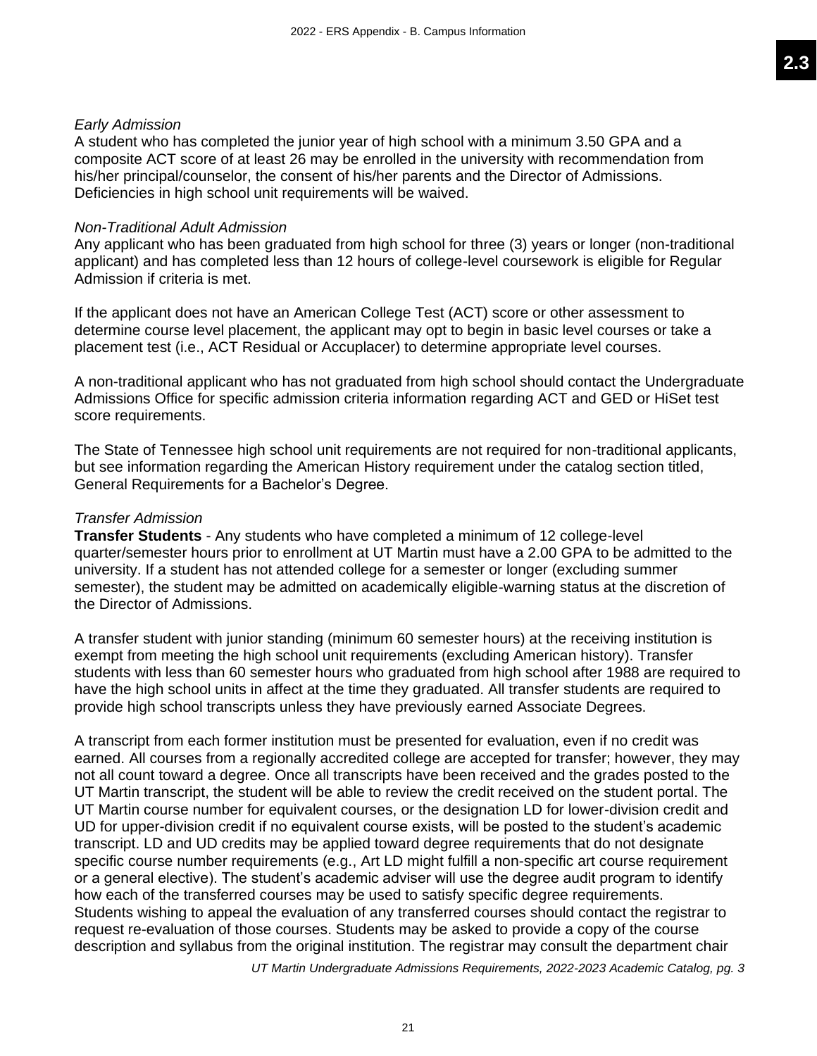#### *Early Admission*

A student who has completed the junior year of high school with a minimum 3.50 GPA and a composite ACT score of at least 26 may be enrolled in the university with recommendation from his/her principal/counselor, the consent of his/her parents and the Director of Admissions. Deficiencies in high school unit requirements will be waived.

#### *Non-Traditional Adult Admission*

Any applicant who has been graduated from high school for three (3) years or longer (non-traditional applicant) and has completed less than 12 hours of college-level coursework is eligible for Regular Admission if criteria is met.

If the applicant does not have an American College Test (ACT) score or other assessment to determine course level placement, the applicant may opt to begin in basic level courses or take a placement test (i.e., ACT Residual or Accuplacer) to determine appropriate level courses.

A non-traditional applicant who has not graduated from high school should contact the Undergraduate Admissions Office for specific admission criteria information regarding ACT and GED or HiSet test score requirements.

The State of Tennessee high school unit requirements are not required for non-traditional applicants, but see information regarding the American History requirement under the catalog section titled, General Requirements for a Bachelor's Degree.

#### *Transfer Admission*

**Transfer Students** - Any students who have completed a minimum of 12 college-level quarter/semester hours prior to enrollment at UT Martin must have a 2.00 GPA to be admitted to the university. If a student has not attended college for a semester or longer (excluding summer semester), the student may be admitted on academically eligible-warning status at the discretion of the Director of Admissions.

A transfer student with junior standing (minimum 60 semester hours) at the receiving institution is exempt from meeting the high school unit requirements (excluding American history). Transfer students with less than 60 semester hours who graduated from high school after 1988 are required to have the high school units in affect at the time they graduated. All transfer students are required to provide high school transcripts unless they have previously earned Associate Degrees.

A transcript from each former institution must be presented for evaluation, even if no credit was earned. All courses from a regionally accredited college are accepted for transfer; however, they may not all count toward a degree. Once all transcripts have been received and the grades posted to the UT Martin transcript, the student will be able to review the credit received on the student portal. The UT Martin course number for equivalent courses, or the designation LD for lower-division credit and UD for upper-division credit if no equivalent course exists, will be posted to the student's academic transcript. LD and UD credits may be applied toward degree requirements that do not designate specific course number requirements (e.g., Art LD might fulfill a non-specific art course requirement or a general elective). The student's academic adviser will use the degree audit program to identify how each of the transferred courses may be used to satisfy specific degree requirements. Students wishing to appeal the evaluation of any transferred courses should contact the registrar to request re-evaluation of those courses. Students may be asked to provide a copy of the course description and syllabus from the original institution. The registrar may consult the department chair

*UT Martin Undergraduate Admissions Requirements, 2022-2023 Academic Catalog, pg. 3*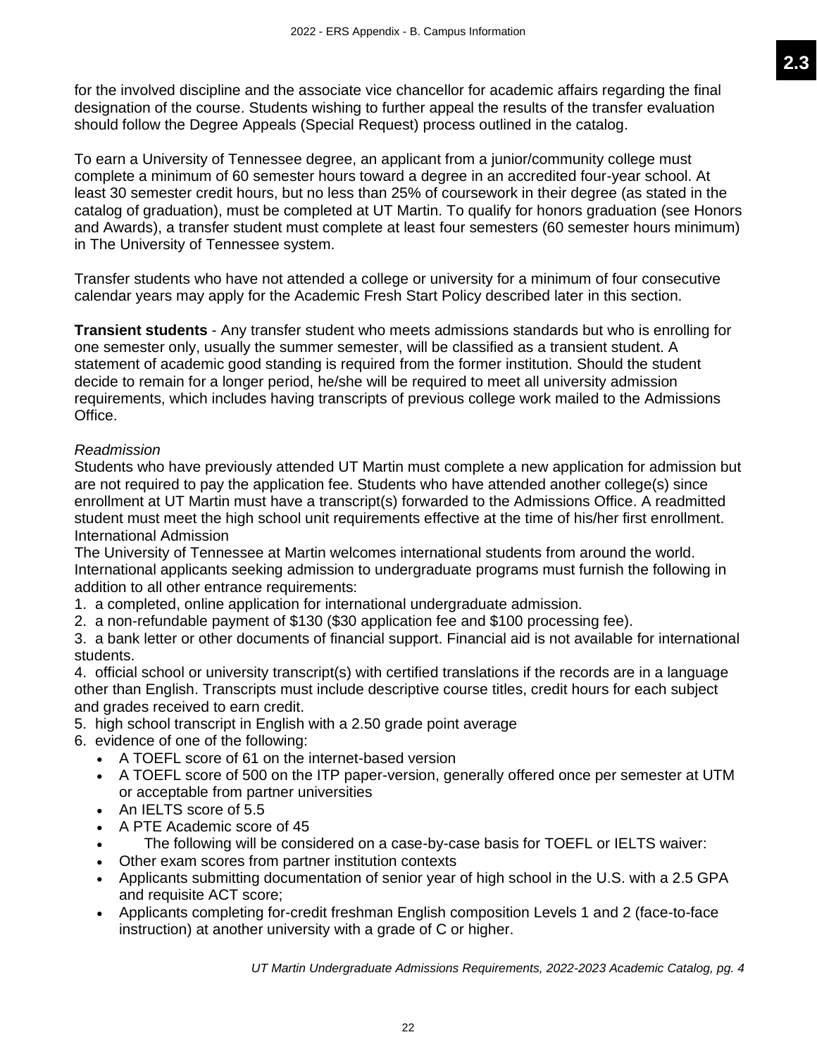for the involved discipline and the associate vice chancellor for academic affairs regarding the final designation of the course. Students wishing to further appeal the results of the transfer evaluation should follow the Degree Appeals (Special Request) process outlined in the catalog.

To earn a University of Tennessee degree, an applicant from a junior/community college must complete a minimum of 60 semester hours toward a degree in an accredited four-year school. At least 30 semester credit hours, but no less than 25% of coursework in their degree (as stated in the catalog of graduation), must be completed at UT Martin. To qualify for honors graduation (see Honors and Awards), a transfer student must complete at least four semesters (60 semester hours minimum) in The University of Tennessee system.

Transfer students who have not attended a college or university for a minimum of four consecutive calendar years may apply for the Academic Fresh Start Policy described later in this section.

**Transient students** - Any transfer student who meets admissions standards but who is enrolling for one semester only, usually the summer semester, will be classified as a transient student. A statement of academic good standing is required from the former institution. Should the student decide to remain for a longer period, he/she will be required to meet all university admission requirements, which includes having transcripts of previous college work mailed to the Admissions Office.

#### *Readmission*

Students who have previously attended UT Martin must complete a new application for admission but are not required to pay the application fee. Students who have attended another college(s) since enrollment at UT Martin must have a transcript(s) forwarded to the Admissions Office. A readmitted student must meet the high school unit requirements effective at the time of his/her first enrollment. International Admission

The University of Tennessee at Martin welcomes international students from around the world. International applicants seeking admission to undergraduate programs must furnish the following in addition to all other entrance requirements:

- 1. a completed, online application for international undergraduate admission.
- 2. a non-refundable payment of \$130 (\$30 application fee and \$100 processing fee).

3. a bank letter or other documents of financial support. Financial aid is not available for international students.

4. official school or university transcript(s) with certified translations if the records are in a language other than English. Transcripts must include descriptive course titles, credit hours for each subject and grades received to earn credit.

- 5. high school transcript in English with a 2.50 grade point average
- 6. evidence of one of the following:
	- A TOEFL score of 61 on the internet-based version
	- A TOEFL score of 500 on the ITP paper-version, generally offered once per semester at UTM or acceptable from partner universities
	- An IELTS score of 5.5
	- A PTE Academic score of 45
	- The following will be considered on a case-by-case basis for TOEFL or IELTS waiver:
	- Other exam scores from partner institution contexts
	- Applicants submitting documentation of senior year of high school in the U.S. with a 2.5 GPA and requisite ACT score;
	- Applicants completing for-credit freshman English composition Levels 1 and 2 (face-to-face instruction) at another university with a grade of C or higher.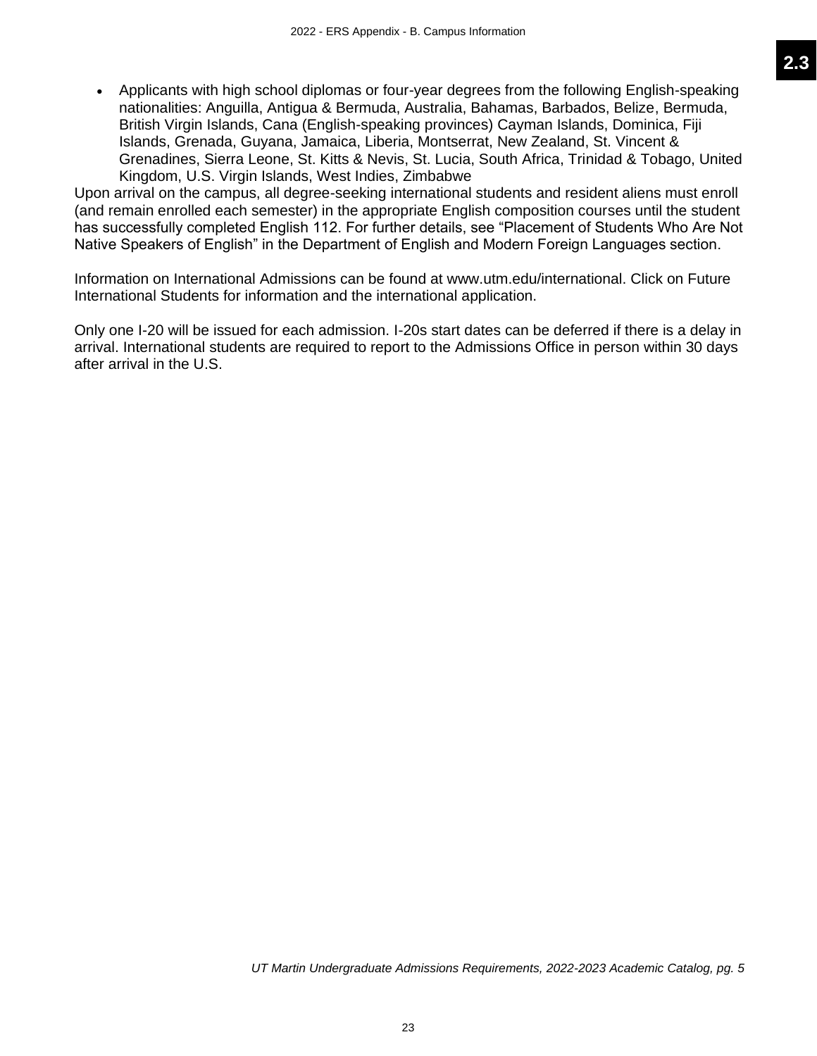• Applicants with high school diplomas or four-year degrees from the following English-speaking nationalities: Anguilla, Antigua & Bermuda, Australia, Bahamas, Barbados, Belize, Bermuda, British Virgin Islands, Cana (English-speaking provinces) Cayman Islands, Dominica, Fiji Islands, Grenada, Guyana, Jamaica, Liberia, Montserrat, New Zealand, St. Vincent & Grenadines, Sierra Leone, St. Kitts & Nevis, St. Lucia, South Africa, Trinidad & Tobago, United Kingdom, U.S. Virgin Islands, West Indies, Zimbabwe

Upon arrival on the campus, all degree-seeking international students and resident aliens must enroll (and remain enrolled each semester) in the appropriate English composition courses until the student has successfully completed English 112. For further details, see "Placement of Students Who Are Not Native Speakers of English" in the Department of English and Modern Foreign Languages section.

Information on International Admissions can be found at www.utm.edu/international. Click on Future International Students for information and the international application.

Only one I-20 will be issued for each admission. I-20s start dates can be deferred if there is a delay in arrival. International students are required to report to the Admissions Office in person within 30 days after arrival in the U.S.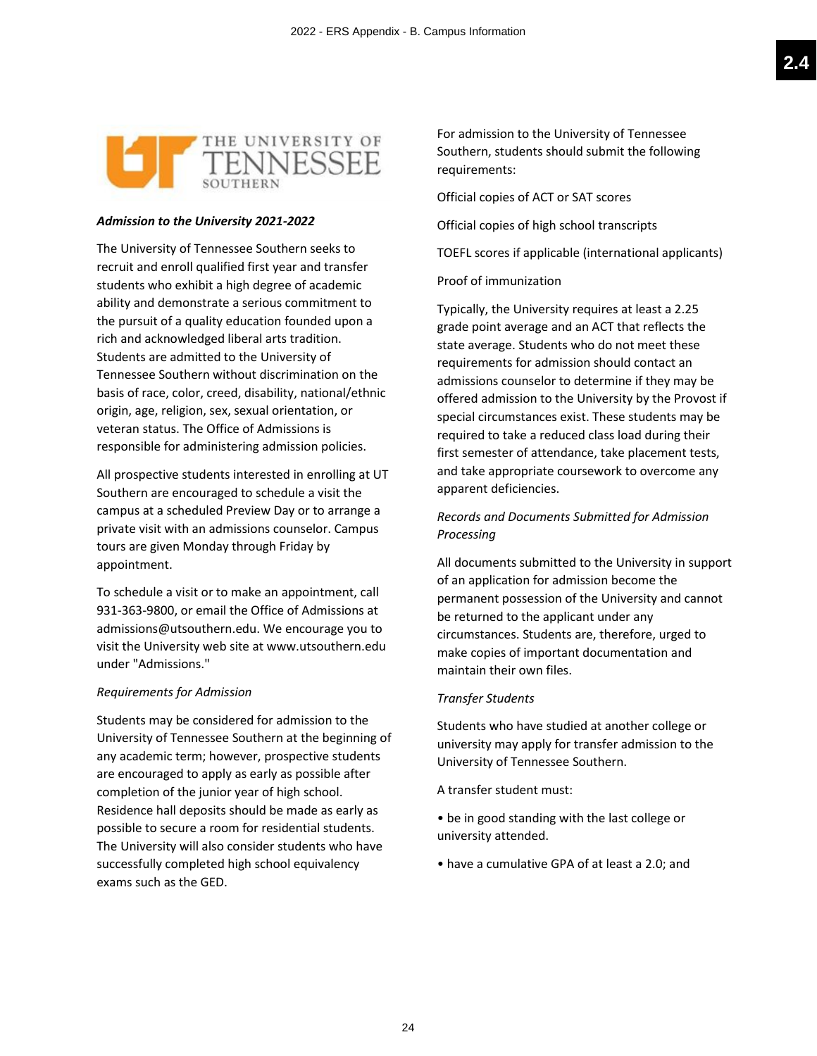<span id="page-23-0"></span>

#### *Admission to the University 2021-2022*

The University of Tennessee Southern seeks to recruit and enroll qualified first year and transfer students who exhibit a high degree of academic ability and demonstrate a serious commitment to the pursuit of a quality education founded upon a rich and acknowledged liberal arts tradition. Students are admitted to the University of Tennessee Southern without discrimination on the basis of race, color, creed, disability, national/ethnic origin, age, religion, sex, sexual orientation, or veteran status. The Office of Admissions is responsible for administering admission policies.

All prospective students interested in enrolling at UT Southern are encouraged to schedule a visit the campus at a scheduled Preview Day or to arrange a private visit with an admissions counselor. Campus tours are given Monday through Friday by appointment.

To schedule a visit or to make an appointment, call 931-363-9800, or email the Office of Admissions at admissions@utsouthern.edu. We encourage you to visit the University web site at www.utsouthern.edu under "Admissions."

#### *Requirements for Admission*

Students may be considered for admission to the University of Tennessee Southern at the beginning of any academic term; however, prospective students are encouraged to apply as early as possible after completion of the junior year of high school. Residence hall deposits should be made as early as possible to secure a room for residential students. The University will also consider students who have successfully completed high school equivalency exams such as the GED.

For admission to the University of Tennessee Southern, students should submit the following requirements:

Official copies of ACT or SAT scores

Official copies of high school transcripts

TOEFL scores if applicable (international applicants)

Proof of immunization

Typically, the University requires at least a 2.25 grade point average and an ACT that reflects the state average. Students who do not meet these requirements for admission should contact an admissions counselor to determine if they may be offered admission to the University by the Provost if special circumstances exist. These students may be required to take a reduced class load during their first semester of attendance, take placement tests, and take appropriate coursework to overcome any apparent deficiencies.

#### *Records and Documents Submitted for Admission Processing*

All documents submitted to the University in support of an application for admission become the permanent possession of the University and cannot be returned to the applicant under any circumstances. Students are, therefore, urged to make copies of important documentation and maintain their own files.

#### *Transfer Students*

Students who have studied at another college or university may apply for transfer admission to the University of Tennessee Southern.

A transfer student must:

- be in good standing with the last college or university attended.
- have a cumulative GPA of at least a 2.0; and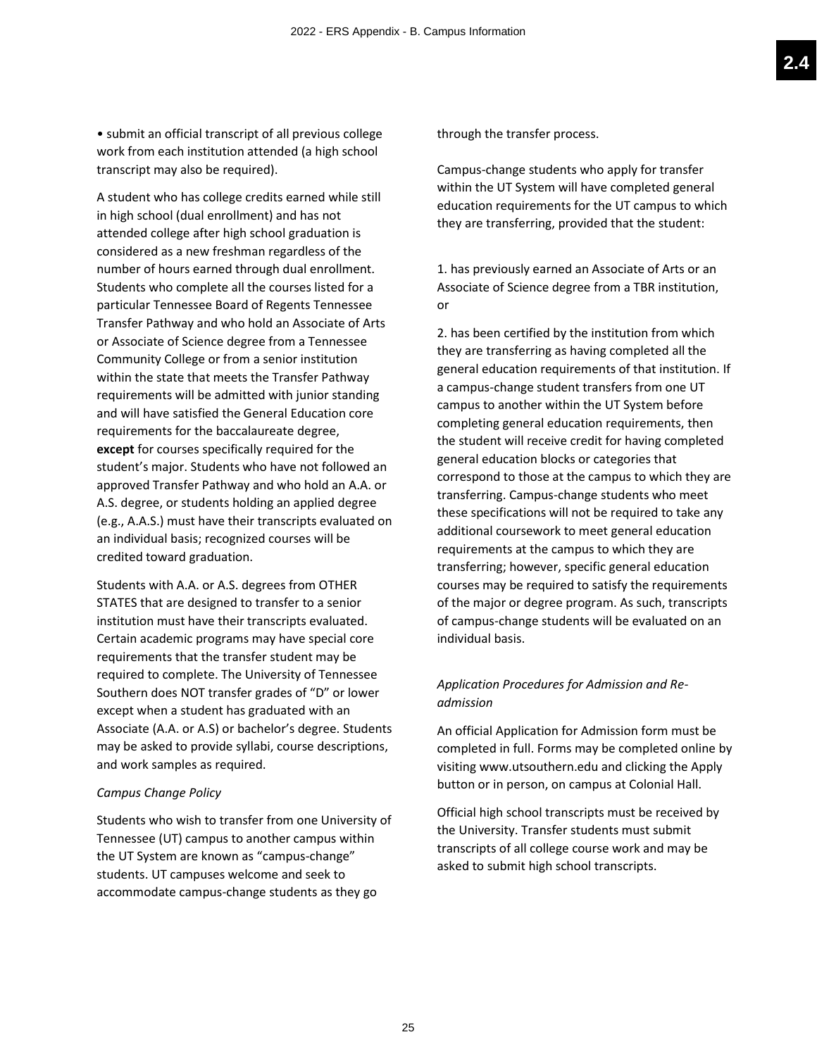• submit an official transcript of all previous college work from each institution attended (a high school transcript may also be required).

A student who has college credits earned while still in high school (dual enrollment) and has not attended college after high school graduation is considered as a new freshman regardless of the number of hours earned through dual enrollment. Students who complete all the courses listed for a particular Tennessee Board of Regents Tennessee Transfer Pathway and who hold an Associate of Arts or Associate of Science degree from a Tennessee Community College or from a senior institution within the state that meets the Transfer Pathway requirements will be admitted with junior standing and will have satisfied the General Education core requirements for the baccalaureate degree, **except** for courses specifically required for the student's major. Students who have not followed an approved Transfer Pathway and who hold an A.A. or A.S. degree, or students holding an applied degree (e.g., A.A.S.) must have their transcripts evaluated on an individual basis; recognized courses will be credited toward graduation.

Students with A.A. or A.S. degrees from OTHER STATES that are designed to transfer to a senior institution must have their transcripts evaluated. Certain academic programs may have special core requirements that the transfer student may be required to complete. The University of Tennessee Southern does NOT transfer grades of "D" or lower except when a student has graduated with an Associate (A.A. or A.S) or bachelor's degree. Students may be asked to provide syllabi, course descriptions, and work samples as required.

#### *Campus Change Policy*

Students who wish to transfer from one University of Tennessee (UT) campus to another campus within the UT System are known as "campus-change" students. UT campuses welcome and seek to accommodate campus-change students as they go

through the transfer process.

Campus-change students who apply for transfer within the UT System will have completed general education requirements for the UT campus to which they are transferring, provided that the student:

1. has previously earned an Associate of Arts or an Associate of Science degree from a TBR institution, or

2. has been certified by the institution from which they are transferring as having completed all the general education requirements of that institution. If a campus-change student transfers from one UT campus to another within the UT System before completing general education requirements, then the student will receive credit for having completed general education blocks or categories that correspond to those at the campus to which they are transferring. Campus-change students who meet these specifications will not be required to take any additional coursework to meet general education requirements at the campus to which they are transferring; however, specific general education courses may be required to satisfy the requirements of the major or degree program. As such, transcripts of campus-change students will be evaluated on an individual basis.

#### *Application Procedures for Admission and Readmission*

An official Application for Admission form must be completed in full. Forms may be completed online by visiting www.utsouthern.edu and clicking the Apply button or in person, on campus at Colonial Hall.

Official high school transcripts must be received by the University. Transfer students must submit transcripts of all college course work and may be asked to submit high school transcripts.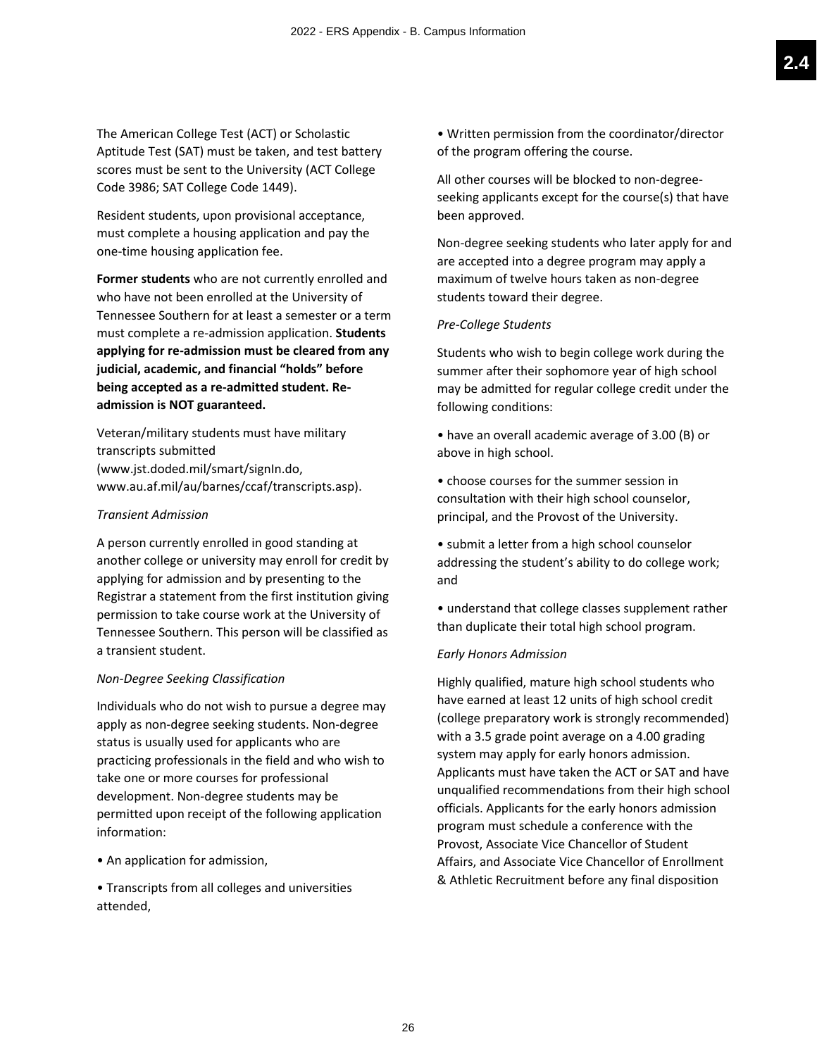The American College Test (ACT) or Scholastic Aptitude Test (SAT) must be taken, and test battery scores must be sent to the University (ACT College Code 3986; SAT College Code 1449).

Resident students, upon provisional acceptance, must complete a housing application and pay the one-time housing application fee.

**Former students** who are not currently enrolled and who have not been enrolled at the University of Tennessee Southern for at least a semester or a term must complete a re-admission application. **Students applying for re-admission must be cleared from any judicial, academic, and financial "holds" before being accepted as a re-admitted student. Readmission is NOT guaranteed.**

Veteran/military students must have military transcripts submitted (www.jst.doded.mil/smart/signIn.do, www.au.af.mil/au/barnes/ccaf/transcripts.asp).

#### *Transient Admission*

A person currently enrolled in good standing at another college or university may enroll for credit by applying for admission and by presenting to the Registrar a statement from the first institution giving permission to take course work at the University of Tennessee Southern. This person will be classified as a transient student.

#### *Non-Degree Seeking Classification*

Individuals who do not wish to pursue a degree may apply as non-degree seeking students. Non-degree status is usually used for applicants who are practicing professionals in the field and who wish to take one or more courses for professional development. Non-degree students may be permitted upon receipt of the following application information:

- An application for admission,
- Transcripts from all colleges and universities attended,

• Written permission from the coordinator/director of the program offering the course.

All other courses will be blocked to non-degreeseeking applicants except for the course(s) that have been approved.

Non-degree seeking students who later apply for and are accepted into a degree program may apply a maximum of twelve hours taken as non-degree students toward their degree.

#### *Pre-College Students*

Students who wish to begin college work during the summer after their sophomore year of high school may be admitted for regular college credit under the following conditions:

• have an overall academic average of 3.00 (B) or above in high school.

• choose courses for the summer session in consultation with their high school counselor, principal, and the Provost of the University.

• submit a letter from a high school counselor addressing the student's ability to do college work; and

• understand that college classes supplement rather than duplicate their total high school program.

#### *Early Honors Admission*

Highly qualified, mature high school students who have earned at least 12 units of high school credit (college preparatory work is strongly recommended) with a 3.5 grade point average on a 4.00 grading system may apply for early honors admission. Applicants must have taken the ACT or SAT and have unqualified recommendations from their high school officials. Applicants for the early honors admission program must schedule a conference with the Provost, Associate Vice Chancellor of Student Affairs, and Associate Vice Chancellor of Enrollment & Athletic Recruitment before any final disposition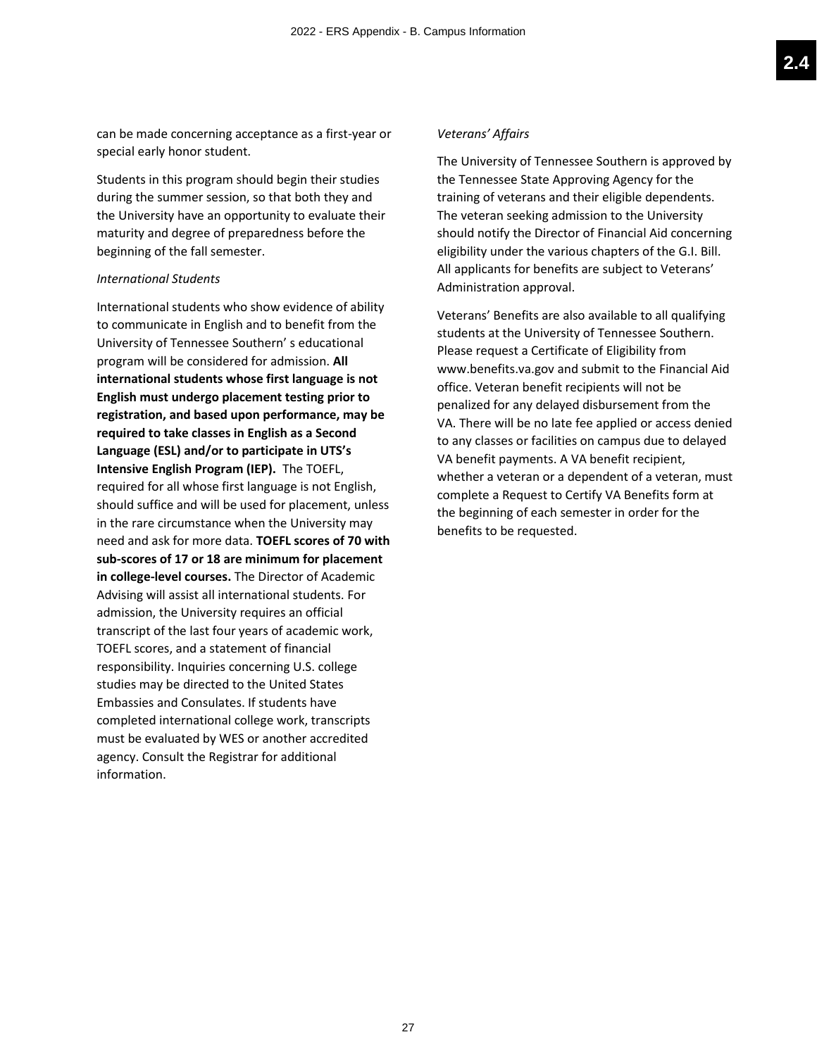can be made concerning acceptance as a first-year or special early honor student.

Students in this program should begin their studies during the summer session, so that both they and the University have an opportunity to evaluate their maturity and degree of preparedness before the beginning of the fall semester.

#### *International Students*

International students who show evidence of ability to communicate in English and to benefit from the University of Tennessee Southern' s educational program will be considered for admission. **All international students whose first language is not English must undergo placement testing prior to registration, and based upon performance, may be required to take classes in English as a Second Language (ESL) and/or to participate in UTS's Intensive English Program (IEP).** The TOEFL, required for all whose first language is not English, should suffice and will be used for placement, unless in the rare circumstance when the University may need and ask for more data. **TOEFL scores of 70 with sub-scores of 17 or 18 are minimum for placement in college-level courses.** The Director of Academic Advising will assist all international students. For admission, the University requires an official transcript of the last four years of academic work, TOEFL scores, and a statement of financial responsibility. Inquiries concerning U.S. college studies may be directed to the United States Embassies and Consulates. If students have completed international college work, transcripts must be evaluated by WES or another accredited agency. Consult the Registrar for additional information.

#### *Veterans' Affairs*

The University of Tennessee Southern is approved by the Tennessee State Approving Agency for the training of veterans and their eligible dependents. The veteran seeking admission to the University should notify the Director of Financial Aid concerning eligibility under the various chapters of the G.I. Bill. All applicants for benefits are subject to Veterans' Administration approval.

Veterans' Benefits are also available to all qualifying students at the University of Tennessee Southern. Please request a Certificate of Eligibility from www.benefits.va.gov and submit to the Financial Aid office. Veteran benefit recipients will not be penalized for any delayed disbursement from the VA. There will be no late fee applied or access denied to any classes or facilities on campus due to delayed VA benefit payments. A VA benefit recipient, whether a veteran or a dependent of a veteran, must complete a Request to Certify VA Benefits form at the beginning of each semester in order for the benefits to be requested.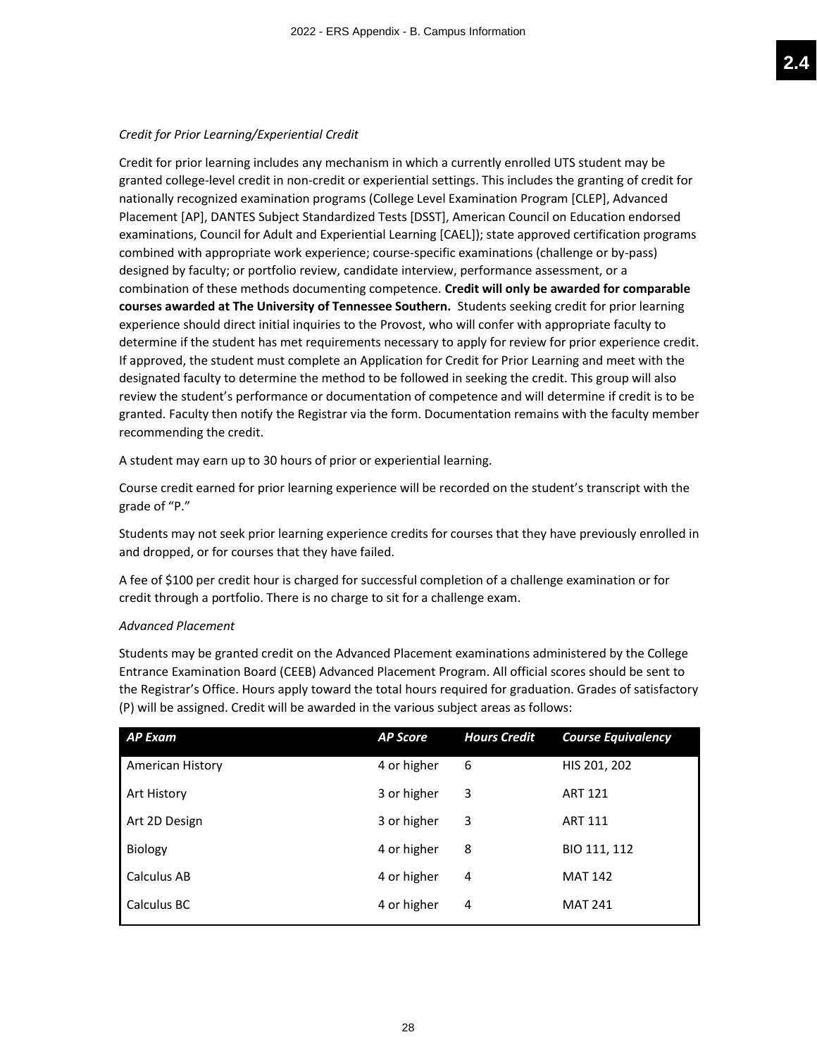#### <span id="page-27-0"></span>*Credit for Prior Learning/Experiential Credit*

Credit for prior learning includes any mechanism in which a currently enrolled UTS student may be granted college-level credit in non-credit or experiential settings. This includes the granting of credit for nationally recognized examination programs (College Level Examination Program [CLEP], Advanced Placement [AP], DANTES Subject Standardized Tests [DSST], American Council on Education endorsed examinations, Council for Adult and Experiential Learning [CAEL]); state approved certification programs combined with appropriate work experience; course-specific examinations (challenge or by-pass) designed by faculty; or portfolio review, candidate interview, performance assessment, or a combination of these methods documenting competence. **Credit will only be awarded for comparable courses awarded at The University of Tennessee Southern.** Students seeking credit for prior learning experience should direct initial inquiries to the Provost, who will confer with appropriate faculty to determine if the student has met requirements necessary to apply for review for prior experience credit. If approved, the student must complete an Application for Credit for Prior Learning and meet with the designated faculty to determine the method to be followed in seeking the credit. This group will also review the student's performance or documentation of competence and will determine if credit is to be granted. Faculty then notify the Registrar via the form. Documentation remains with the faculty member recommending the credit.

A student may earn up to 30 hours of prior or experiential learning.

Course credit earned for prior learning experience will be recorded on the student's transcript with the grade of "P."

Students may not seek prior learning experience credits for courses that they have previously enrolled in and dropped, or for courses that they have failed.

A fee of \$100 per credit hour is charged for successful completion of a challenge examination or for credit through a portfolio. There is no charge to sit for a challenge exam.

#### *Advanced Placement*

Students may be granted credit on the Advanced Placement examinations administered by the College Entrance Examination Board (CEEB) Advanced Placement Program. All official scores should be sent to the Registrar's Office. Hours apply toward the total hours required for graduation. Grades of satisfactory (P) will be assigned. Credit will be awarded in the various subject areas as follows:

| <b>Hours Credit</b><br><b>Course Equivalency</b><br><b>AP Score</b> |  | AP Exam                 |
|---------------------------------------------------------------------|--|-------------------------|
| 4 or higher<br>HIS 201, 202<br>6                                    |  | <b>American History</b> |
| 3 or higher<br>3<br><b>ART 121</b>                                  |  | Art History             |
| 3 or higher<br>3<br><b>ART 111</b>                                  |  | Art 2D Design           |
| 4 or higher<br>8<br>BIO 111, 112                                    |  | <b>Biology</b>          |
| 4 or higher<br><b>MAT 142</b><br>4                                  |  | Calculus AB             |
| 4 or higher<br><b>MAT 241</b><br>4                                  |  | Calculus BC             |
|                                                                     |  |                         |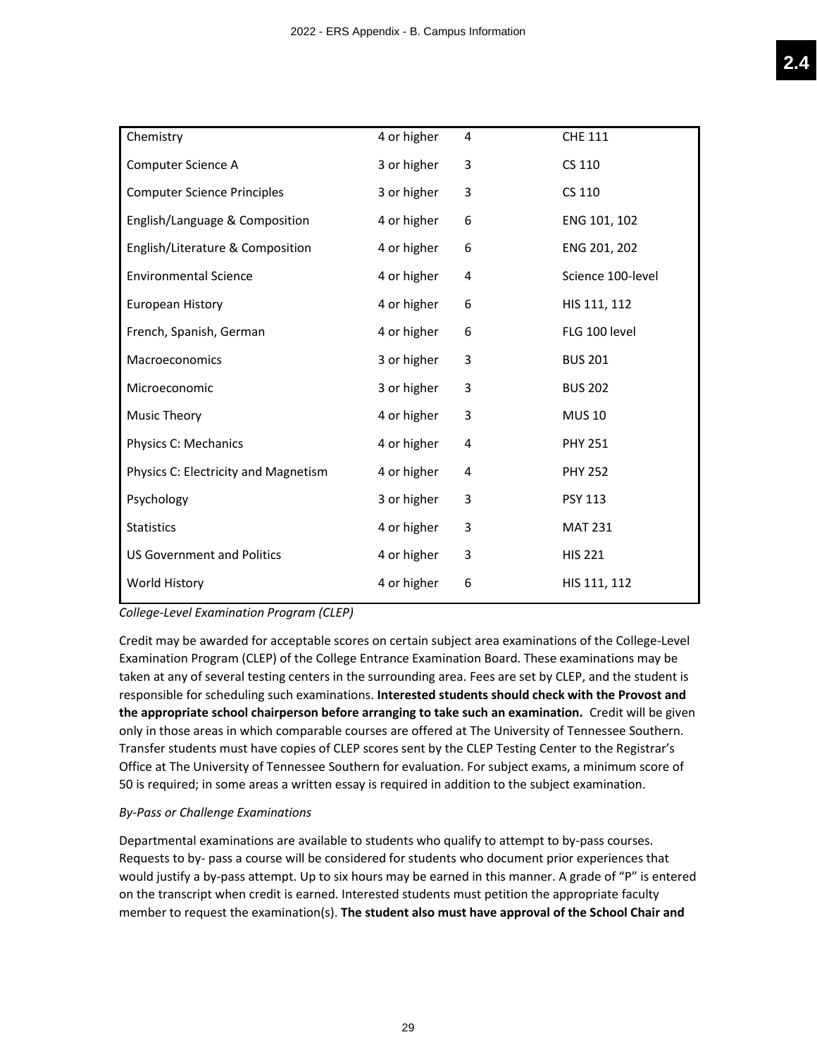| Chemistry                            | 4 or higher | 4 | <b>CHE 111</b>    |
|--------------------------------------|-------------|---|-------------------|
| Computer Science A                   | 3 or higher | 3 | CS 110            |
| <b>Computer Science Principles</b>   | 3 or higher | 3 | CS 110            |
| English/Language & Composition       | 4 or higher | 6 | ENG 101, 102      |
| English/Literature & Composition     | 4 or higher | 6 | ENG 201, 202      |
| <b>Environmental Science</b>         | 4 or higher | 4 | Science 100-level |
| European History                     | 4 or higher | 6 | HIS 111, 112      |
| French, Spanish, German              | 4 or higher | 6 | FLG 100 level     |
| Macroeconomics                       | 3 or higher | 3 | <b>BUS 201</b>    |
| Microeconomic                        | 3 or higher | 3 | <b>BUS 202</b>    |
| <b>Music Theory</b>                  | 4 or higher | 3 | <b>MUS 10</b>     |
| Physics C: Mechanics                 | 4 or higher | 4 | <b>PHY 251</b>    |
| Physics C: Electricity and Magnetism | 4 or higher | 4 | <b>PHY 252</b>    |
| Psychology                           | 3 or higher | 3 | <b>PSY 113</b>    |
| <b>Statistics</b>                    | 4 or higher | 3 | <b>MAT 231</b>    |
| <b>US Government and Politics</b>    | 4 or higher | 3 | <b>HIS 221</b>    |
| World History                        | 4 or higher | 6 | HIS 111, 112      |
|                                      |             |   |                   |

*College-Level Examination Program (CLEP)*

Credit may be awarded for acceptable scores on certain subject area examinations of the College-Level Examination Program (CLEP) of the College Entrance Examination Board. These examinations may be taken at any of several testing centers in the surrounding area. Fees are set by CLEP, and the student is responsible for scheduling such examinations. **Interested students should check with the Provost and the appropriate school chairperson before arranging to take such an examination.** Credit will be given only in those areas in which comparable courses are offered at The University of Tennessee Southern. Transfer students must have copies of CLEP scores sent by the CLEP Testing Center to the Registrar's Office at The University of Tennessee Southern for evaluation. For subject exams, a minimum score of 50 is required; in some areas a written essay is required in addition to the subject examination.

#### *By-Pass or Challenge Examinations*

Departmental examinations are available to students who qualify to attempt to by-pass courses. Requests to by- pass a course will be considered for students who document prior experiences that would justify a by-pass attempt. Up to six hours may be earned in this manner. A grade of "P" is entered on the transcript when credit is earned. Interested students must petition the appropriate faculty member to request the examination(s). **The student also must have approval of the School Chair and**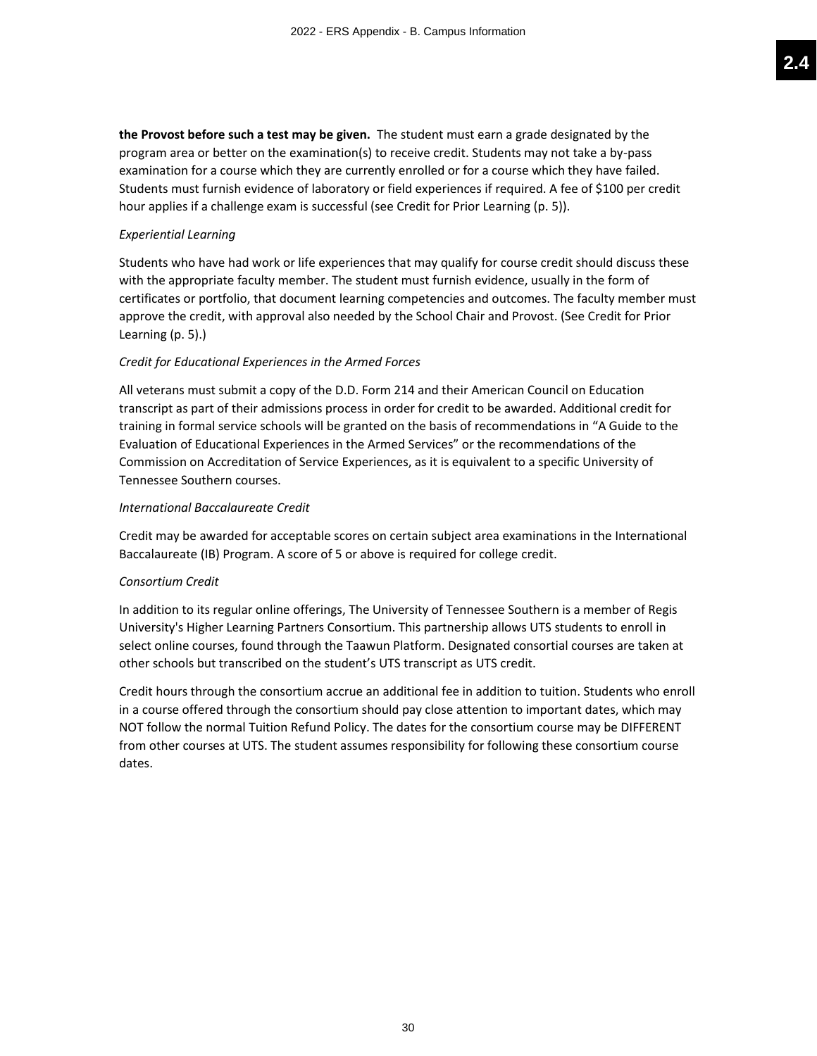**the Provost before such a test may be given.** The student must earn a grade designated by the program area or better on the examination(s) to receive credit. Students may not take a by-pass examination for a course which they are currently enrolled or for a course which they have failed. Students must furnish evidence of laboratory or field experiences if required. A fee of \$100 per credit hour applies if a challenge exam is successful (see Credit for Prior Learning (p. [5\)](#page-27-0)).

#### *Experiential Learning*

Students who have had work or life experiences that may qualify for course credit should discuss these with the appropriate faculty member. The student must furnish evidence, usually in the form of certificates or portfolio, that document learning competencies and outcomes. The faculty member must approve the credit, with approval also needed by the School Chair and Provost. (See Credit for Prior Learning (p. [5\)](#page-27-0).)

#### *Credit for Educational Experiences in the Armed Forces*

All veterans must submit a copy of the D.D. Form 214 and their American Council on Education transcript as part of their admissions process in order for credit to be awarded. Additional credit for training in formal service schools will be granted on the basis of recommendations in "A Guide to the Evaluation of Educational Experiences in the Armed Services" or the recommendations of the Commission on Accreditation of Service Experiences, as it is equivalent to a specific University of Tennessee Southern courses.

#### *International Baccalaureate Credit*

Credit may be awarded for acceptable scores on certain subject area examinations in the International Baccalaureate (IB) Program. A score of 5 or above is required for college credit.

#### *Consortium Credit*

In addition to its regular online offerings, The University of Tennessee Southern is a member of Regis University's Higher Learning Partners Consortium. This partnership allows UTS students to enroll in select online courses, found through the Taawun Platform. Designated consortial courses are taken at other schools but transcribed on the student's UTS transcript as UTS credit.

Credit hours through the consortium accrue an additional fee in addition to tuition. Students who enroll in a course offered through the consortium should pay close attention to important dates, which may NOT follow the normal Tuition Refund Policy. The dates for the consortium course may be DIFFERENT from other courses at UTS. The student assumes responsibility for following these consortium course dates.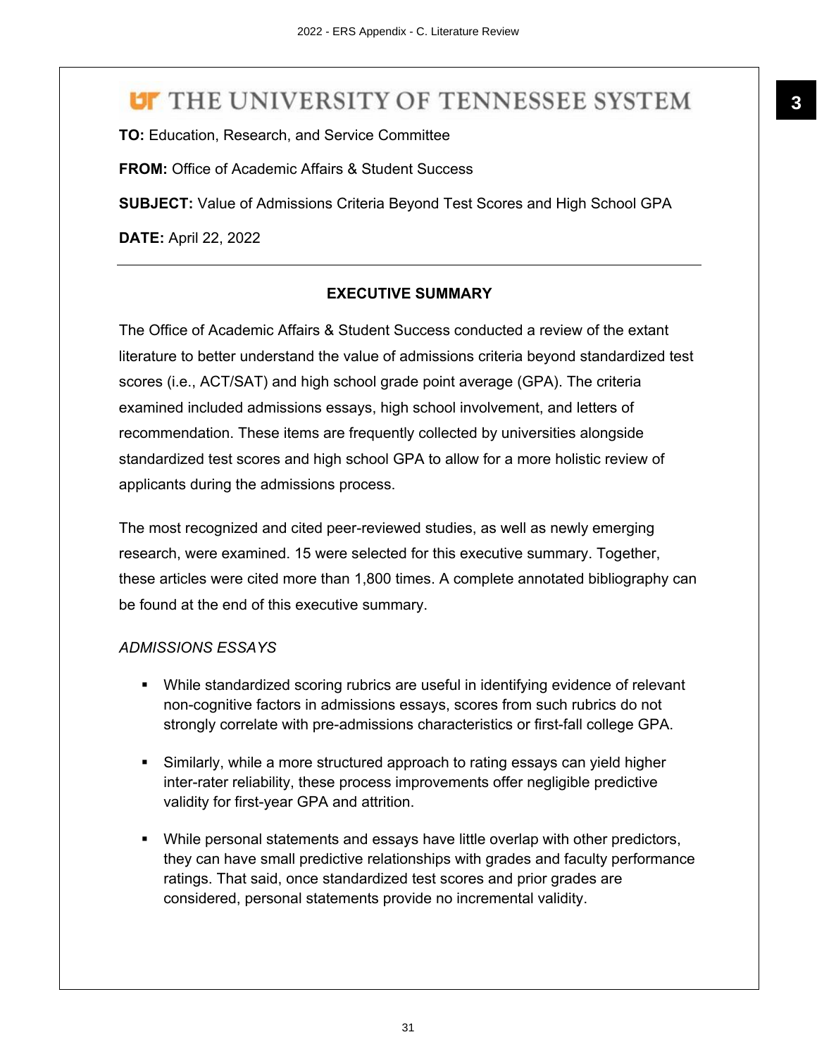# <span id="page-30-0"></span>**UF THE UNIVERSITY OF TENNESSEE SYSTEM**

**TO:** Education, Research, and Service Committee

**FROM:** Office of Academic Affairs & Student Success

**SUBJECT:** Value of Admissions Criteria Beyond Test Scores and High School GPA

**DATE:** April 22, 2022

#### **EXECUTIVE SUMMARY**

The Office of Academic Affairs & Student Success conducted a review of the extant literature to better understand the value of admissions criteria beyond standardized test scores (i.e., ACT/SAT) and high school grade point average (GPA). The criteria examined included admissions essays, high school involvement, and letters of recommendation. These items are frequently collected by universities alongside standardized test scores and high school GPA to allow for a more holistic review of applicants during the admissions process.

The most recognized and cited peer-reviewed studies, as well as newly emerging research, were examined. 15 were selected for this executive summary. Together, these articles were cited more than 1,800 times. A complete annotated bibliography can be found at the end of this executive summary.

#### *ADMISSIONS ESSAYS*

- § While standardized scoring rubrics are useful in identifying evidence of relevant non-cognitive factors in admissions essays, scores from such rubrics do not strongly correlate with pre-admissions characteristics or first-fall college GPA.
- § Similarly, while a more structured approach to rating essays can yield higher inter-rater reliability, these process improvements offer negligible predictive validity for first-year GPA and attrition.
- While personal statements and essays have little overlap with other predictors, they can have small predictive relationships with grades and faculty performance ratings. That said, once standardized test scores and prior grades are considered, personal statements provide no incremental validity.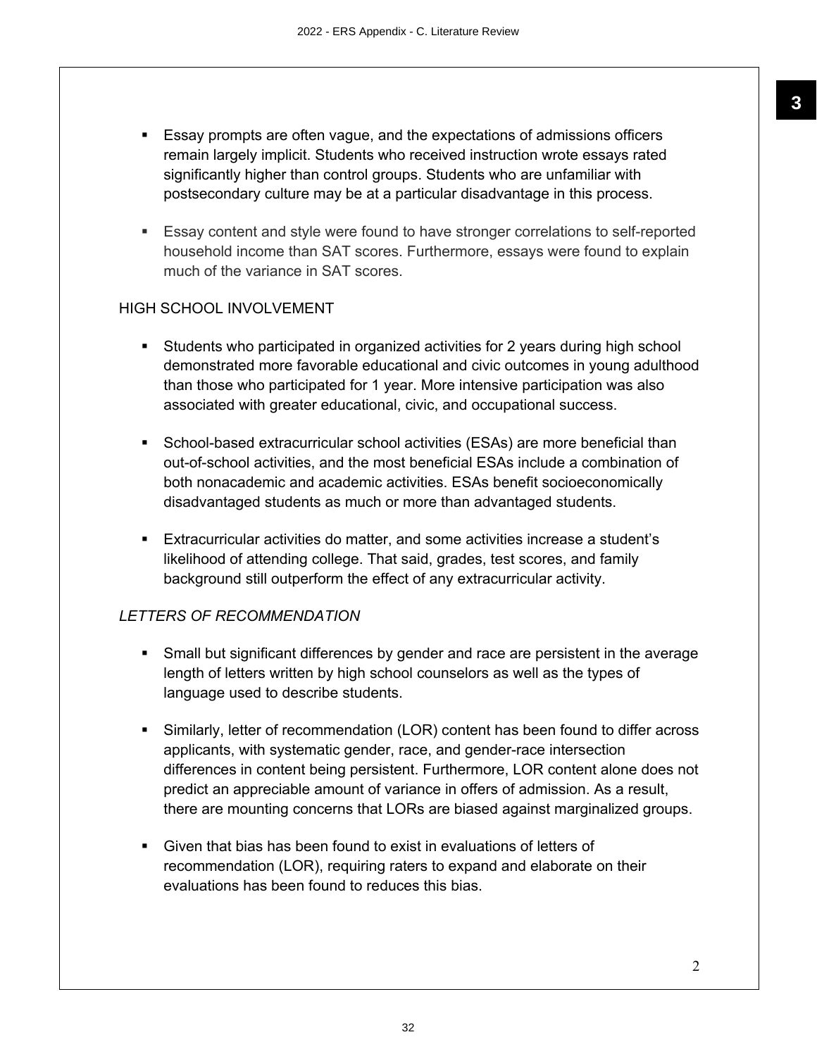- **Essay prompts are often vague, and the expectations of admissions officers** remain largely implicit. Students who received instruction wrote essays rated significantly higher than control groups. Students who are unfamiliar with postsecondary culture may be at a particular disadvantage in this process.
- Essay content and style were found to have stronger correlations to self-reported household income than SAT scores. Furthermore, essays were found to explain much of the variance in SAT scores.

#### HIGH SCHOOL INVOLVEMENT

- § Students who participated in organized activities for 2 years during high school demonstrated more favorable educational and civic outcomes in young adulthood than those who participated for 1 year. More intensive participation was also associated with greater educational, civic, and occupational success.
- § School-based extracurricular school activities (ESAs) are more beneficial than out-of-school activities, and the most beneficial ESAs include a combination of both nonacademic and academic activities. ESAs benefit socioeconomically disadvantaged students as much or more than advantaged students.
- § Extracurricular activities do matter, and some activities increase a student's likelihood of attending college. That said, grades, test scores, and family background still outperform the effect of any extracurricular activity.

#### *LETTERS OF RECOMMENDATION*

- Small but significant differences by gender and race are persistent in the average length of letters written by high school counselors as well as the types of language used to describe students.
- Similarly, letter of recommendation (LOR) content has been found to differ across applicants, with systematic gender, race, and gender-race intersection differences in content being persistent. Furthermore, LOR content alone does not predict an appreciable amount of variance in offers of admission. As a result, there are mounting concerns that LORs are biased against marginalized groups.
- Given that bias has been found to exist in evaluations of letters of recommendation (LOR), requiring raters to expand and elaborate on their evaluations has been found to reduces this bias.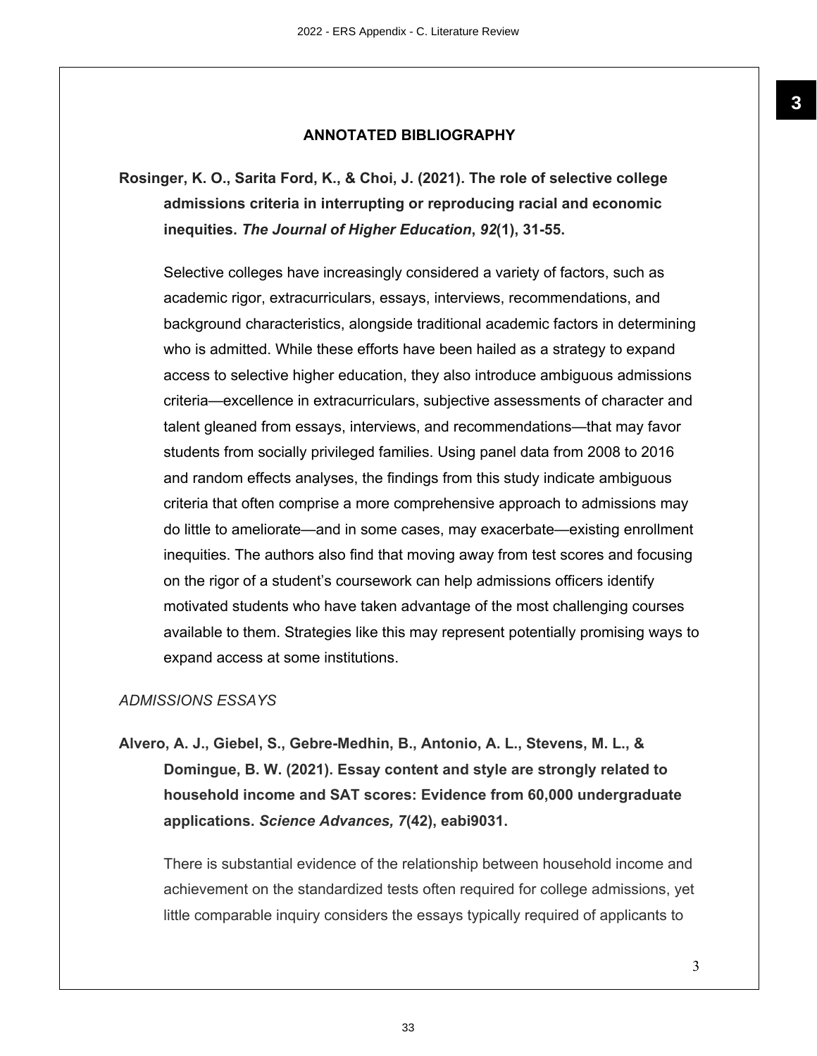#### **ANNOTATED BIBLIOGRAPHY**

**Rosinger, K. O., Sarita Ford, K., & Choi, J. (2021). The role of selective college admissions criteria in interrupting or reproducing racial and economic inequities.** *The Journal of Higher Education***,** *92***(1), 31-55.** 

Selective colleges have increasingly considered a variety of factors, such as academic rigor, extracurriculars, essays, interviews, recommendations, and background characteristics, alongside traditional academic factors in determining who is admitted. While these efforts have been hailed as a strategy to expand access to selective higher education, they also introduce ambiguous admissions criteria—excellence in extracurriculars, subjective assessments of character and talent gleaned from essays, interviews, and recommendations—that may favor students from socially privileged families. Using panel data from 2008 to 2016 and random effects analyses, the findings from this study indicate ambiguous criteria that often comprise a more comprehensive approach to admissions may do little to ameliorate—and in some cases, may exacerbate—existing enrollment inequities. The authors also find that moving away from test scores and focusing on the rigor of a student's coursework can help admissions officers identify motivated students who have taken advantage of the most challenging courses available to them. Strategies like this may represent potentially promising ways to expand access at some institutions.

#### *ADMISSIONS ESSAYS*

**Alvero, A. J., Giebel, S., Gebre-Medhin, B., Antonio, A. L., Stevens, M. L., & Domingue, B. W. (2021). Essay content and style are strongly related to household income and SAT scores: Evidence from 60,000 undergraduate applications.** *Science Advances, 7***(42), eabi9031.**

There is substantial evidence of the relationship between household income and achievement on the standardized tests often required for college admissions, yet little comparable inquiry considers the essays typically required of applicants to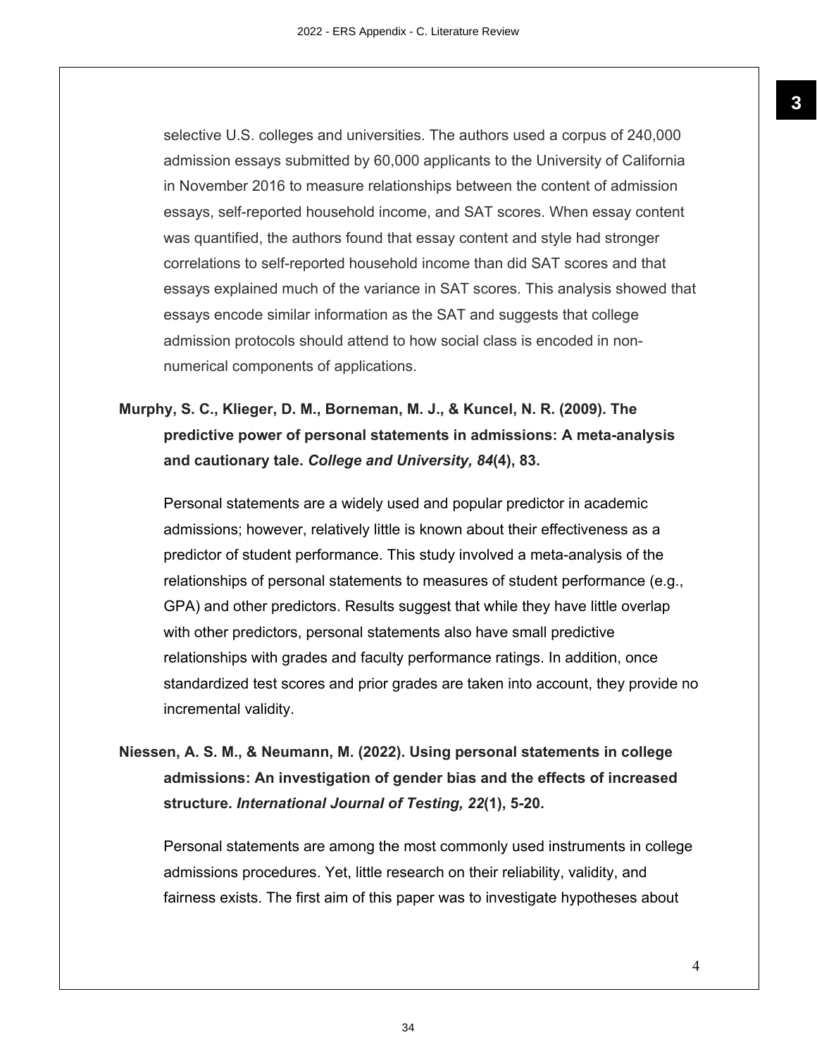selective U.S. colleges and universities. The authors used a corpus of 240,000 admission essays submitted by 60,000 applicants to the University of California in November 2016 to measure relationships between the content of admission essays, self-reported household income, and SAT scores. When essay content was quantified, the authors found that essay content and style had stronger correlations to self-reported household income than did SAT scores and that essays explained much of the variance in SAT scores. This analysis showed that essays encode similar information as the SAT and suggests that college admission protocols should attend to how social class is encoded in nonnumerical components of applications.

# **Murphy, S. C., Klieger, D. M., Borneman, M. J., & Kuncel, N. R. (2009). The predictive power of personal statements in admissions: A meta-analysis and cautionary tale.** *College and University, 84***(4), 83.**

Personal statements are a widely used and popular predictor in academic admissions; however, relatively little is known about their effectiveness as a predictor of student performance. This study involved a meta-analysis of the relationships of personal statements to measures of student performance (e.g., GPA) and other predictors. Results suggest that while they have little overlap with other predictors, personal statements also have small predictive relationships with grades and faculty performance ratings. In addition, once standardized test scores and prior grades are taken into account, they provide no incremental validity.

# **Niessen, A. S. M., & Neumann, M. (2022). Using personal statements in college admissions: An investigation of gender bias and the effects of increased structure.** *International Journal of Testing, 22***(1), 5-20.**

Personal statements are among the most commonly used instruments in college admissions procedures. Yet, little research on their reliability, validity, and fairness exists. The first aim of this paper was to investigate hypotheses about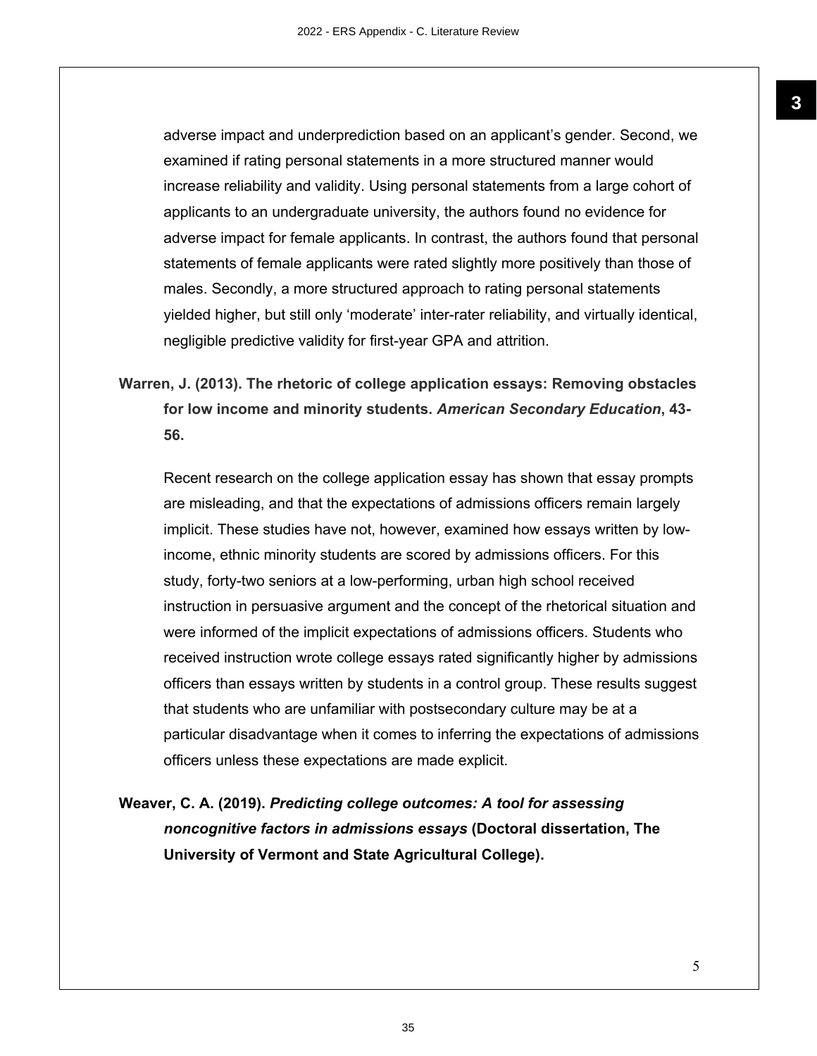adverse impact and underprediction based on an applicant's gender. Second, we examined if rating personal statements in a more structured manner would increase reliability and validity. Using personal statements from a large cohort of applicants to an undergraduate university, the authors found no evidence for adverse impact for female applicants. In contrast, the authors found that personal statements of female applicants were rated slightly more positively than those of males. Secondly, a more structured approach to rating personal statements yielded higher, but still only 'moderate' inter-rater reliability, and virtually identical, negligible predictive validity for first-year GPA and attrition.

# **Warren, J. (2013). The rhetoric of college application essays: Removing obstacles for low income and minority students.** *American Secondary Education***, 43- 56.**

Recent research on the college application essay has shown that essay prompts are misleading, and that the expectations of admissions officers remain largely implicit. These studies have not, however, examined how essays written by lowincome, ethnic minority students are scored by admissions officers. For this study, forty-two seniors at a low-performing, urban high school received instruction in persuasive argument and the concept of the rhetorical situation and were informed of the implicit expectations of admissions officers. Students who received instruction wrote college essays rated significantly higher by admissions officers than essays written by students in a control group. These results suggest that students who are unfamiliar with postsecondary culture may be at a particular disadvantage when it comes to inferring the expectations of admissions officers unless these expectations are made explicit.

# **Weaver, C. A. (2019).** *Predicting college outcomes: A tool for assessing noncognitive factors in admissions essays* **(Doctoral dissertation, The University of Vermont and State Agricultural College).**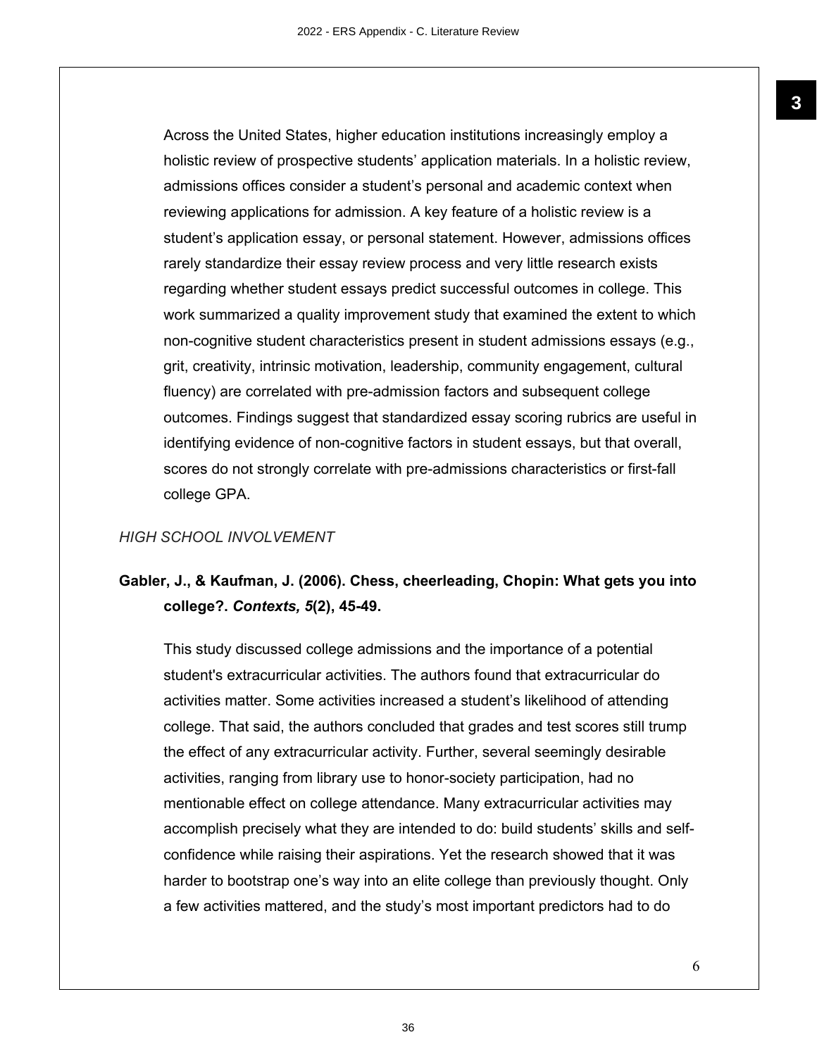Across the United States, higher education institutions increasingly employ a holistic review of prospective students' application materials. In a holistic review, admissions offices consider a student's personal and academic context when reviewing applications for admission. A key feature of a holistic review is a student's application essay, or personal statement. However, admissions offices rarely standardize their essay review process and very little research exists regarding whether student essays predict successful outcomes in college. This work summarized a quality improvement study that examined the extent to which non-cognitive student characteristics present in student admissions essays (e.g., grit, creativity, intrinsic motivation, leadership, community engagement, cultural fluency) are correlated with pre-admission factors and subsequent college outcomes. Findings suggest that standardized essay scoring rubrics are useful in identifying evidence of non-cognitive factors in student essays, but that overall, scores do not strongly correlate with pre-admissions characteristics or first-fall college GPA.

#### *HIGH SCHOOL INVOLVEMENT*

# **Gabler, J., & Kaufman, J. (2006). Chess, cheerleading, Chopin: What gets you into college?.** *Contexts, 5***(2), 45-49.**

This study discussed college admissions and the importance of a potential student's extracurricular activities. The authors found that extracurricular do activities matter. Some activities increased a student's likelihood of attending college. That said, the authors concluded that grades and test scores still trump the effect of any extracurricular activity. Further, several seemingly desirable activities, ranging from library use to honor-society participation, had no mentionable effect on college attendance. Many extracurricular activities may accomplish precisely what they are intended to do: build students' skills and selfconfidence while raising their aspirations. Yet the research showed that it was harder to bootstrap one's way into an elite college than previously thought. Only a few activities mattered, and the study's most important predictors had to do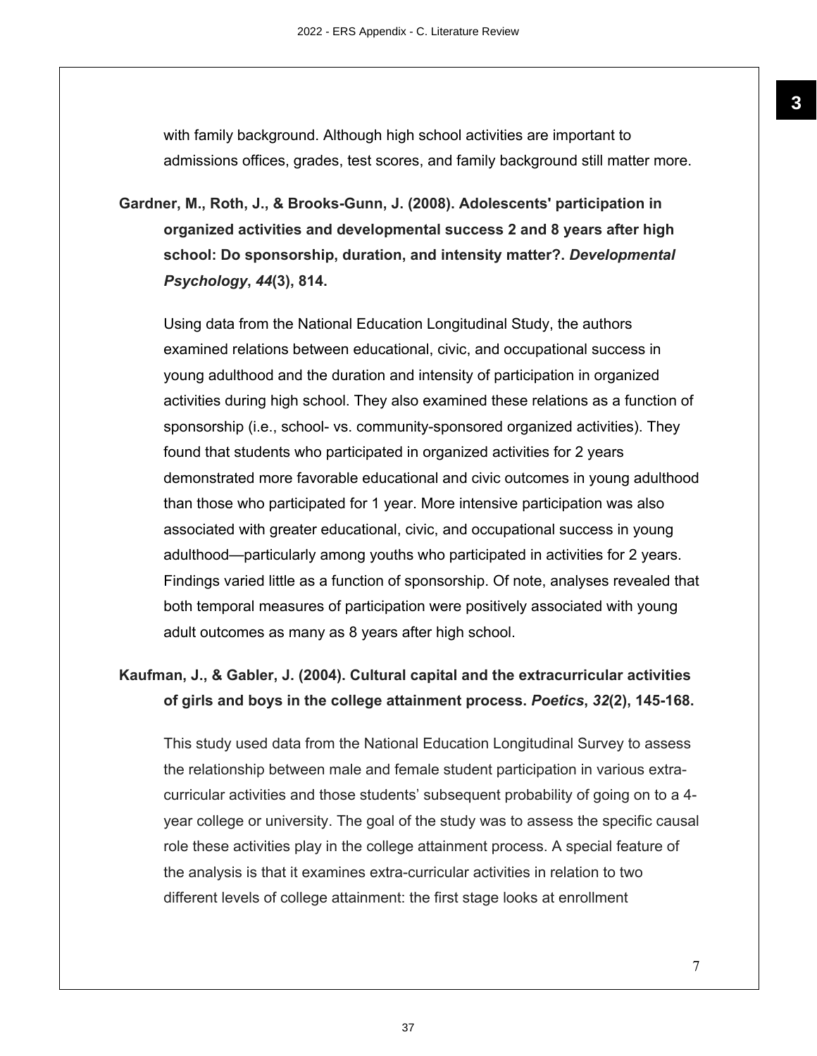with family background. Although high school activities are important to admissions offices, grades, test scores, and family background still matter more.

**Gardner, M., Roth, J., & Brooks-Gunn, J. (2008). Adolescents' participation in organized activities and developmental success 2 and 8 years after high school: Do sponsorship, duration, and intensity matter?.** *Developmental Psychology***,** *44***(3), 814.** 

Using data from the National Education Longitudinal Study, the authors examined relations between educational, civic, and occupational success in young adulthood and the duration and intensity of participation in organized activities during high school. They also examined these relations as a function of sponsorship (i.e., school- vs. community-sponsored organized activities). They found that students who participated in organized activities for 2 years demonstrated more favorable educational and civic outcomes in young adulthood than those who participated for 1 year. More intensive participation was also associated with greater educational, civic, and occupational success in young adulthood—particularly among youths who participated in activities for 2 years. Findings varied little as a function of sponsorship. Of note, analyses revealed that both temporal measures of participation were positively associated with young adult outcomes as many as 8 years after high school.

# **Kaufman, J., & Gabler, J. (2004). Cultural capital and the extracurricular activities of girls and boys in the college attainment process.** *Poetics***,** *32***(2), 145-168.**

This study used data from the National Education Longitudinal Survey to assess the relationship between male and female student participation in various extracurricular activities and those students' subsequent probability of going on to a 4 year college or university. The goal of the study was to assess the specific causal role these activities play in the college attainment process. A special feature of the analysis is that it examines extra-curricular activities in relation to two different levels of college attainment: the first stage looks at enrollment

37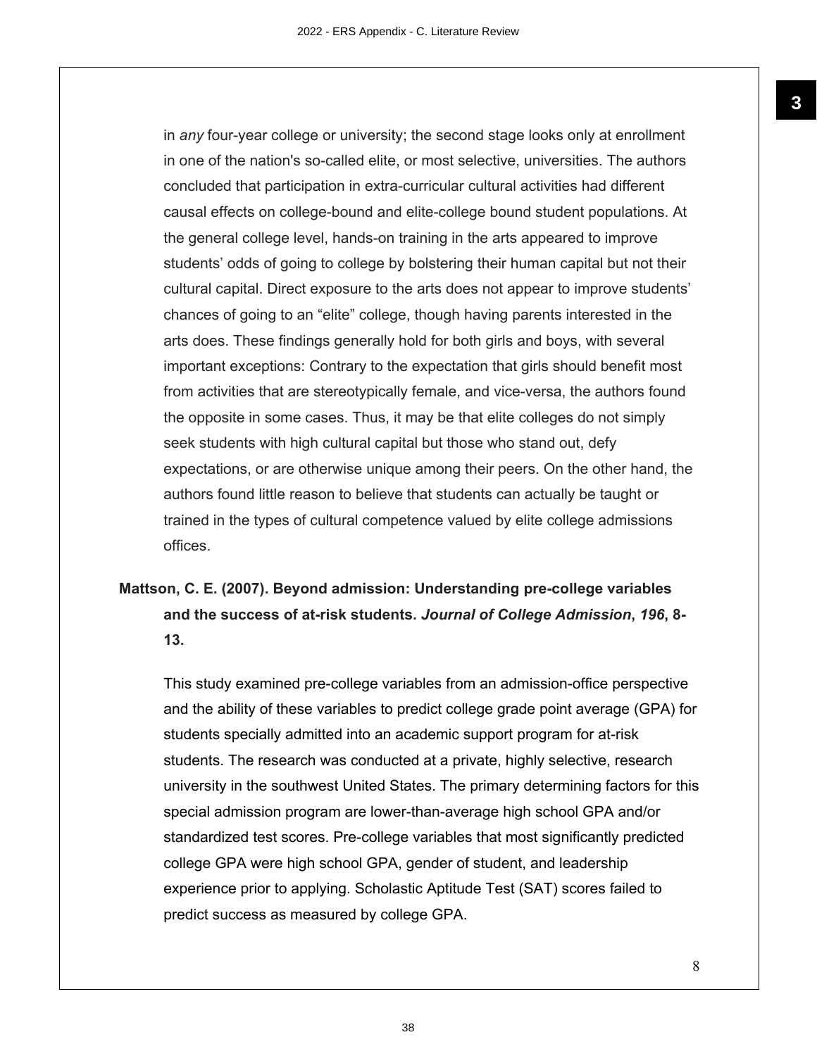in *any* four-year college or university; the second stage looks only at enrollment in one of the nation's so-called elite, or most selective, universities. The authors concluded that participation in extra-curricular cultural activities had different causal effects on college-bound and elite-college bound student populations. At the general college level, hands-on training in the arts appeared to improve students' odds of going to college by bolstering their human capital but not their cultural capital. Direct exposure to the arts does not appear to improve students' chances of going to an "elite" college, though having parents interested in the arts does. These findings generally hold for both girls and boys, with several important exceptions: Contrary to the expectation that girls should benefit most from activities that are stereotypically female, and vice-versa, the authors found the opposite in some cases. Thus, it may be that elite colleges do not simply seek students with high cultural capital but those who stand out, defy expectations, or are otherwise unique among their peers. On the other hand, the authors found little reason to believe that students can actually be taught or trained in the types of cultural competence valued by elite college admissions offices.

# **Mattson, C. E. (2007). Beyond admission: Understanding pre-college variables and the success of at-risk students.** *Journal of College Admission***,** *196***, 8- 13.**

This study examined pre-college variables from an admission-office perspective and the ability of these variables to predict college grade point average (GPA) for students specially admitted into an academic support program for at-risk students. The research was conducted at a private, highly selective, research university in the southwest United States. The primary determining factors for this special admission program are lower-than-average high school GPA and/or standardized test scores. Pre-college variables that most significantly predicted college GPA were high school GPA, gender of student, and leadership experience prior to applying. Scholastic Aptitude Test (SAT) scores failed to predict success as measured by college GPA.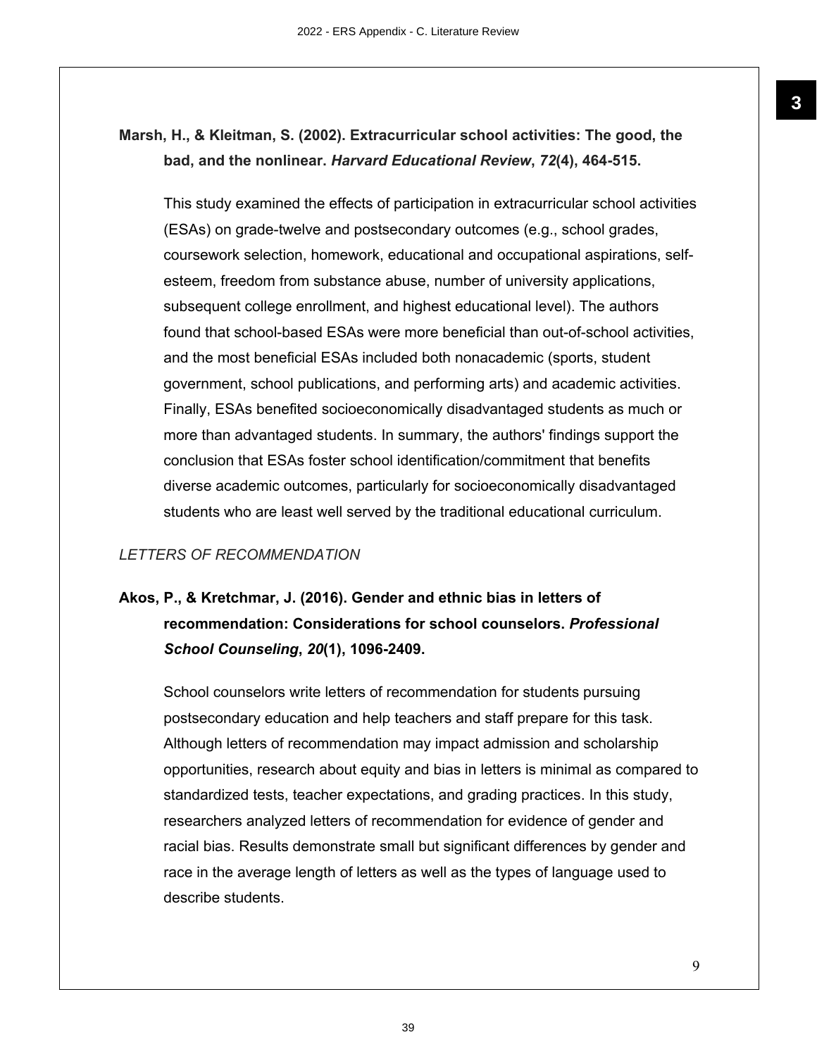This study examined the effects of participation in extracurricular school activities (ESAs) on grade-twelve and postsecondary outcomes (e.g., school grades, coursework selection, homework, educational and occupational aspirations, selfesteem, freedom from substance abuse, number of university applications, subsequent college enrollment, and highest educational level). The authors found that school-based ESAs were more beneficial than out-of-school activities, and the most beneficial ESAs included both nonacademic (sports, student government, school publications, and performing arts) and academic activities. Finally, ESAs benefited socioeconomically disadvantaged students as much or more than advantaged students. In summary, the authors' findings support the conclusion that ESAs foster school identification/commitment that benefits diverse academic outcomes, particularly for socioeconomically disadvantaged students who are least well served by the traditional educational curriculum.

#### *LETTERS OF RECOMMENDATION*

# **Akos, P., & Kretchmar, J. (2016). Gender and ethnic bias in letters of recommendation: Considerations for school counselors.** *Professional School Counseling***,** *20***(1), 1096-2409.**

School counselors write letters of recommendation for students pursuing postsecondary education and help teachers and staff prepare for this task. Although letters of recommendation may impact admission and scholarship opportunities, research about equity and bias in letters is minimal as compared to standardized tests, teacher expectations, and grading practices. In this study, researchers analyzed letters of recommendation for evidence of gender and racial bias. Results demonstrate small but significant differences by gender and race in the average length of letters as well as the types of language used to describe students.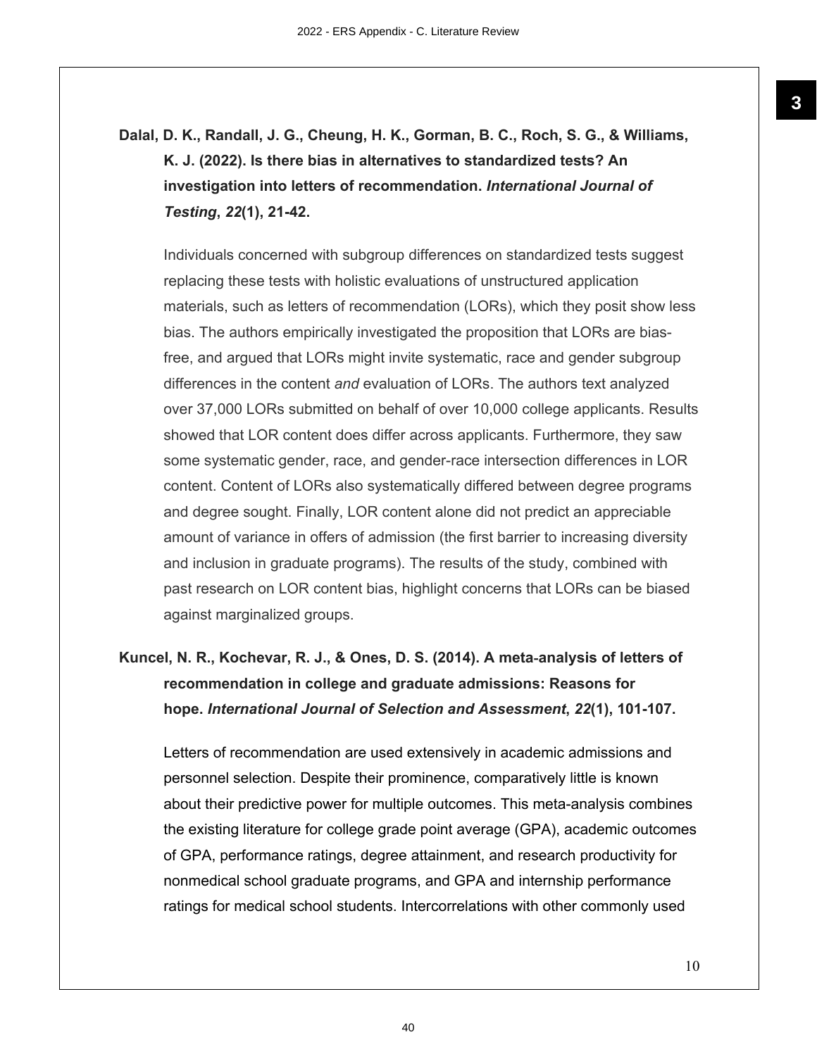# **Dalal, D. K., Randall, J. G., Cheung, H. K., Gorman, B. C., Roch, S. G., & Williams, K. J. (2022). Is there bias in alternatives to standardized tests? An investigation into letters of recommendation.** *International Journal of Testing***,** *22***(1), 21-42.**

Individuals concerned with subgroup differences on standardized tests suggest replacing these tests with holistic evaluations of unstructured application materials, such as letters of recommendation (LORs), which they posit show less bias. The authors empirically investigated the proposition that LORs are biasfree, and argued that LORs might invite systematic, race and gender subgroup differences in the content *and* evaluation of LORs. The authors text analyzed over 37,000 LORs submitted on behalf of over 10,000 college applicants. Results showed that LOR content does differ across applicants. Furthermore, they saw some systematic gender, race, and gender-race intersection differences in LOR content. Content of LORs also systematically differed between degree programs and degree sought. Finally, LOR content alone did not predict an appreciable amount of variance in offers of admission (the first barrier to increasing diversity and inclusion in graduate programs). The results of the study, combined with past research on LOR content bias, highlight concerns that LORs can be biased against marginalized groups.

# **Kuncel, N. R., Kochevar, R. J., & Ones, D. S. (2014). A meta**-**analysis of letters of recommendation in college and graduate admissions: Reasons for hope.** *International Journal of Selection and Assessment***,** *22***(1), 101-107.**

Letters of recommendation are used extensively in academic admissions and personnel selection. Despite their prominence, comparatively little is known about their predictive power for multiple outcomes. This meta-analysis combines the existing literature for college grade point average (GPA), academic outcomes of GPA, performance ratings, degree attainment, and research productivity for nonmedical school graduate programs, and GPA and internship performance ratings for medical school students. Intercorrelations with other commonly used